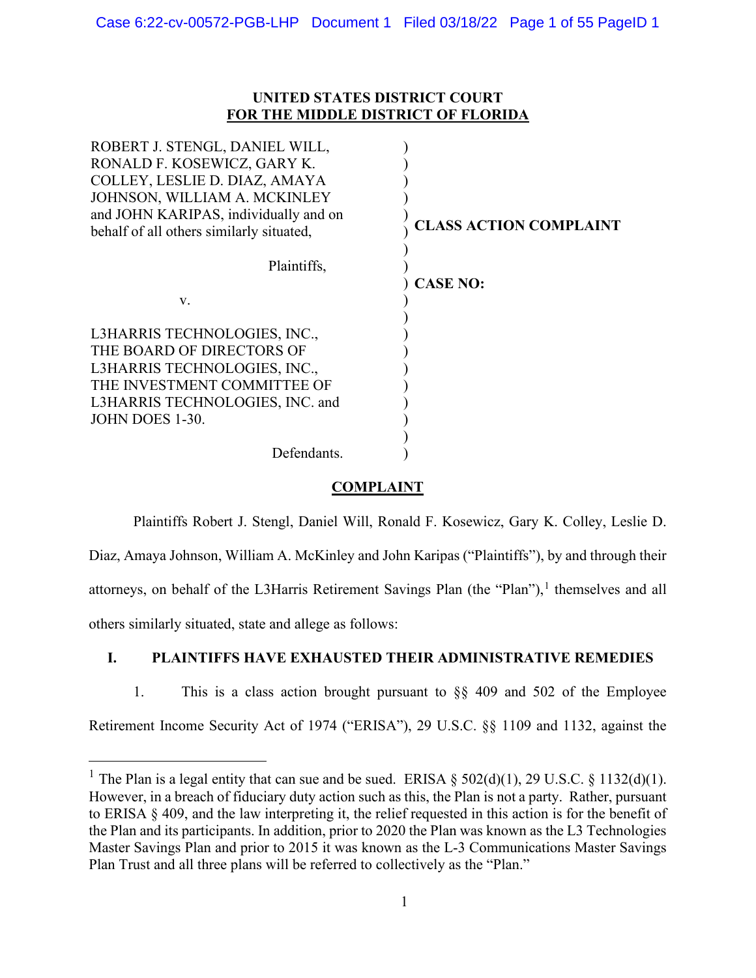## **UNITED STATES DISTRICT COURT FOR THE MIDDLE DISTRICT OF FLORIDA**

| ROBERT J. STENGL, DANIEL WILL,           |                               |
|------------------------------------------|-------------------------------|
| RONALD F. KOSEWICZ, GARY K.              |                               |
| COLLEY, LESLIE D. DIAZ, AMAYA            |                               |
| JOHNSON, WILLIAM A. MCKINLEY             |                               |
| and JOHN KARIPAS, individually and on    |                               |
| behalf of all others similarly situated, | <b>CLASS ACTION COMPLAINT</b> |
| Plaintiffs,                              |                               |
|                                          | <b>CASE NO:</b>               |
| V.                                       |                               |
| L3HARRIS TECHNOLOGIES, INC.,             |                               |
|                                          |                               |
| THE BOARD OF DIRECTORS OF                |                               |
| L3HARRIS TECHNOLOGIES, INC.,             |                               |
| THE INVESTMENT COMMITTEE OF              |                               |
| L3HARRIS TECHNOLOGIES, INC. and          |                               |
| JOHN DOES 1-30.                          |                               |
|                                          |                               |
| Defendants.                              |                               |
|                                          |                               |

# **COMPLAINT**

Plaintiffs Robert J. Stengl, Daniel Will, Ronald F. Kosewicz, Gary K. Colley, Leslie D. Diaz, Amaya Johnson, William A. McKinley and John Karipas ("Plaintiffs"), by and through their attorneys, on behalf of the L3Harris Retirement Savings Plan (the "Plan"),<sup>[1](#page-0-0)</sup> themselves and all others similarly situated, state and allege as follows:

# **I. PLAINTIFFS HAVE EXHAUSTED THEIR ADMINISTRATIVE REMEDIES**

1. This is a class action brought pursuant to §§ 409 and 502 of the Employee

Retirement Income Security Act of 1974 ("ERISA"), 29 U.S.C. §§ 1109 and 1132, against the

<span id="page-0-0"></span><sup>&</sup>lt;sup>1</sup> The Plan is a legal entity that can sue and be sued. ERISA  $\S$  502(d)(1), 29 U.S.C.  $\S$  1132(d)(1). However, in a breach of fiduciary duty action such as this, the Plan is not a party. Rather, pursuant to ERISA § 409, and the law interpreting it, the relief requested in this action is for the benefit of the Plan and its participants. In addition, prior to 2020 the Plan was known as the L3 Technologies Master Savings Plan and prior to 2015 it was known as the L-3 Communications Master Savings Plan Trust and all three plans will be referred to collectively as the "Plan."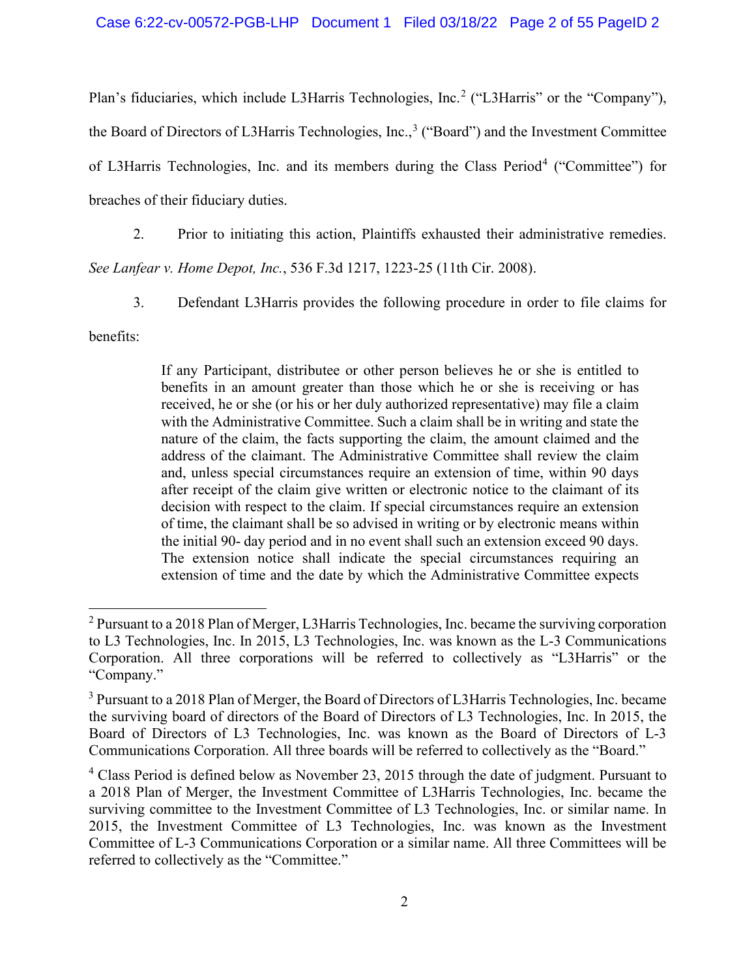Plan's fiduciaries, which include L3Harris Technologies, Inc.<sup>[2](#page-1-0)</sup> ("L3Harris" or the "Company"), the Board of Directors of L[3](#page-1-1)Harris Technologies, Inc.,<sup>3</sup> ("Board") and the Investment Committee of L3Harris Technologies, Inc. and its members during the Class Period<sup>[4](#page-1-2)</sup> ("Committee") for breaches of their fiduciary duties.

2. Prior to initiating this action, Plaintiffs exhausted their administrative remedies.

*See Lanfear v. Home Depot, Inc.*, 536 F.3d 1217, 1223-25 (11th Cir. 2008).

3. Defendant L3Harris provides the following procedure in order to file claims for

benefits:

If any Participant, distributee or other person believes he or she is entitled to benefits in an amount greater than those which he or she is receiving or has received, he or she (or his or her duly authorized representative) may file a claim with the Administrative Committee. Such a claim shall be in writing and state the nature of the claim, the facts supporting the claim, the amount claimed and the address of the claimant. The Administrative Committee shall review the claim and, unless special circumstances require an extension of time, within 90 days after receipt of the claim give written or electronic notice to the claimant of its decision with respect to the claim. If special circumstances require an extension of time, the claimant shall be so advised in writing or by electronic means within the initial 90- day period and in no event shall such an extension exceed 90 days. The extension notice shall indicate the special circumstances requiring an extension of time and the date by which the Administrative Committee expects

<span id="page-1-0"></span><sup>&</sup>lt;sup>2</sup> Pursuant to a 2018 Plan of Merger, L3Harris Technologies, Inc. became the surviving corporation to L3 Technologies, Inc. In 2015, L3 Technologies, Inc. was known as the L-3 Communications Corporation. All three corporations will be referred to collectively as "L3Harris" or the "Company."

<span id="page-1-1"></span><sup>&</sup>lt;sup>3</sup> Pursuant to a 2018 Plan of Merger, the Board of Directors of L3Harris Technologies, Inc. became the surviving board of directors of the Board of Directors of L3 Technologies, Inc. In 2015, the Board of Directors of L3 Technologies, Inc. was known as the Board of Directors of L-3 Communications Corporation. All three boards will be referred to collectively as the "Board."

<span id="page-1-2"></span> $4$  Class Period is defined below as November 23, 2015 through the date of judgment. Pursuant to a 2018 Plan of Merger, the Investment Committee of L3Harris Technologies, Inc. became the surviving committee to the Investment Committee of L3 Technologies, Inc. or similar name. In 2015, the Investment Committee of L3 Technologies, Inc. was known as the Investment Committee of L-3 Communications Corporation or a similar name. All three Committees will be referred to collectively as the "Committee."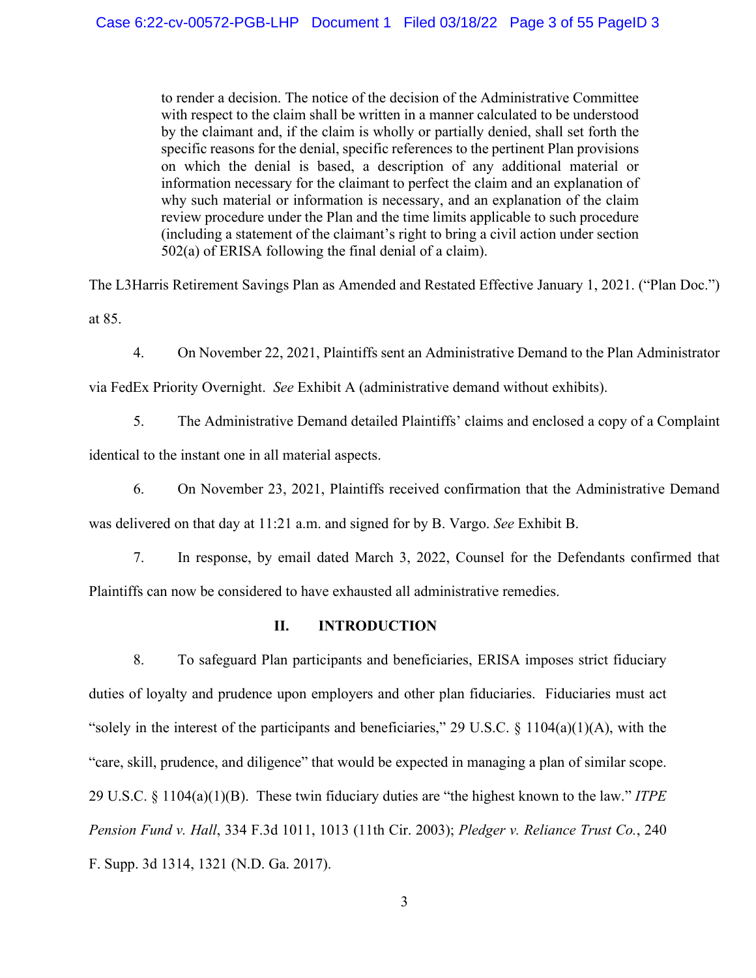to render a decision. The notice of the decision of the Administrative Committee with respect to the claim shall be written in a manner calculated to be understood by the claimant and, if the claim is wholly or partially denied, shall set forth the specific reasons for the denial, specific references to the pertinent Plan provisions on which the denial is based, a description of any additional material or information necessary for the claimant to perfect the claim and an explanation of why such material or information is necessary, and an explanation of the claim review procedure under the Plan and the time limits applicable to such procedure (including a statement of the claimant's right to bring a civil action under section 502(a) of ERISA following the final denial of a claim).

The L3Harris Retirement Savings Plan as Amended and Restated Effective January 1, 2021. ("Plan Doc.") at 85.

4. On November 22, 2021, Plaintiffs sent an Administrative Demand to the Plan Administrator

via FedEx Priority Overnight. *See* Exhibit A (administrative demand without exhibits).

5. The Administrative Demand detailed Plaintiffs' claims and enclosed a copy of a Complaint

identical to the instant one in all material aspects.

6. On November 23, 2021, Plaintiffs received confirmation that the Administrative Demand was delivered on that day at 11:21 a.m. and signed for by B. Vargo. *See* Exhibit B.

7. In response, by email dated March 3, 2022, Counsel for the Defendants confirmed that Plaintiffs can now be considered to have exhausted all administrative remedies.

### **II. INTRODUCTION**

8. To safeguard Plan participants and beneficiaries, ERISA imposes strict fiduciary duties of loyalty and prudence upon employers and other plan fiduciaries. Fiduciaries must act "solely in the interest of the participants and beneficiaries," 29 U.S.C.  $\S$  1104(a)(1)(A), with the "care, skill, prudence, and diligence" that would be expected in managing a plan of similar scope. 29 U.S.C. § 1104(a)(1)(B). These twin fiduciary duties are "the highest known to the law." *ITPE Pension Fund v. Hall*, 334 F.3d 1011, 1013 (11th Cir. 2003); *Pledger v. Reliance Trust Co.*, 240 F. Supp. 3d 1314, 1321 (N.D. Ga. 2017).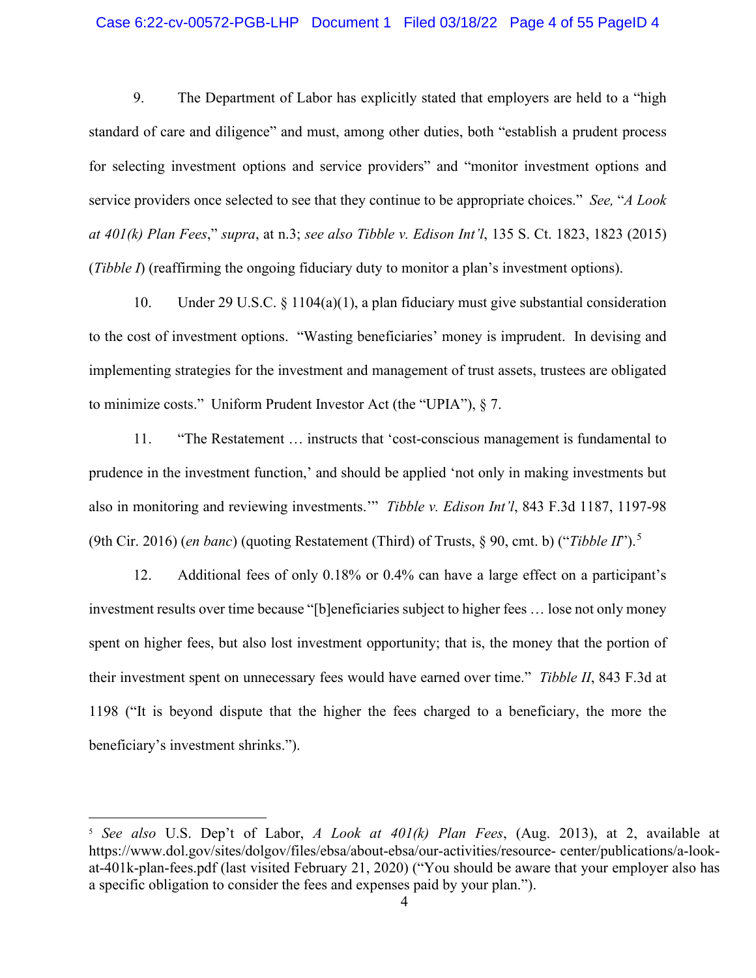#### Case 6:22-cv-00572-PGB-LHP Document 1 Filed 03/18/22 Page 4 of 55 PageID 4

9. The Department of Labor has explicitly stated that employers are held to a "high standard of care and diligence" and must, among other duties, both "establish a prudent process for selecting investment options and service providers" and "monitor investment options and service providers once selected to see that they continue to be appropriate choices." *See,* "*A Look at 401(k) Plan Fees*," *supra*, at n.3; *see also Tibble v. Edison Int'l*, 135 S. Ct. 1823, 1823 (2015) (*Tibble I*) (reaffirming the ongoing fiduciary duty to monitor a plan's investment options).

10. Under 29 U.S.C. § 1104(a)(1), a plan fiduciary must give substantial consideration to the cost of investment options. "Wasting beneficiaries' money is imprudent. In devising and implementing strategies for the investment and management of trust assets, trustees are obligated to minimize costs." Uniform Prudent Investor Act (the "UPIA"), § 7.

11. "The Restatement … instructs that 'cost-conscious management is fundamental to prudence in the investment function,' and should be applied 'not only in making investments but also in monitoring and reviewing investments.'" *Tibble v. Edison Int'l*, 843 F.3d 1187, 1197-98 (9th Cir. 2016) (*en banc*) (quoting Restatement (Third) of Trusts, § 90, cmt. b) ("*Tibble II*"). [5](#page-3-0)

12. Additional fees of only 0.18% or 0.4% can have a large effect on a participant's investment results over time because "[b]eneficiaries subject to higher fees … lose not only money spent on higher fees, but also lost investment opportunity; that is, the money that the portion of their investment spent on unnecessary fees would have earned over time." *Tibble II*, 843 F.3d at 1198 ("It is beyond dispute that the higher the fees charged to a beneficiary, the more the beneficiary's investment shrinks.").

<span id="page-3-0"></span><sup>5</sup> *See also* U.S. Dep't of Labor, *A Look at 401(k) Plan Fees*, (Aug. 2013), at 2, available at https://www.dol.gov/sites/dolgov/files/ebsa/about-ebsa/our-activities/resource- center/publications/a-lookat-401k-plan-fees.pdf (last visited February 21, 2020) ("You should be aware that your employer also has a specific obligation to consider the fees and expenses paid by your plan.").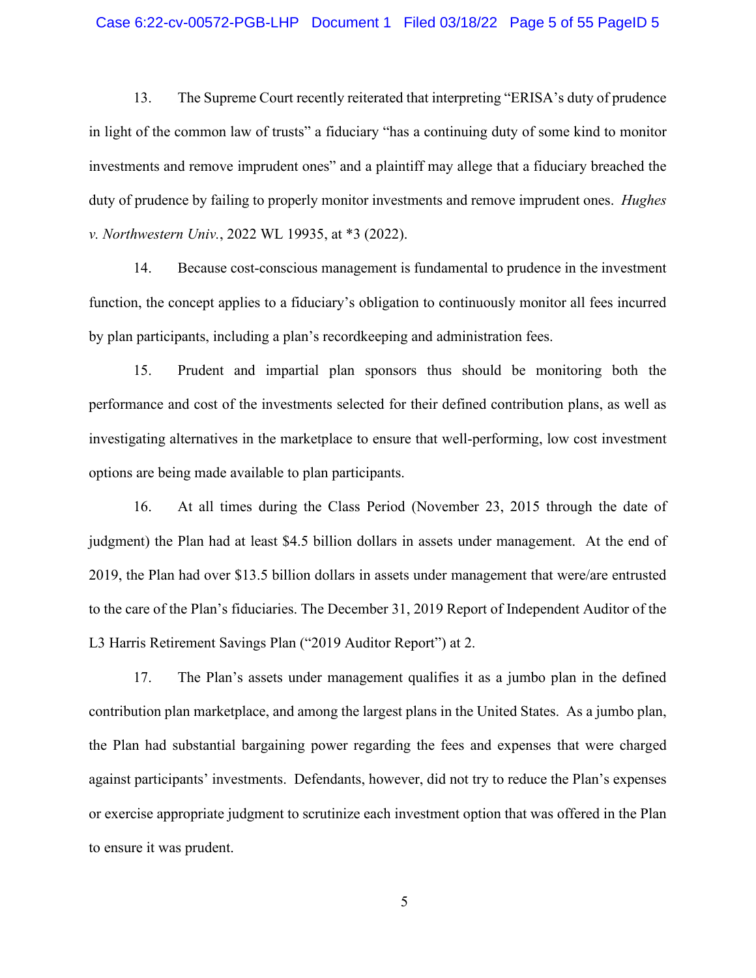#### Case 6:22-cv-00572-PGB-LHP Document 1 Filed 03/18/22 Page 5 of 55 PageID 5

13. The Supreme Court recently reiterated that interpreting "ERISA's duty of prudence in light of the common law of trusts" a fiduciary "has a continuing duty of some kind to monitor investments and remove imprudent ones" and a plaintiff may allege that a fiduciary breached the duty of prudence by failing to properly monitor investments and remove imprudent ones. *Hughes v. Northwestern Univ.*, 2022 WL 19935, at \*3 (2022).

14. Because cost-conscious management is fundamental to prudence in the investment function, the concept applies to a fiduciary's obligation to continuously monitor all fees incurred by plan participants, including a plan's recordkeeping and administration fees.

15. Prudent and impartial plan sponsors thus should be monitoring both the performance and cost of the investments selected for their defined contribution plans, as well as investigating alternatives in the marketplace to ensure that well-performing, low cost investment options are being made available to plan participants.

16. At all times during the Class Period (November 23, 2015 through the date of judgment) the Plan had at least \$4.5 billion dollars in assets under management. At the end of 2019, the Plan had over \$13.5 billion dollars in assets under management that were/are entrusted to the care of the Plan's fiduciaries. The December 31, 2019 Report of Independent Auditor of the L3 Harris Retirement Savings Plan ("2019 Auditor Report") at 2.

17. The Plan's assets under management qualifies it as a jumbo plan in the defined contribution plan marketplace, and among the largest plans in the United States. As a jumbo plan, the Plan had substantial bargaining power regarding the fees and expenses that were charged against participants' investments. Defendants, however, did not try to reduce the Plan's expenses or exercise appropriate judgment to scrutinize each investment option that was offered in the Plan to ensure it was prudent.

5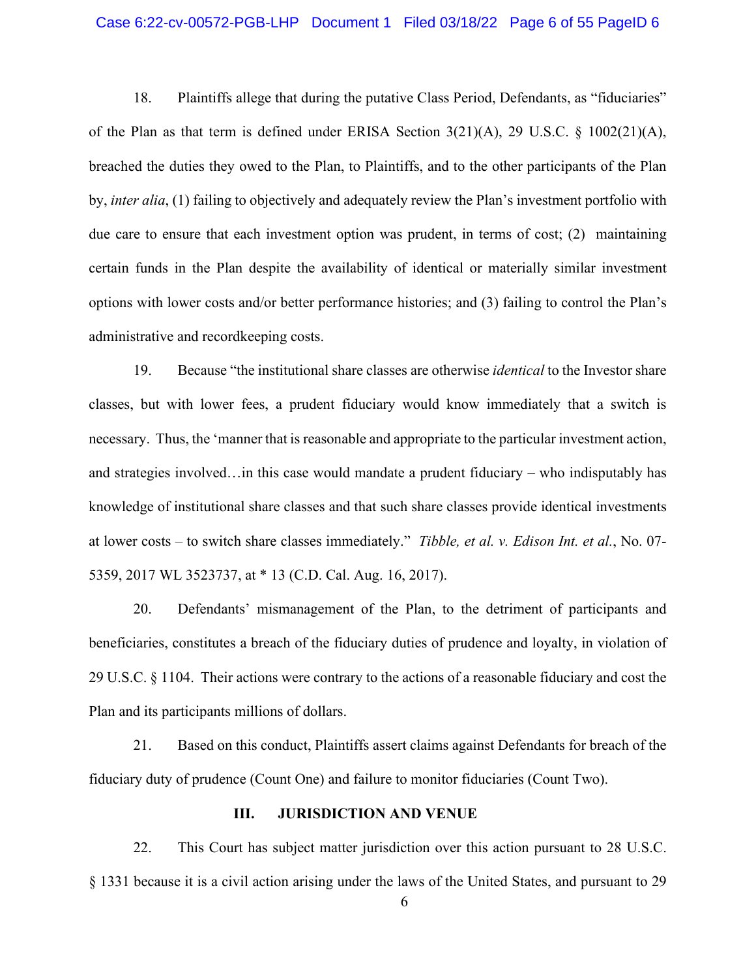#### Case 6:22-cv-00572-PGB-LHP Document 1 Filed 03/18/22 Page 6 of 55 PageID 6

18. Plaintiffs allege that during the putative Class Period, Defendants, as "fiduciaries" of the Plan as that term is defined under ERISA Section 3(21)(A), 29 U.S.C. § 1002(21)(A), breached the duties they owed to the Plan, to Plaintiffs, and to the other participants of the Plan by, *inter alia*, (1) failing to objectively and adequately review the Plan's investment portfolio with due care to ensure that each investment option was prudent, in terms of cost; (2) maintaining certain funds in the Plan despite the availability of identical or materially similar investment options with lower costs and/or better performance histories; and (3) failing to control the Plan's administrative and recordkeeping costs.

19. Because "the institutional share classes are otherwise *identical* to the Investor share classes, but with lower fees, a prudent fiduciary would know immediately that a switch is necessary. Thus, the 'manner that is reasonable and appropriate to the particular investment action, and strategies involved…in this case would mandate a prudent fiduciary – who indisputably has knowledge of institutional share classes and that such share classes provide identical investments at lower costs – to switch share classes immediately." *Tibble, et al. v. Edison Int. et al.*, No. 07- 5359, 2017 WL 3523737, at \* 13 (C.D. Cal. Aug. 16, 2017).

20. Defendants' mismanagement of the Plan, to the detriment of participants and beneficiaries, constitutes a breach of the fiduciary duties of prudence and loyalty, in violation of 29 U.S.C. § 1104. Their actions were contrary to the actions of a reasonable fiduciary and cost the Plan and its participants millions of dollars.

21. Based on this conduct, Plaintiffs assert claims against Defendants for breach of the fiduciary duty of prudence (Count One) and failure to monitor fiduciaries (Count Two).

#### **III. JURISDICTION AND VENUE**

22. This Court has subject matter jurisdiction over this action pursuant to 28 U.S.C. § 1331 because it is a civil action arising under the laws of the United States, and pursuant to 29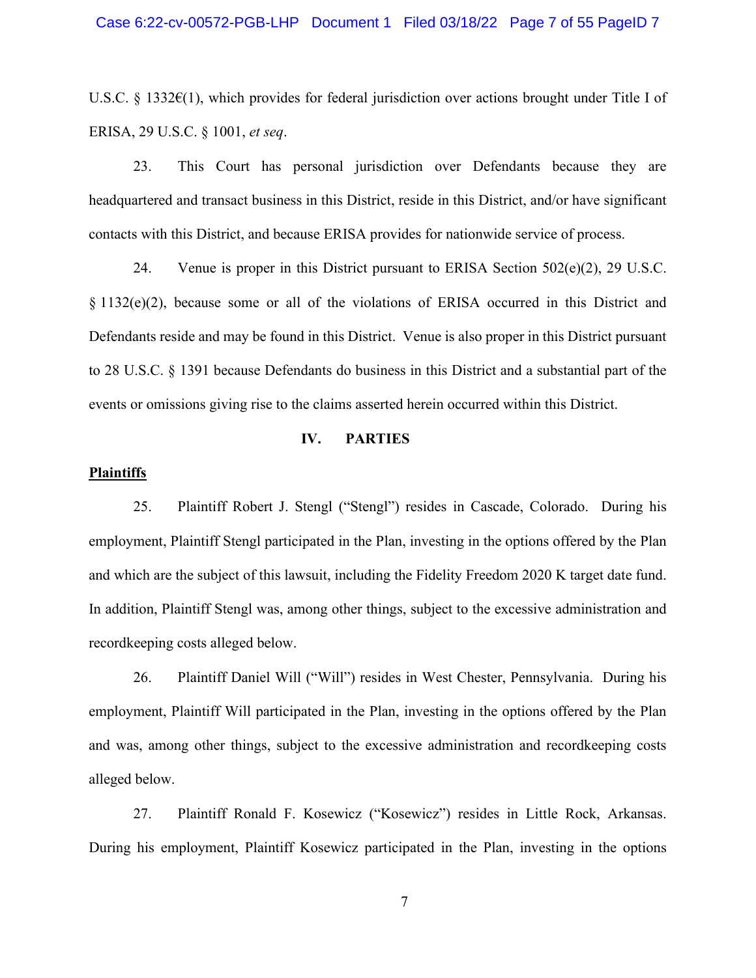#### Case 6:22-cv-00572-PGB-LHP Document 1 Filed 03/18/22 Page 7 of 55 PageID 7

U.S.C. § 1332€(1), which provides for federal jurisdiction over actions brought under Title I of ERISA, 29 U.S.C. § 1001, *et seq*.

23. This Court has personal jurisdiction over Defendants because they are headquartered and transact business in this District, reside in this District, and/or have significant contacts with this District, and because ERISA provides for nationwide service of process.

24. Venue is proper in this District pursuant to ERISA Section  $502(e)(2)$ , 29 U.S.C. § 1132(e)(2), because some or all of the violations of ERISA occurred in this District and Defendants reside and may be found in this District. Venue is also proper in this District pursuant to 28 U.S.C. § 1391 because Defendants do business in this District and a substantial part of the events or omissions giving rise to the claims asserted herein occurred within this District.

#### **IV. PARTIES**

#### **Plaintiffs**

25. Plaintiff Robert J. Stengl ("Stengl") resides in Cascade, Colorado. During his employment, Plaintiff Stengl participated in the Plan, investing in the options offered by the Plan and which are the subject of this lawsuit, including the Fidelity Freedom 2020 K target date fund. In addition, Plaintiff Stengl was, among other things, subject to the excessive administration and recordkeeping costs alleged below.

26. Plaintiff Daniel Will ("Will") resides in West Chester, Pennsylvania. During his employment, Plaintiff Will participated in the Plan, investing in the options offered by the Plan and was, among other things, subject to the excessive administration and recordkeeping costs alleged below.

27. Plaintiff Ronald F. Kosewicz ("Kosewicz") resides in Little Rock, Arkansas. During his employment, Plaintiff Kosewicz participated in the Plan, investing in the options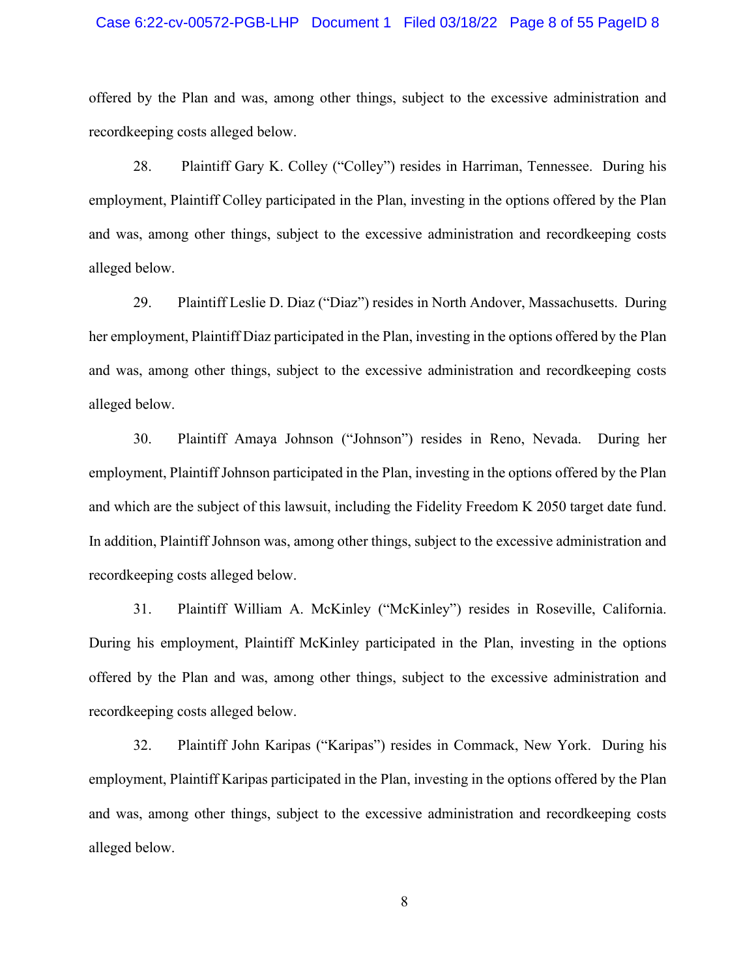#### Case 6:22-cv-00572-PGB-LHP Document 1 Filed 03/18/22 Page 8 of 55 PageID 8

offered by the Plan and was, among other things, subject to the excessive administration and recordkeeping costs alleged below.

28. Plaintiff Gary K. Colley ("Colley") resides in Harriman, Tennessee. During his employment, Plaintiff Colley participated in the Plan, investing in the options offered by the Plan and was, among other things, subject to the excessive administration and recordkeeping costs alleged below.

29. Plaintiff Leslie D. Diaz ("Diaz") resides in North Andover, Massachusetts. During her employment, Plaintiff Diaz participated in the Plan, investing in the options offered by the Plan and was, among other things, subject to the excessive administration and recordkeeping costs alleged below.

30. Plaintiff Amaya Johnson ("Johnson") resides in Reno, Nevada. During her employment, Plaintiff Johnson participated in the Plan, investing in the options offered by the Plan and which are the subject of this lawsuit, including the Fidelity Freedom K 2050 target date fund. In addition, Plaintiff Johnson was, among other things, subject to the excessive administration and recordkeeping costs alleged below.

31. Plaintiff William A. McKinley ("McKinley") resides in Roseville, California. During his employment, Plaintiff McKinley participated in the Plan, investing in the options offered by the Plan and was, among other things, subject to the excessive administration and recordkeeping costs alleged below.

32. Plaintiff John Karipas ("Karipas") resides in Commack, New York. During his employment, Plaintiff Karipas participated in the Plan, investing in the options offered by the Plan and was, among other things, subject to the excessive administration and recordkeeping costs alleged below.

8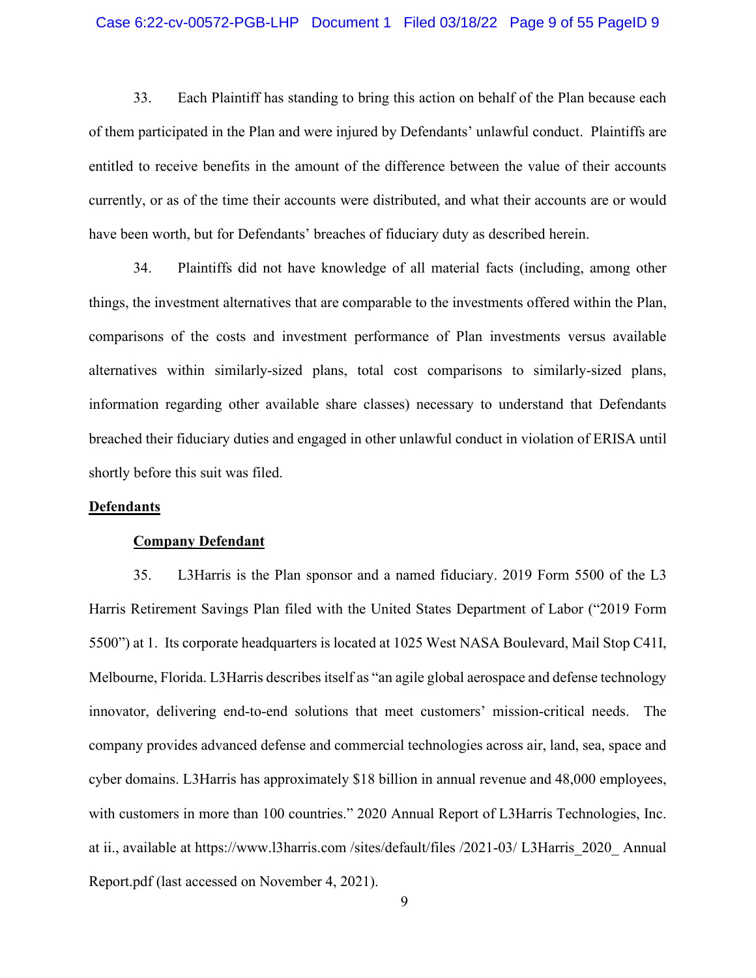#### Case 6:22-cv-00572-PGB-LHP Document 1 Filed 03/18/22 Page 9 of 55 PageID 9

33. Each Plaintiff has standing to bring this action on behalf of the Plan because each of them participated in the Plan and were injured by Defendants' unlawful conduct. Plaintiffs are entitled to receive benefits in the amount of the difference between the value of their accounts currently, or as of the time their accounts were distributed, and what their accounts are or would have been worth, but for Defendants' breaches of fiduciary duty as described herein.

34. Plaintiffs did not have knowledge of all material facts (including, among other things, the investment alternatives that are comparable to the investments offered within the Plan, comparisons of the costs and investment performance of Plan investments versus available alternatives within similarly-sized plans, total cost comparisons to similarly-sized plans, information regarding other available share classes) necessary to understand that Defendants breached their fiduciary duties and engaged in other unlawful conduct in violation of ERISA until shortly before this suit was filed.

#### **Defendants**

#### **Company Defendant**

35. L3Harris is the Plan sponsor and a named fiduciary. 2019 Form 5500 of the L3 Harris Retirement Savings Plan filed with the United States Department of Labor ("2019 Form 5500") at 1. Its corporate headquarters is located at 1025 West NASA Boulevard, Mail Stop C41I, Melbourne, Florida. L3Harris describes itself as "an agile global aerospace and defense technology innovator, delivering end-to-end solutions that meet customers' mission-critical needs. The company provides advanced defense and commercial technologies across air, land, sea, space and cyber domains. L3Harris has approximately \$18 billion in annual revenue and 48,000 employees, with customers in more than 100 countries." 2020 Annual Report of L3Harris Technologies, Inc. at ii., available at https://www.l3harris.com /sites/default/files /2021-03/ L3Harris\_2020\_ Annual Report.pdf (last accessed on November 4, 2021).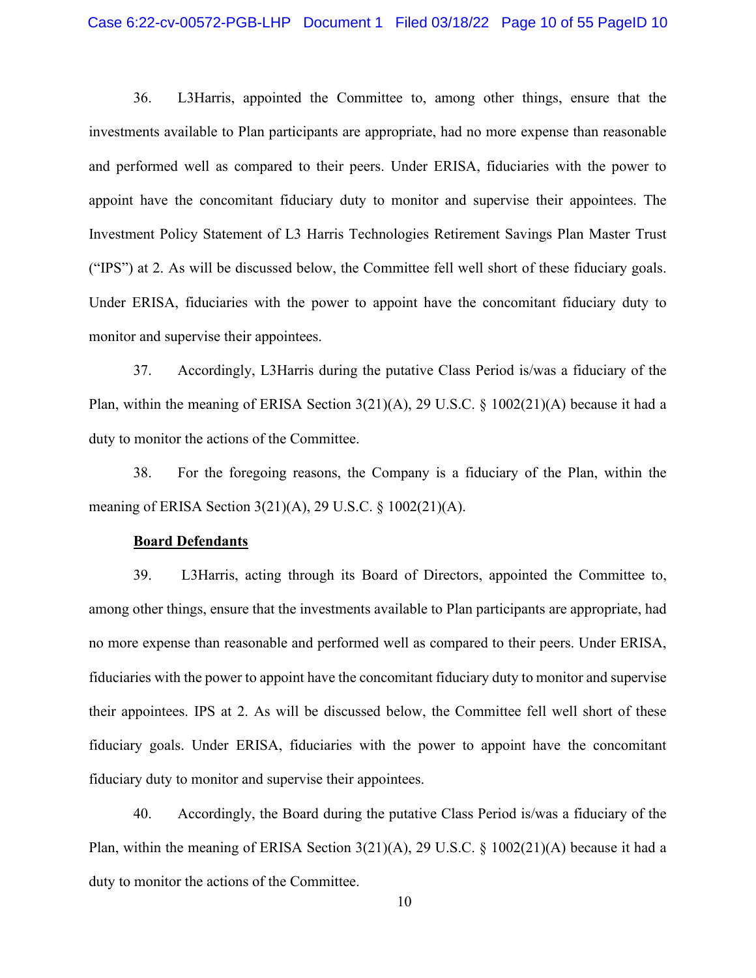#### Case 6:22-cv-00572-PGB-LHP Document 1 Filed 03/18/22 Page 10 of 55 PageID 10

36. L3Harris, appointed the Committee to, among other things, ensure that the investments available to Plan participants are appropriate, had no more expense than reasonable and performed well as compared to their peers. Under ERISA, fiduciaries with the power to appoint have the concomitant fiduciary duty to monitor and supervise their appointees. The Investment Policy Statement of L3 Harris Technologies Retirement Savings Plan Master Trust ("IPS") at 2. As will be discussed below, the Committee fell well short of these fiduciary goals. Under ERISA, fiduciaries with the power to appoint have the concomitant fiduciary duty to monitor and supervise their appointees.

37. Accordingly, L3Harris during the putative Class Period is/was a fiduciary of the Plan, within the meaning of ERISA Section  $3(21)(A)$ , 29 U.S.C. § 1002(21)(A) because it had a duty to monitor the actions of the Committee.

38. For the foregoing reasons, the Company is a fiduciary of the Plan, within the meaning of ERISA Section 3(21)(A), 29 U.S.C. § 1002(21)(A).

#### **Board Defendants**

39. L3Harris, acting through its Board of Directors, appointed the Committee to, among other things, ensure that the investments available to Plan participants are appropriate, had no more expense than reasonable and performed well as compared to their peers. Under ERISA, fiduciaries with the power to appoint have the concomitant fiduciary duty to monitor and supervise their appointees. IPS at 2. As will be discussed below, the Committee fell well short of these fiduciary goals. Under ERISA, fiduciaries with the power to appoint have the concomitant fiduciary duty to monitor and supervise their appointees.

40. Accordingly, the Board during the putative Class Period is/was a fiduciary of the Plan, within the meaning of ERISA Section 3(21)(A), 29 U.S.C. § 1002(21)(A) because it had a duty to monitor the actions of the Committee.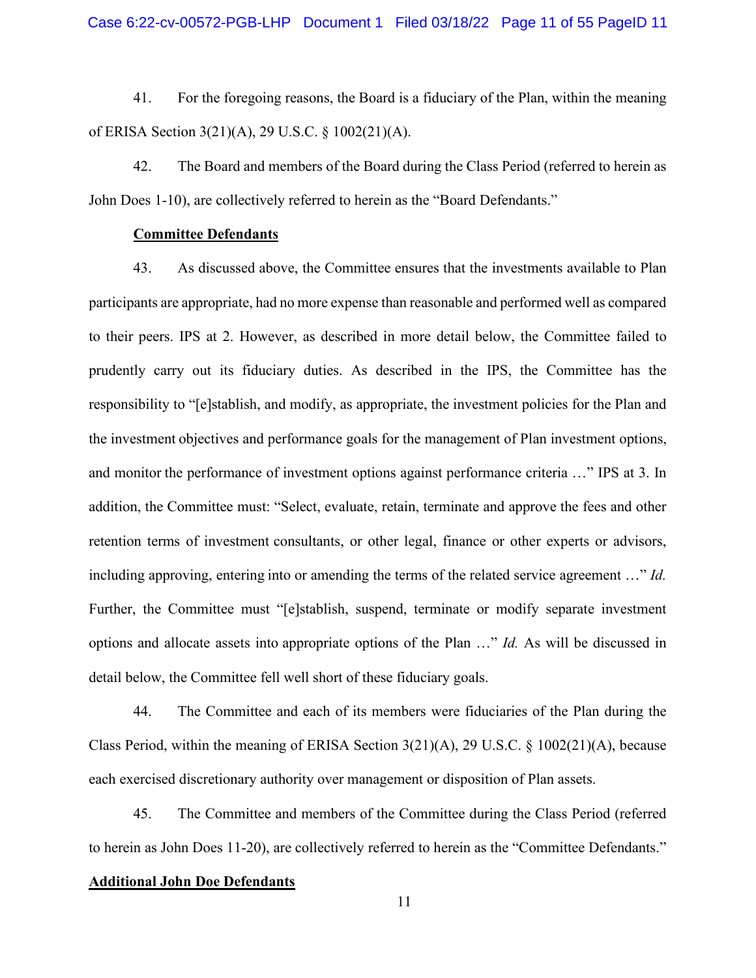41. For the foregoing reasons, the Board is a fiduciary of the Plan, within the meaning of ERISA Section 3(21)(A), 29 U.S.C. § 1002(21)(A).

42. The Board and members of the Board during the Class Period (referred to herein as John Does 1-10), are collectively referred to herein as the "Board Defendants."

### **Committee Defendants**

43. As discussed above, the Committee ensures that the investments available to Plan participants are appropriate, had no more expense than reasonable and performed well as compared to their peers. IPS at 2. However, as described in more detail below, the Committee failed to prudently carry out its fiduciary duties. As described in the IPS, the Committee has the responsibility to "[e]stablish, and modify, as appropriate, the investment policies for the Plan and the investment objectives and performance goals for the management of Plan investment options, and monitor the performance of investment options against performance criteria …" IPS at 3. In addition, the Committee must: "Select, evaluate, retain, terminate and approve the fees and other retention terms of investment consultants, or other legal, finance or other experts or advisors, including approving, entering into or amending the terms of the related service agreement …" *Id.*  Further, the Committee must "[e]stablish, suspend, terminate or modify separate investment options and allocate assets into appropriate options of the Plan …" *Id.* As will be discussed in detail below, the Committee fell well short of these fiduciary goals.

44. The Committee and each of its members were fiduciaries of the Plan during the Class Period, within the meaning of ERISA Section 3(21)(A), 29 U.S.C. § 1002(21)(A), because each exercised discretionary authority over management or disposition of Plan assets.

45. The Committee and members of the Committee during the Class Period (referred to herein as John Does 11-20), are collectively referred to herein as the "Committee Defendants."

#### **Additional John Doe Defendants**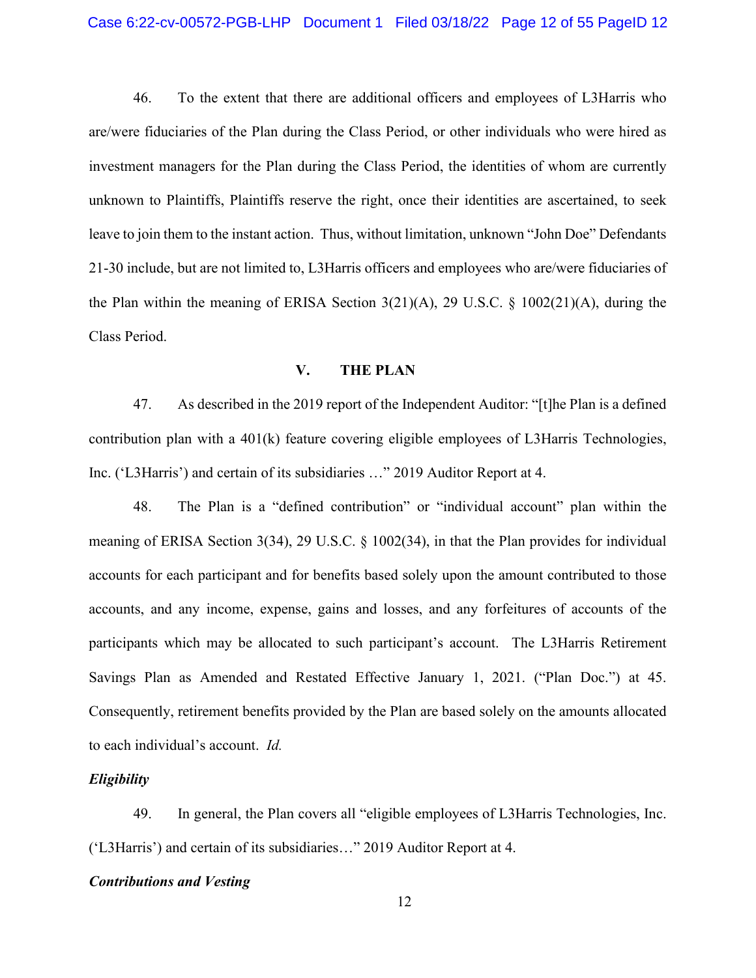46. To the extent that there are additional officers and employees of L3Harris who are/were fiduciaries of the Plan during the Class Period, or other individuals who were hired as investment managers for the Plan during the Class Period, the identities of whom are currently unknown to Plaintiffs, Plaintiffs reserve the right, once their identities are ascertained, to seek leave to join them to the instant action. Thus, without limitation, unknown "John Doe" Defendants 21-30 include, but are not limited to, L3Harris officers and employees who are/were fiduciaries of the Plan within the meaning of ERISA Section 3(21)(A), 29 U.S.C. § 1002(21)(A), during the Class Period.

### **V. THE PLAN**

47. As described in the 2019 report of the Independent Auditor: "[t]he Plan is a defined contribution plan with a 401(k) feature covering eligible employees of L3Harris Technologies, Inc. ('L3Harris') and certain of its subsidiaries …" 2019 Auditor Report at 4.

48. The Plan is a "defined contribution" or "individual account" plan within the meaning of ERISA Section 3(34), 29 U.S.C. § 1002(34), in that the Plan provides for individual accounts for each participant and for benefits based solely upon the amount contributed to those accounts, and any income, expense, gains and losses, and any forfeitures of accounts of the participants which may be allocated to such participant's account. The L3Harris Retirement Savings Plan as Amended and Restated Effective January 1, 2021. ("Plan Doc.") at 45. Consequently, retirement benefits provided by the Plan are based solely on the amounts allocated to each individual's account. *Id.*

#### *Eligibility*

49. In general, the Plan covers all "eligible employees of L3Harris Technologies, Inc. ('L3Harris') and certain of its subsidiaries…" 2019 Auditor Report at 4.

### *Contributions and Vesting*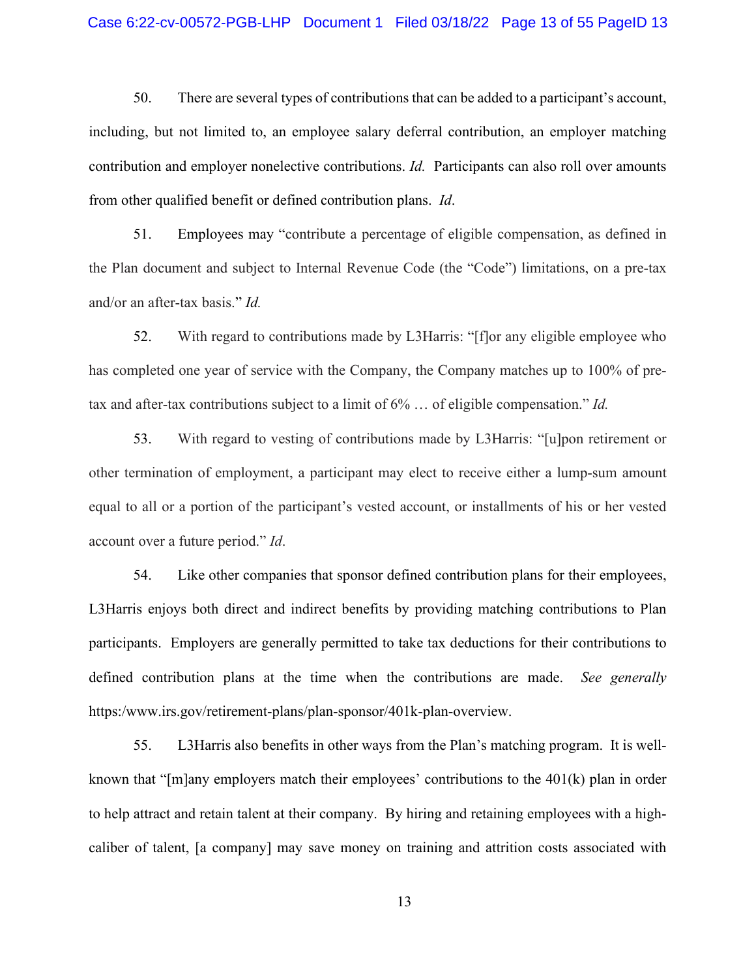#### Case 6:22-cv-00572-PGB-LHP Document 1 Filed 03/18/22 Page 13 of 55 PageID 13

50. There are several types of contributions that can be added to a participant's account, including, but not limited to, an employee salary deferral contribution, an employer matching contribution and employer nonelective contributions. *Id.* Participants can also roll over amounts from other qualified benefit or defined contribution plans. *Id*.

51. Employees may "contribute a percentage of eligible compensation, as defined in the Plan document and subject to Internal Revenue Code (the "Code") limitations, on a pre-tax and/or an after-tax basis." *Id.*

52. With regard to contributions made by L3Harris: "[f]or any eligible employee who has completed one year of service with the Company, the Company matches up to 100% of pretax and after-tax contributions subject to a limit of 6% … of eligible compensation." *Id.*

53. With regard to vesting of contributions made by L3Harris: "[u]pon retirement or other termination of employment, a participant may elect to receive either a lump-sum amount equal to all or a portion of the participant's vested account, or installments of his or her vested account over a future period." *Id*.

54. Like other companies that sponsor defined contribution plans for their employees, L3Harris enjoys both direct and indirect benefits by providing matching contributions to Plan participants. Employers are generally permitted to take tax deductions for their contributions to defined contribution plans at the time when the contributions are made. *See generally*  https:/www.irs.gov/retirement-plans/plan-sponsor/401k-plan-overview.

55. L3Harris also benefits in other ways from the Plan's matching program. It is wellknown that "[m]any employers match their employees' contributions to the 401(k) plan in order to help attract and retain talent at their company. By hiring and retaining employees with a highcaliber of talent, [a company] may save money on training and attrition costs associated with

13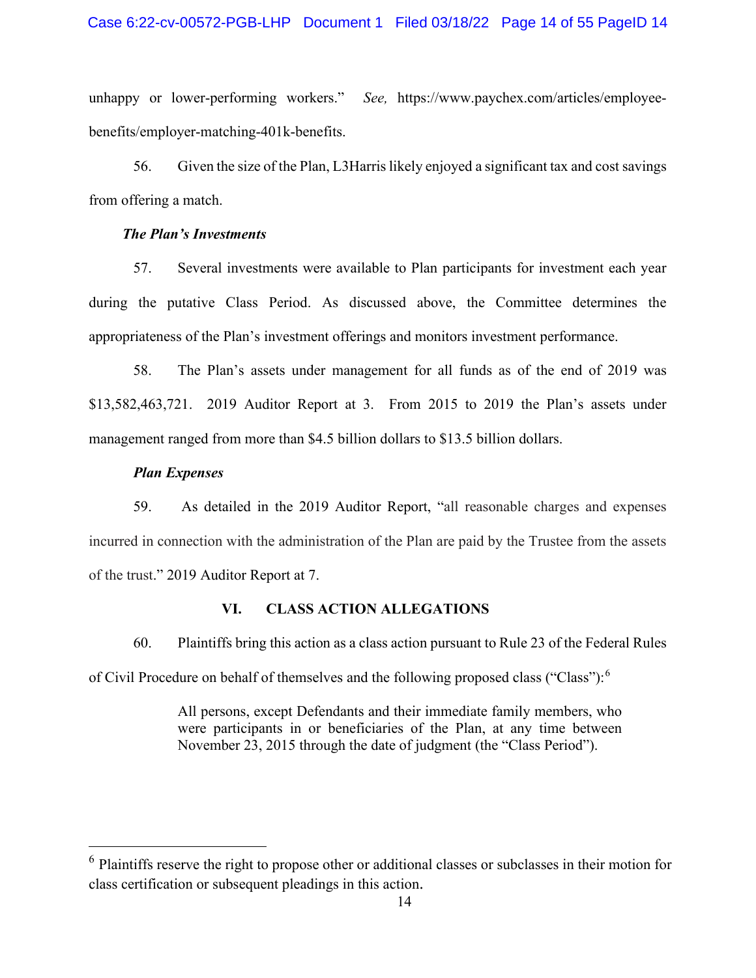#### Case 6:22-cv-00572-PGB-LHP Document 1 Filed 03/18/22 Page 14 of 55 PageID 14

unhappy or lower-performing workers." *See,* https://www.paychex.com/articles/employeebenefits/employer-matching-401k-benefits.

56. Given the size of the Plan, L3Harrislikely enjoyed a significant tax and cost savings from offering a match.

### *The Plan's Investments*

57. Several investments were available to Plan participants for investment each year during the putative Class Period. As discussed above, the Committee determines the appropriateness of the Plan's investment offerings and monitors investment performance.

58. The Plan's assets under management for all funds as of the end of 2019 was \$13,582,463,721. 2019 Auditor Report at 3. From 2015 to 2019 the Plan's assets under management ranged from more than \$4.5 billion dollars to \$13.5 billion dollars.

#### *Plan Expenses*

59. As detailed in the 2019 Auditor Report, "all reasonable charges and expenses incurred in connection with the administration of the Plan are paid by the Trustee from the assets of the trust." 2019 Auditor Report at 7.

### **VI. CLASS ACTION ALLEGATIONS**

60. Plaintiffs bring this action as a class action pursuant to Rule 23 of the Federal Rules of Civil Procedure on behalf of themselves and the following proposed class ("Class"):[6](#page-13-0)

> All persons, except Defendants and their immediate family members, who were participants in or beneficiaries of the Plan, at any time between November 23, 2015 through the date of judgment (the "Class Period").

<span id="page-13-0"></span><sup>&</sup>lt;sup>6</sup> Plaintiffs reserve the right to propose other or additional classes or subclasses in their motion for class certification or subsequent pleadings in this action.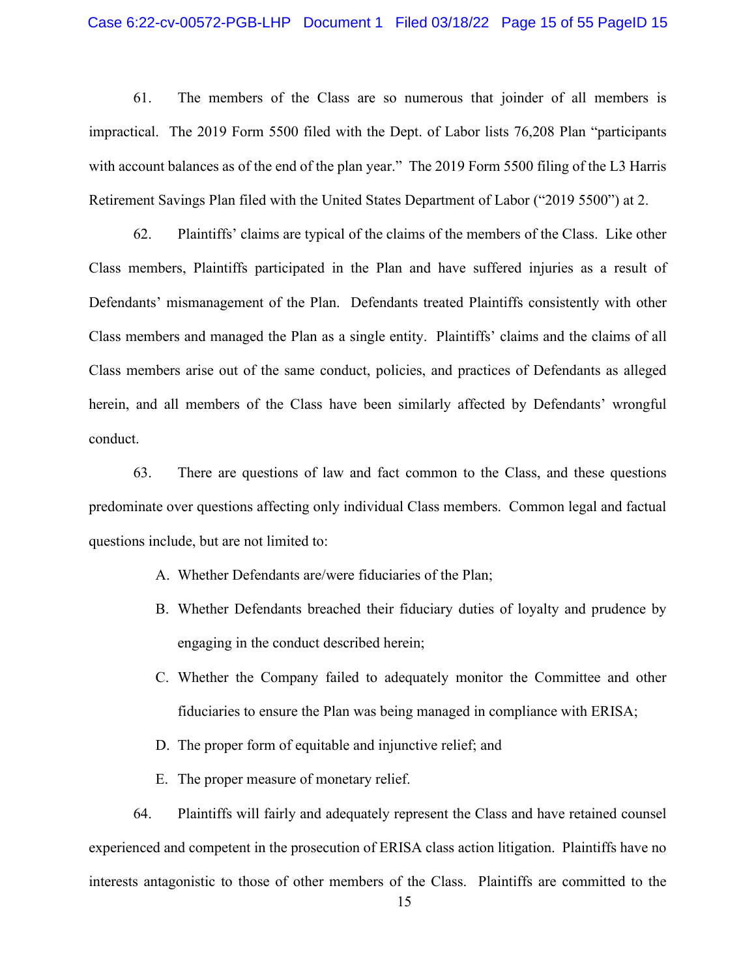#### Case 6:22-cv-00572-PGB-LHP Document 1 Filed 03/18/22 Page 15 of 55 PageID 15

61. The members of the Class are so numerous that joinder of all members is impractical. The 2019 Form 5500 filed with the Dept. of Labor lists 76,208 Plan "participants with account balances as of the end of the plan year." The 2019 Form 5500 filing of the L3 Harris Retirement Savings Plan filed with the United States Department of Labor ("2019 5500") at 2.

62. Plaintiffs' claims are typical of the claims of the members of the Class. Like other Class members, Plaintiffs participated in the Plan and have suffered injuries as a result of Defendants' mismanagement of the Plan. Defendants treated Plaintiffs consistently with other Class members and managed the Plan as a single entity. Plaintiffs' claims and the claims of all Class members arise out of the same conduct, policies, and practices of Defendants as alleged herein, and all members of the Class have been similarly affected by Defendants' wrongful conduct.

63. There are questions of law and fact common to the Class, and these questions predominate over questions affecting only individual Class members. Common legal and factual questions include, but are not limited to:

- A. Whether Defendants are/were fiduciaries of the Plan;
- B. Whether Defendants breached their fiduciary duties of loyalty and prudence by engaging in the conduct described herein;
- C. Whether the Company failed to adequately monitor the Committee and other fiduciaries to ensure the Plan was being managed in compliance with ERISA;
- D. The proper form of equitable and injunctive relief; and
- E. The proper measure of monetary relief.

64. Plaintiffs will fairly and adequately represent the Class and have retained counsel experienced and competent in the prosecution of ERISA class action litigation. Plaintiffs have no interests antagonistic to those of other members of the Class. Plaintiffs are committed to the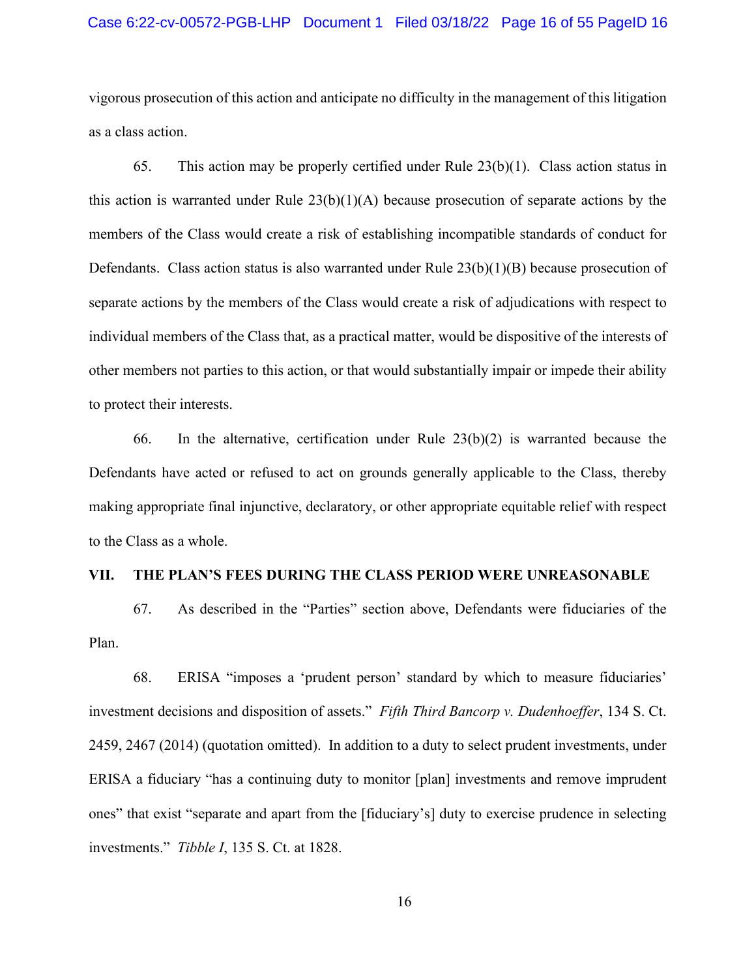#### Case 6:22-cv-00572-PGB-LHP Document 1 Filed 03/18/22 Page 16 of 55 PageID 16

vigorous prosecution of this action and anticipate no difficulty in the management of this litigation as a class action.

65. This action may be properly certified under Rule 23(b)(1). Class action status in this action is warranted under Rule  $23(b)(1)(A)$  because prosecution of separate actions by the members of the Class would create a risk of establishing incompatible standards of conduct for Defendants. Class action status is also warranted under Rule  $23(b)(1)(B)$  because prosecution of separate actions by the members of the Class would create a risk of adjudications with respect to individual members of the Class that, as a practical matter, would be dispositive of the interests of other members not parties to this action, or that would substantially impair or impede their ability to protect their interests.

66. In the alternative, certification under Rule  $23(b)(2)$  is warranted because the Defendants have acted or refused to act on grounds generally applicable to the Class, thereby making appropriate final injunctive, declaratory, or other appropriate equitable relief with respect to the Class as a whole.

#### **VII. THE PLAN'S FEES DURING THE CLASS PERIOD WERE UNREASONABLE**

67. As described in the "Parties" section above, Defendants were fiduciaries of the Plan.

68. ERISA "imposes a 'prudent person' standard by which to measure fiduciaries' investment decisions and disposition of assets." *Fifth Third Bancorp v. Dudenhoeffer*, 134 S. Ct. 2459, 2467 (2014) (quotation omitted). In addition to a duty to select prudent investments, under ERISA a fiduciary "has a continuing duty to monitor [plan] investments and remove imprudent ones" that exist "separate and apart from the [fiduciary's] duty to exercise prudence in selecting investments." *Tibble I*, 135 S. Ct. at 1828.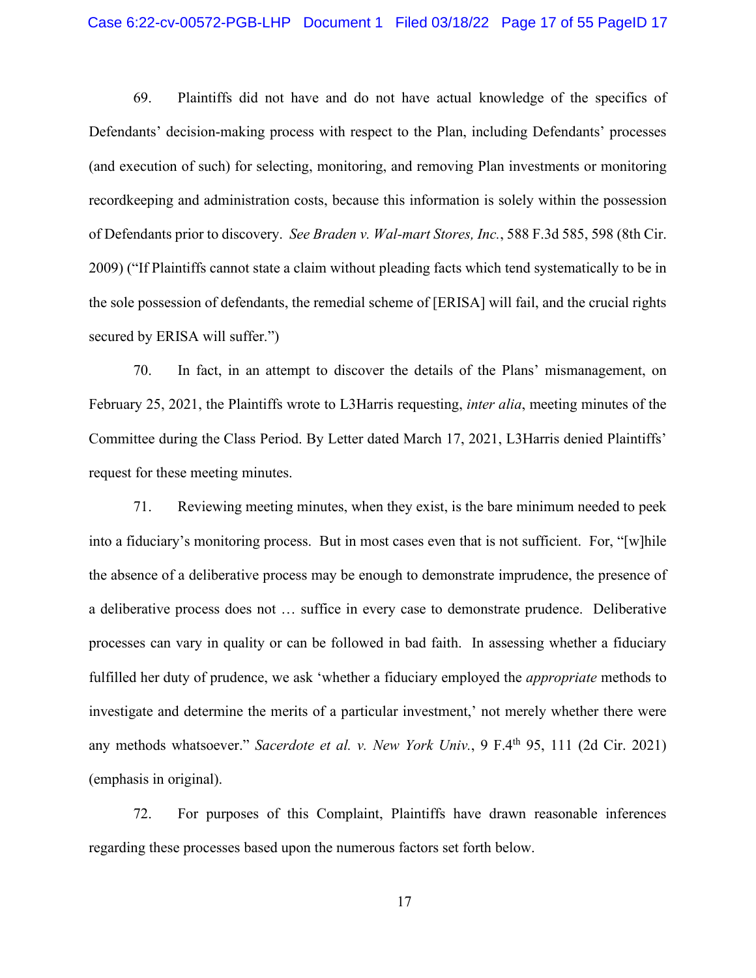#### Case 6:22-cv-00572-PGB-LHP Document 1 Filed 03/18/22 Page 17 of 55 PageID 17

69. Plaintiffs did not have and do not have actual knowledge of the specifics of Defendants' decision-making process with respect to the Plan, including Defendants' processes (and execution of such) for selecting, monitoring, and removing Plan investments or monitoring recordkeeping and administration costs, because this information is solely within the possession of Defendants prior to discovery. *See Braden v. Wal-mart Stores, Inc.*, 588 F.3d 585, 598 (8th Cir. 2009) ("If Plaintiffs cannot state a claim without pleading facts which tend systematically to be in the sole possession of defendants, the remedial scheme of [ERISA] will fail, and the crucial rights secured by ERISA will suffer.")

70. In fact, in an attempt to discover the details of the Plans' mismanagement, on February 25, 2021, the Plaintiffs wrote to L3Harris requesting, *inter alia*, meeting minutes of the Committee during the Class Period. By Letter dated March 17, 2021, L3Harris denied Plaintiffs' request for these meeting minutes.

71. Reviewing meeting minutes, when they exist, is the bare minimum needed to peek into a fiduciary's monitoring process. But in most cases even that is not sufficient. For, "[w]hile the absence of a deliberative process may be enough to demonstrate imprudence, the presence of a deliberative process does not … suffice in every case to demonstrate prudence. Deliberative processes can vary in quality or can be followed in bad faith. In assessing whether a fiduciary fulfilled her duty of prudence, we ask 'whether a fiduciary employed the *appropriate* methods to investigate and determine the merits of a particular investment,' not merely whether there were any methods whatsoever." *Sacerdote et al. v. New York Univ.*, 9 F.4<sup>th</sup> 95, 111 (2d Cir. 2021) (emphasis in original).

72. For purposes of this Complaint, Plaintiffs have drawn reasonable inferences regarding these processes based upon the numerous factors set forth below.

17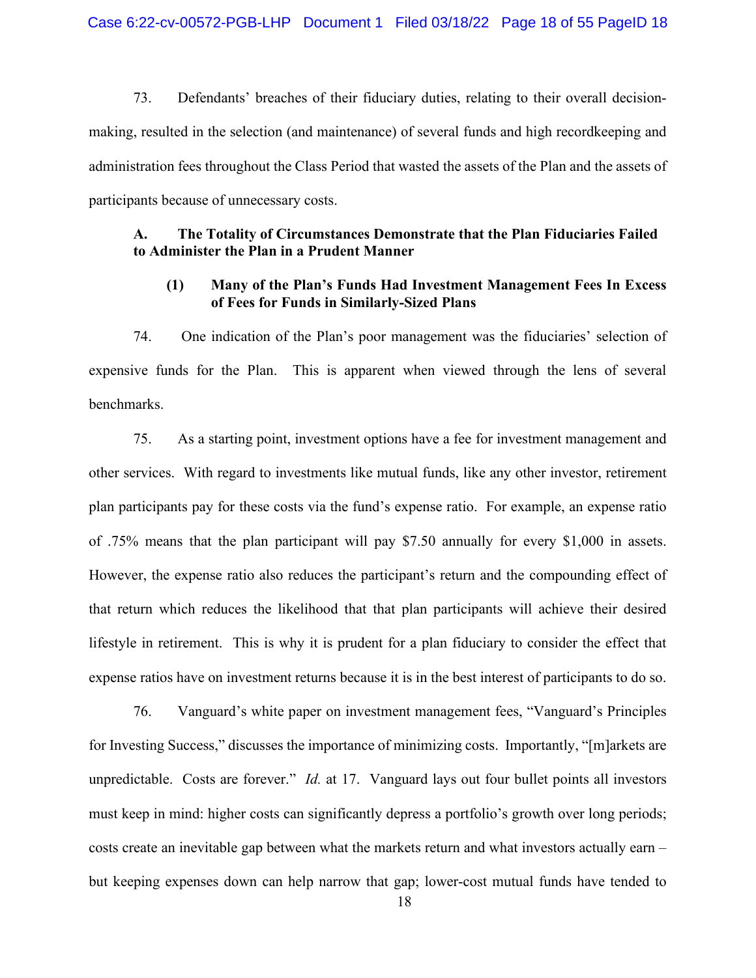73. Defendants' breaches of their fiduciary duties, relating to their overall decisionmaking, resulted in the selection (and maintenance) of several funds and high recordkeeping and administration fees throughout the Class Period that wasted the assets of the Plan and the assets of participants because of unnecessary costs.

### **A. The Totality of Circumstances Demonstrate that the Plan Fiduciaries Failed to Administer the Plan in a Prudent Manner**

## **(1) Many of the Plan's Funds Had Investment Management Fees In Excess of Fees for Funds in Similarly-Sized Plans**

74. One indication of the Plan's poor management was the fiduciaries' selection of expensive funds for the Plan. This is apparent when viewed through the lens of several benchmarks.

75. As a starting point, investment options have a fee for investment management and other services. With regard to investments like mutual funds, like any other investor, retirement plan participants pay for these costs via the fund's expense ratio. For example, an expense ratio of .75% means that the plan participant will pay \$7.50 annually for every \$1,000 in assets. However, the expense ratio also reduces the participant's return and the compounding effect of that return which reduces the likelihood that that plan participants will achieve their desired lifestyle in retirement. This is why it is prudent for a plan fiduciary to consider the effect that expense ratios have on investment returns because it is in the best interest of participants to do so.

76. Vanguard's white paper on investment management fees, "Vanguard's Principles for Investing Success," discusses the importance of minimizing costs. Importantly, "[m]arkets are unpredictable. Costs are forever." *Id.* at 17. Vanguard lays out four bullet points all investors must keep in mind: higher costs can significantly depress a portfolio's growth over long periods; costs create an inevitable gap between what the markets return and what investors actually earn – but keeping expenses down can help narrow that gap; lower-cost mutual funds have tended to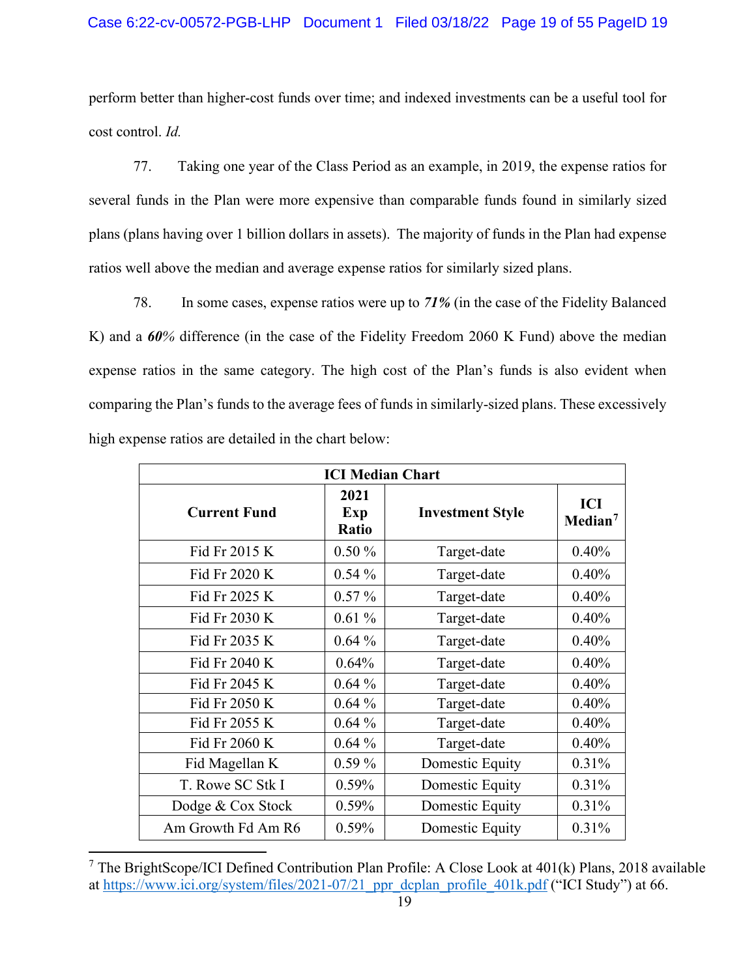### Case 6:22-cv-00572-PGB-LHP Document 1 Filed 03/18/22 Page 19 of 55 PageID 19

perform better than higher-cost funds over time; and indexed investments can be a useful tool for cost control. *Id.*

77. Taking one year of the Class Period as an example, in 2019, the expense ratios for several funds in the Plan were more expensive than comparable funds found in similarly sized plans (plans having over 1 billion dollars in assets). The majority of funds in the Plan had expense ratios well above the median and average expense ratios for similarly sized plans.

78. In some cases, expense ratios were up to *71%* (in the case of the Fidelity Balanced K) and a *60%* difference (in the case of the Fidelity Freedom 2060 K Fund) above the median expense ratios in the same category. The high cost of the Plan's funds is also evident when comparing the Plan's funds to the average fees of funds in similarly-sized plans. These excessively high expense ratios are detailed in the chart below:

| <b>ICI Median Chart</b> |                      |                         |                            |  |  |  |
|-------------------------|----------------------|-------------------------|----------------------------|--|--|--|
| <b>Current Fund</b>     | 2021<br>Exp<br>Ratio | <b>Investment Style</b> | ICI<br>Median <sup>7</sup> |  |  |  |
| Fid Fr 2015 K           | $0.50\%$             | Target-date             | 0.40%                      |  |  |  |
| Fid Fr 2020 K           | $0.54\%$             | Target-date             | 0.40%                      |  |  |  |
| Fid Fr 2025 K           | $0.57\%$             | Target-date             | 0.40%                      |  |  |  |
| Fid Fr 2030 K           | 0.61%                | Target-date             | 0.40%                      |  |  |  |
| Fid Fr 2035 K           | $0.64\%$             | Target-date             | 0.40%                      |  |  |  |
| Fid Fr 2040 K           | 0.64%                | Target-date             | 0.40%                      |  |  |  |
| Fid Fr 2045 K           | $0.64\%$             | Target-date             | 0.40%                      |  |  |  |
| Fid Fr 2050 K           | $0.64\%$             | Target-date             | 0.40%                      |  |  |  |
| Fid Fr 2055 K           | $0.64\%$             | Target-date             | 0.40%                      |  |  |  |
| Fid Fr 2060 K           | $0.64\%$             | Target-date             | 0.40%                      |  |  |  |
| Fid Magellan K          | $0.59\%$             | Domestic Equity         | 0.31%                      |  |  |  |
| T. Rowe SC Stk I        | $0.59\%$             | Domestic Equity         | 0.31%                      |  |  |  |
| Dodge & Cox Stock       | $0.59\%$             | Domestic Equity         | 0.31%                      |  |  |  |
| Am Growth Fd Am R6      | 0.59%                | Domestic Equity         | 0.31%                      |  |  |  |

<span id="page-18-0"></span><sup>7</sup> The BrightScope/ICI Defined Contribution Plan Profile: A Close Look at 401(k) Plans, 2018 available at https://www.ici.org/system/files/2021-07/21 ppr\_dcplan\_profile\_401k.pdf ("ICI Study") at 66.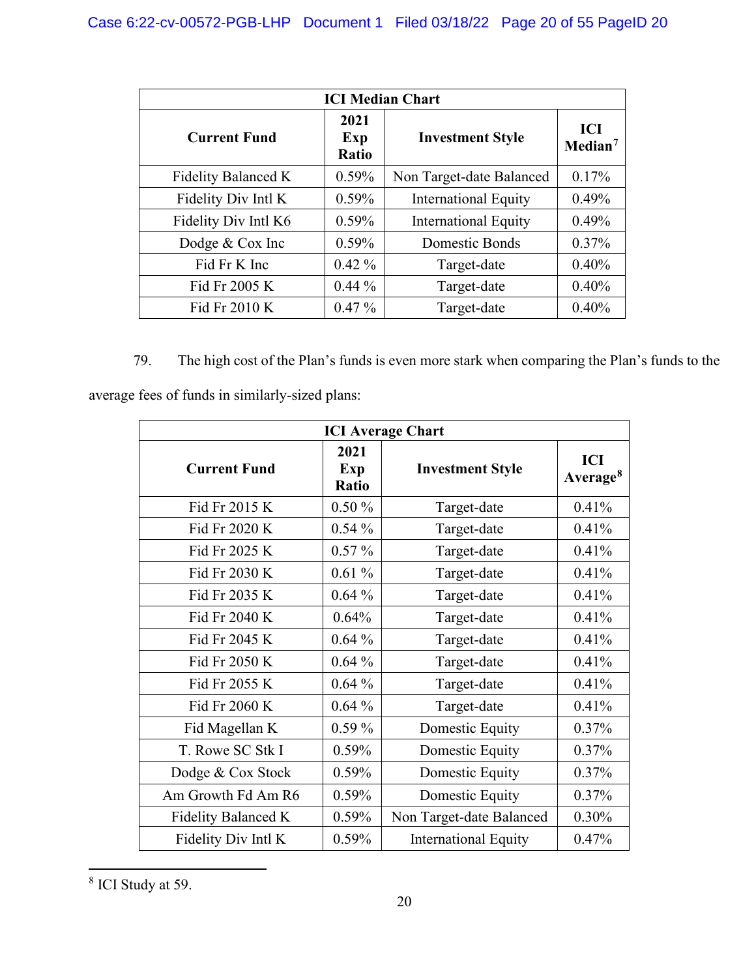| <b>ICI Median Chart</b> |                             |                             |                            |  |  |  |  |
|-------------------------|-----------------------------|-----------------------------|----------------------------|--|--|--|--|
| <b>Current Fund</b>     | 2021<br>Exp<br><b>Ratio</b> | <b>Investment Style</b>     | ICI<br>Median <sup>7</sup> |  |  |  |  |
| Fidelity Balanced K     | $0.59\%$                    | Non Target-date Balanced    | 0.17%                      |  |  |  |  |
| Fidelity Div Intl K     | $0.59\%$                    | <b>International Equity</b> | 0.49%                      |  |  |  |  |
| Fidelity Div Intl K6    | $0.59\%$                    | <b>International Equity</b> | 0.49%                      |  |  |  |  |
| Dodge & Cox Inc         | $0.59\%$                    | Domestic Bonds              | $0.37\%$                   |  |  |  |  |
| Fid Fr K Inc            | $0.42\%$                    | Target-date                 | 0.40%                      |  |  |  |  |
| Fid Fr 2005 K           | $0.44\%$                    | Target-date                 | 0.40%                      |  |  |  |  |
| Fid Fr 2010 K           | $0.47\%$                    | Target-date                 | 0.40%                      |  |  |  |  |

79. The high cost of the Plan's funds is even more stark when comparing the Plan's funds to the average fees of funds in similarly-sized plans:

| <b>ICI Average Chart</b> |                             |                             |                             |  |  |  |
|--------------------------|-----------------------------|-----------------------------|-----------------------------|--|--|--|
| <b>Current Fund</b>      | 2021<br>Exp<br><b>Ratio</b> | <b>Investment Style</b>     | ICI<br>Average <sup>8</sup> |  |  |  |
| Fid Fr 2015 K            | $0.50\%$                    | Target-date                 | 0.41%                       |  |  |  |
| Fid Fr 2020 K            | $0.54\%$                    | Target-date                 | 0.41%                       |  |  |  |
| Fid Fr 2025 K            | $0.57\%$                    | Target-date                 | 0.41%                       |  |  |  |
| Fid Fr 2030 K            | 0.61%                       | Target-date                 | 0.41%                       |  |  |  |
| Fid Fr 2035 K            | $0.64\%$                    | Target-date                 | 0.41%                       |  |  |  |
| Fid Fr 2040 K            | 0.64%                       | Target-date                 | 0.41%                       |  |  |  |
| Fid Fr 2045 K            | $0.64\%$                    | Target-date                 | 0.41%                       |  |  |  |
| Fid Fr 2050 K            | $0.64\%$                    | Target-date                 | 0.41%                       |  |  |  |
| Fid Fr 2055 K            | $0.64\%$                    | Target-date                 | 0.41%                       |  |  |  |
| Fid Fr 2060 K            | $0.64\%$                    | Target-date                 | 0.41%                       |  |  |  |
| Fid Magellan K           | $0.59\%$                    | Domestic Equity             | 0.37%                       |  |  |  |
| T. Rowe SC Stk I         | 0.59%                       | Domestic Equity             | 0.37%                       |  |  |  |
| Dodge & Cox Stock        | 0.59%                       | Domestic Equity             | 0.37%                       |  |  |  |
| Am Growth Fd Am R6       | 0.59%                       | Domestic Equity             | 0.37%                       |  |  |  |
| Fidelity Balanced K      | 0.59%                       | Non Target-date Balanced    | 0.30%                       |  |  |  |
| Fidelity Div Intl K      | 0.59%                       | <b>International Equity</b> | 0.47%                       |  |  |  |

<span id="page-19-0"></span><sup>8</sup> ICI Study at 59.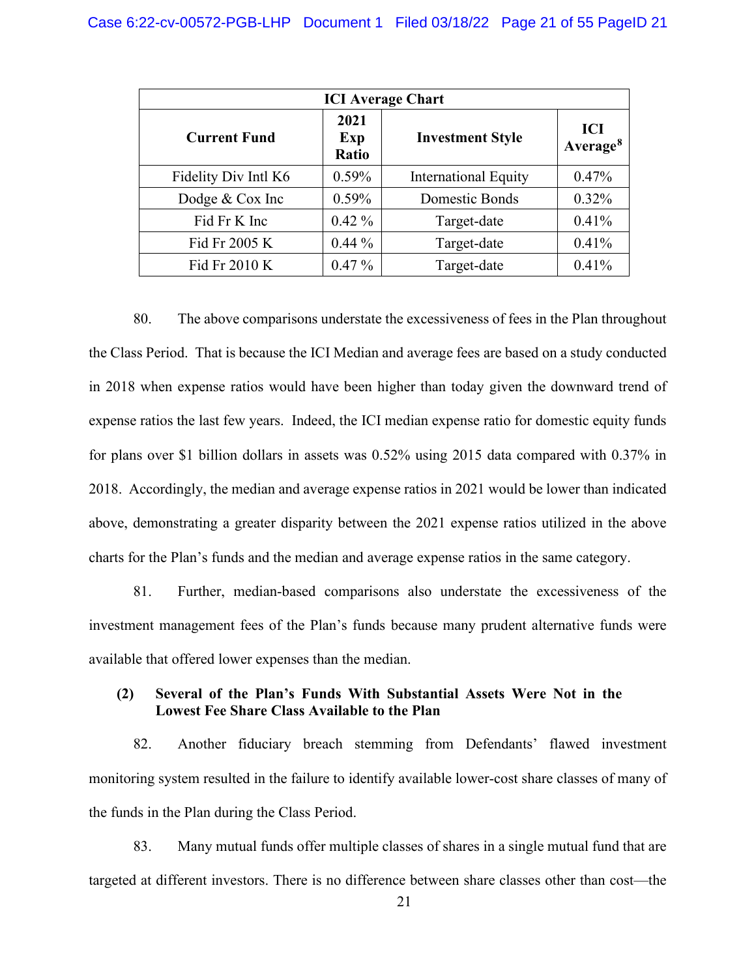| <b>ICI</b> Average Chart |                      |                             |                             |  |  |  |  |
|--------------------------|----------------------|-----------------------------|-----------------------------|--|--|--|--|
| <b>Current Fund</b>      | 2021<br>Exp<br>Ratio | <b>Investment Style</b>     | ICI<br>Average <sup>8</sup> |  |  |  |  |
| Fidelity Div Intl K6     | 0.59%                | <b>International Equity</b> | 0.47%                       |  |  |  |  |
| Dodge & Cox Inc          | $0.59\%$             | Domestic Bonds              | 0.32%                       |  |  |  |  |
| Fid Fr K Inc             | $0.42\%$             | Target-date                 | 0.41%                       |  |  |  |  |
| Fid Fr 2005 K            | $0.44\%$             | Target-date                 | 0.41%                       |  |  |  |  |
| Fid Fr 2010 K            | $0.47\%$             | Target-date                 | 0.41%                       |  |  |  |  |

80. The above comparisons understate the excessiveness of fees in the Plan throughout the Class Period. That is because the ICI Median and average fees are based on a study conducted in 2018 when expense ratios would have been higher than today given the downward trend of expense ratios the last few years. Indeed, the ICI median expense ratio for domestic equity funds for plans over \$1 billion dollars in assets was 0.52% using 2015 data compared with 0.37% in 2018. Accordingly, the median and average expense ratios in 2021 would be lower than indicated above, demonstrating a greater disparity between the 2021 expense ratios utilized in the above charts for the Plan's funds and the median and average expense ratios in the same category.

81. Further, median-based comparisons also understate the excessiveness of the investment management fees of the Plan's funds because many prudent alternative funds were available that offered lower expenses than the median.

### **(2) Several of the Plan's Funds With Substantial Assets Were Not in the Lowest Fee Share Class Available to the Plan**

82. Another fiduciary breach stemming from Defendants' flawed investment monitoring system resulted in the failure to identify available lower-cost share classes of many of the funds in the Plan during the Class Period.

83. Many mutual funds offer multiple classes of shares in a single mutual fund that are targeted at different investors. There is no difference between share classes other than cost—the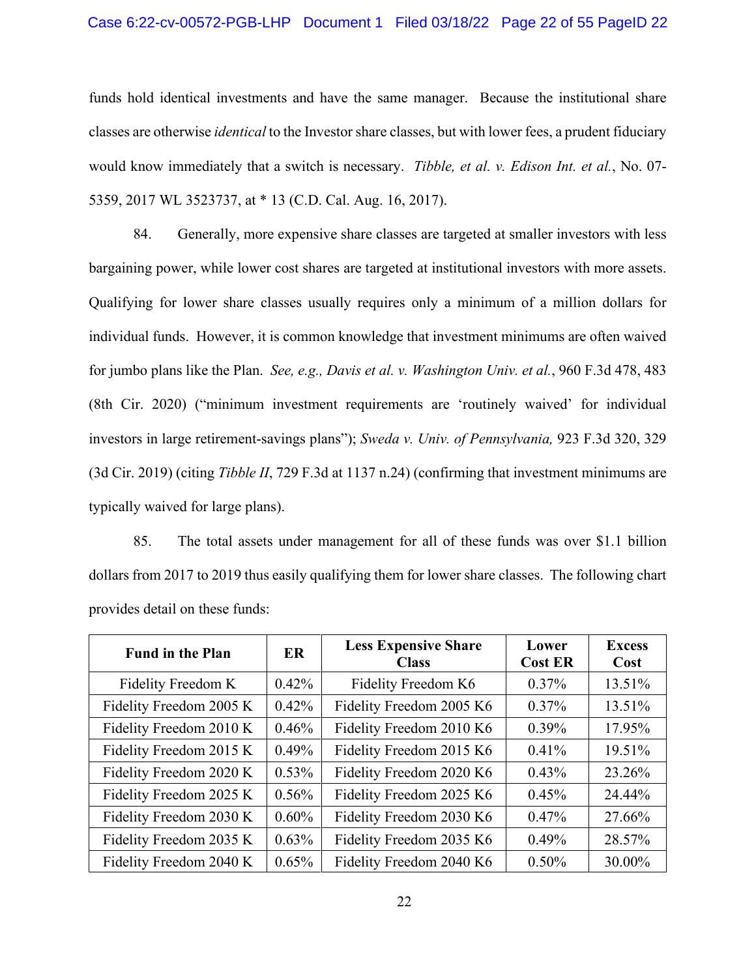## Case 6:22-cv-00572-PGB-LHP Document 1 Filed 03/18/22 Page 22 of 55 PageID 22

funds hold identical investments and have the same manager. Because the institutional share classes are otherwise *identical* to the Investor share classes, but with lower fees, a prudent fiduciary would know immediately that a switch is necessary. *Tibble, et al. v. Edison Int. et al.*, No. 07- 5359, 2017 WL 3523737, at \* 13 (C.D. Cal. Aug. 16, 2017).

84. Generally, more expensive share classes are targeted at smaller investors with less bargaining power, while lower cost shares are targeted at institutional investors with more assets. Qualifying for lower share classes usually requires only a minimum of a million dollars for individual funds. However, it is common knowledge that investment minimums are often waived for jumbo plans like the Plan. *See, e.g., Davis et al. v. Washington Univ. et al.*, 960 F.3d 478, 483 (8th Cir. 2020) ("minimum investment requirements are 'routinely waived' for individual investors in large retirement-savings plans"); *Sweda v. Univ. of Pennsylvania,* 923 F.3d 320, 329 (3d Cir. 2019) (citing *Tibble II*, 729 F.3d at 1137 n.24) (confirming that investment minimums are typically waived for large plans).

85. The total assets under management for all of these funds was over \$1.1 billion dollars from 2017 to 2019 thus easily qualifying them for lower share classes. The following chart provides detail on these funds:

| <b>Fund in the Plan</b> | ER       | <b>Less Expensive Share</b><br><b>Class</b> | Lower<br><b>Cost ER</b> | <b>Excess</b><br>Cost |
|-------------------------|----------|---------------------------------------------|-------------------------|-----------------------|
| Fidelity Freedom K      | $0.42\%$ | Fidelity Freedom K6                         | 0.37%                   | 13.51%                |
| Fidelity Freedom 2005 K | $0.42\%$ | Fidelity Freedom 2005 K6                    | $0.37\%$                | 13.51%                |
| Fidelity Freedom 2010 K | 0.46%    | Fidelity Freedom 2010 K6                    | 0.39%                   | 17.95%                |
| Fidelity Freedom 2015 K | 0.49%    | Fidelity Freedom 2015 K6                    | 0.41%                   | 19.51%                |
| Fidelity Freedom 2020 K | $0.53\%$ | Fidelity Freedom 2020 K6                    | 0.43%                   | 23.26%                |
| Fidelity Freedom 2025 K | $0.56\%$ | Fidelity Freedom 2025 K6                    | 0.45%                   | 24.44%                |
| Fidelity Freedom 2030 K | $0.60\%$ | Fidelity Freedom 2030 K6                    | 0.47%                   | 27.66%                |
| Fidelity Freedom 2035 K | $0.63\%$ | Fidelity Freedom 2035 K6                    | 0.49%                   | 28.57%                |
| Fidelity Freedom 2040 K | $0.65\%$ | Fidelity Freedom 2040 K6                    | $0.50\%$                | 30.00%                |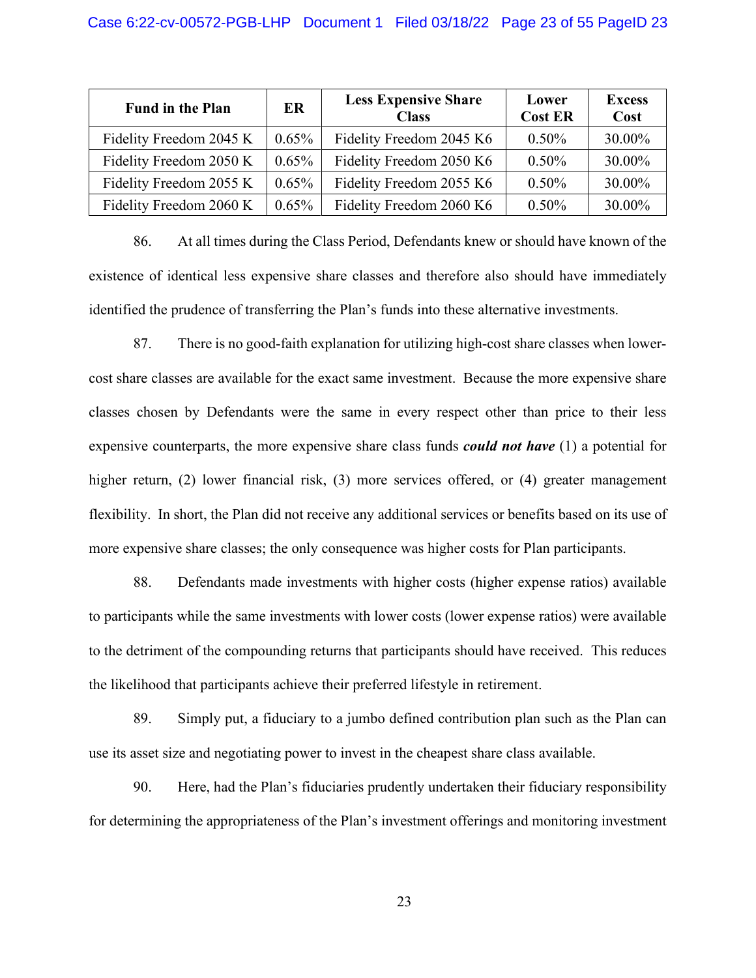| <b>Fund in the Plan</b> | ER       | <b>Less Expensive Share</b><br><b>Class</b> | Lower<br><b>Cost ER</b> | <b>Excess</b><br>Cost |
|-------------------------|----------|---------------------------------------------|-------------------------|-----------------------|
| Fidelity Freedom 2045 K | $0.65\%$ | Fidelity Freedom 2045 K6                    | $0.50\%$                | 30.00%                |
| Fidelity Freedom 2050 K | $0.65\%$ | Fidelity Freedom 2050 K6                    | $0.50\%$                | 30.00%                |
| Fidelity Freedom 2055 K | $0.65\%$ | Fidelity Freedom 2055 K6                    | $0.50\%$                | 30.00%                |
| Fidelity Freedom 2060 K | $0.65\%$ | Fidelity Freedom 2060 K6                    | $0.50\%$                | 30.00%                |

86. At all times during the Class Period, Defendants knew or should have known of the existence of identical less expensive share classes and therefore also should have immediately identified the prudence of transferring the Plan's funds into these alternative investments.

87. There is no good-faith explanation for utilizing high-cost share classes when lowercost share classes are available for the exact same investment. Because the more expensive share classes chosen by Defendants were the same in every respect other than price to their less expensive counterparts, the more expensive share class funds *could not have* (1) a potential for higher return, (2) lower financial risk, (3) more services offered, or (4) greater management flexibility. In short, the Plan did not receive any additional services or benefits based on its use of more expensive share classes; the only consequence was higher costs for Plan participants.

88. Defendants made investments with higher costs (higher expense ratios) available to participants while the same investments with lower costs (lower expense ratios) were available to the detriment of the compounding returns that participants should have received. This reduces the likelihood that participants achieve their preferred lifestyle in retirement.

89. Simply put, a fiduciary to a jumbo defined contribution plan such as the Plan can use its asset size and negotiating power to invest in the cheapest share class available.

90. Here, had the Plan's fiduciaries prudently undertaken their fiduciary responsibility for determining the appropriateness of the Plan's investment offerings and monitoring investment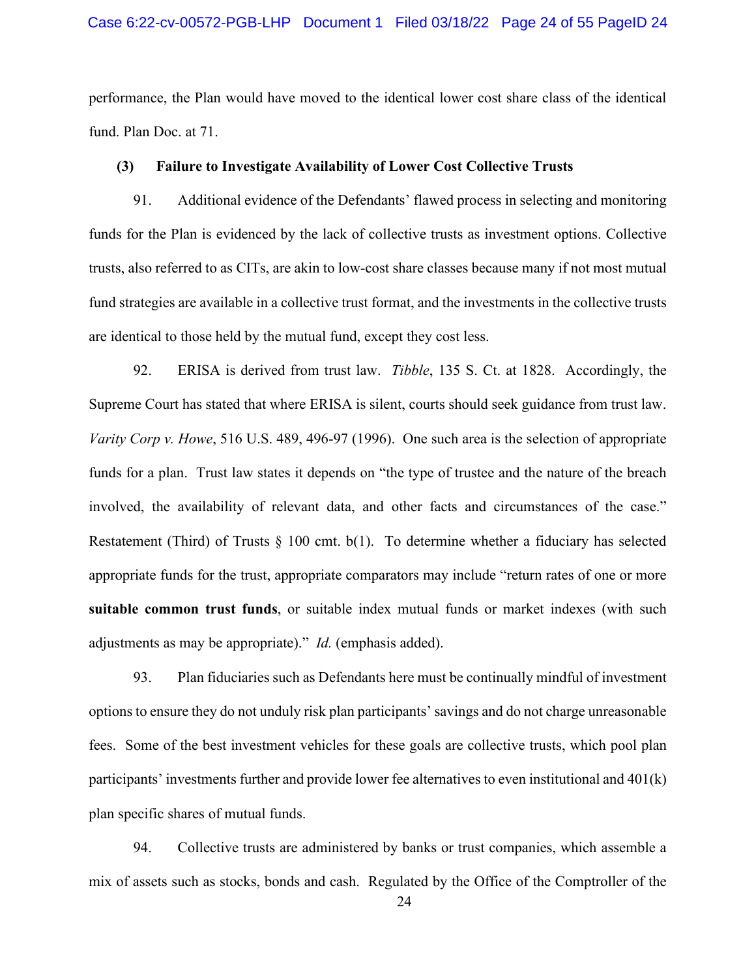#### Case 6:22-cv-00572-PGB-LHP Document 1 Filed 03/18/22 Page 24 of 55 PageID 24

performance, the Plan would have moved to the identical lower cost share class of the identical fund. Plan Doc. at 71.

### **(3) Failure to Investigate Availability of Lower Cost Collective Trusts**

91. Additional evidence of the Defendants' flawed process in selecting and monitoring funds for the Plan is evidenced by the lack of collective trusts as investment options. Collective trusts, also referred to as CITs, are akin to low-cost share classes because many if not most mutual fund strategies are available in a collective trust format, and the investments in the collective trusts are identical to those held by the mutual fund, except they cost less.

92. ERISA is derived from trust law. *Tibble*, 135 S. Ct. at 1828. Accordingly, the Supreme Court has stated that where ERISA is silent, courts should seek guidance from trust law. *Varity Corp v. Howe*, 516 U.S. 489, 496-97 (1996). One such area is the selection of appropriate funds for a plan. Trust law states it depends on "the type of trustee and the nature of the breach involved, the availability of relevant data, and other facts and circumstances of the case." Restatement (Third) of Trusts  $\S$  100 cmt. b(1). To determine whether a fiduciary has selected appropriate funds for the trust, appropriate comparators may include "return rates of one or more **suitable common trust funds**, or suitable index mutual funds or market indexes (with such adjustments as may be appropriate)." *Id.* (emphasis added).

93. Plan fiduciaries such as Defendants here must be continually mindful of investment options to ensure they do not unduly risk plan participants' savings and do not charge unreasonable fees. Some of the best investment vehicles for these goals are collective trusts, which pool plan participants' investments further and provide lower fee alternatives to even institutional and 401(k) plan specific shares of mutual funds.

94. Collective trusts are administered by banks or trust companies, which assemble a mix of assets such as stocks, bonds and cash. Regulated by the Office of the Comptroller of the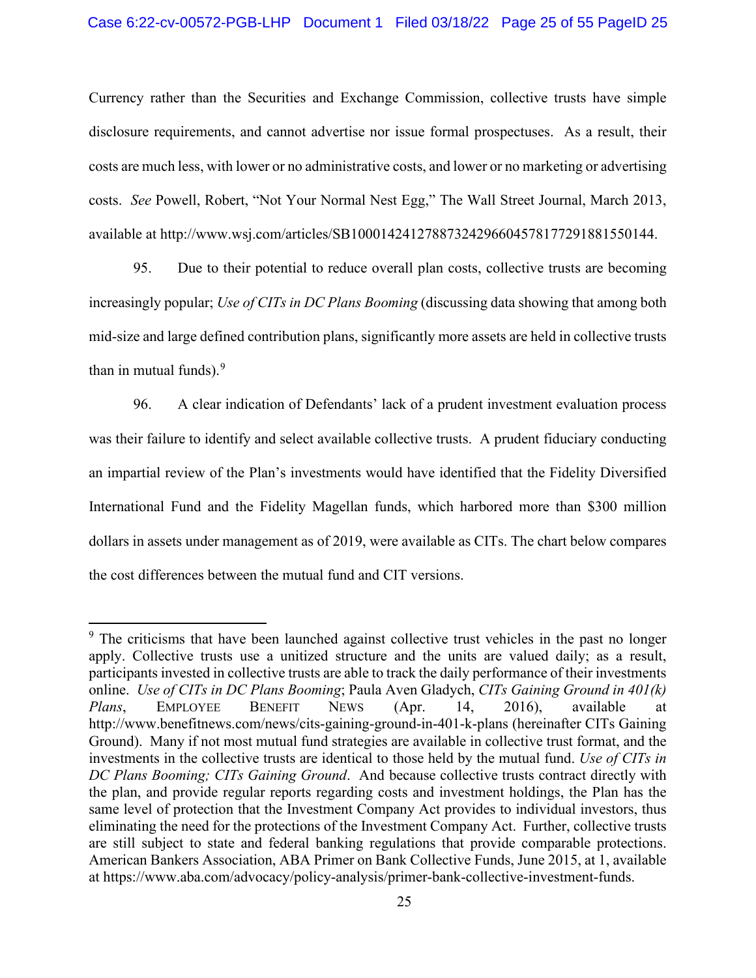Currency rather than the Securities and Exchange Commission, collective trusts have simple disclosure requirements, and cannot advertise nor issue formal prospectuses. As a result, their costs are much less, with lower or no administrative costs, and lower or no marketing or advertising costs. *See* Powell, Robert, "Not Your Normal Nest Egg," The Wall Street Journal, March 2013, available at http://www.wsj.com/articles/SB10001424127887324296604578177291881550144.

95. Due to their potential to reduce overall plan costs, collective trusts are becoming increasingly popular; *Use of CITs in DC Plans Booming* (discussing data showing that among both mid-size and large defined contribution plans, significantly more assets are held in collective trusts than in mutual funds). $9$ 

96. A clear indication of Defendants' lack of a prudent investment evaluation process was their failure to identify and select available collective trusts. A prudent fiduciary conducting an impartial review of the Plan's investments would have identified that the Fidelity Diversified International Fund and the Fidelity Magellan funds, which harbored more than \$300 million dollars in assets under management as of 2019, were available as CITs. The chart below compares the cost differences between the mutual fund and CIT versions.

<span id="page-24-0"></span><sup>&</sup>lt;sup>9</sup> The criticisms that have been launched against collective trust vehicles in the past no longer apply. Collective trusts use a unitized structure and the units are valued daily; as a result, participants invested in collective trusts are able to track the daily performance of their investments online. *Use of CITs in DC Plans Booming*; Paula Aven Gladych, *CITs Gaining Ground in 401(k) Plans*, EMPLOYEE BENEFIT NEWS (Apr. 14, 2016), available at http://www.benefitnews.com/news/cits-gaining-ground-in-401-k-plans (hereinafter CITs Gaining Ground). Many if not most mutual fund strategies are available in collective trust format, and the investments in the collective trusts are identical to those held by the mutual fund. *Use of CITs in DC Plans Booming; CITs Gaining Ground*. And because collective trusts contract directly with the plan, and provide regular reports regarding costs and investment holdings, the Plan has the same level of protection that the Investment Company Act provides to individual investors, thus eliminating the need for the protections of the Investment Company Act. Further, collective trusts are still subject to state and federal banking regulations that provide comparable protections. American Bankers Association, ABA Primer on Bank Collective Funds, June 2015, at 1, available at https://www.aba.com/advocacy/policy-analysis/primer-bank-collective-investment-funds.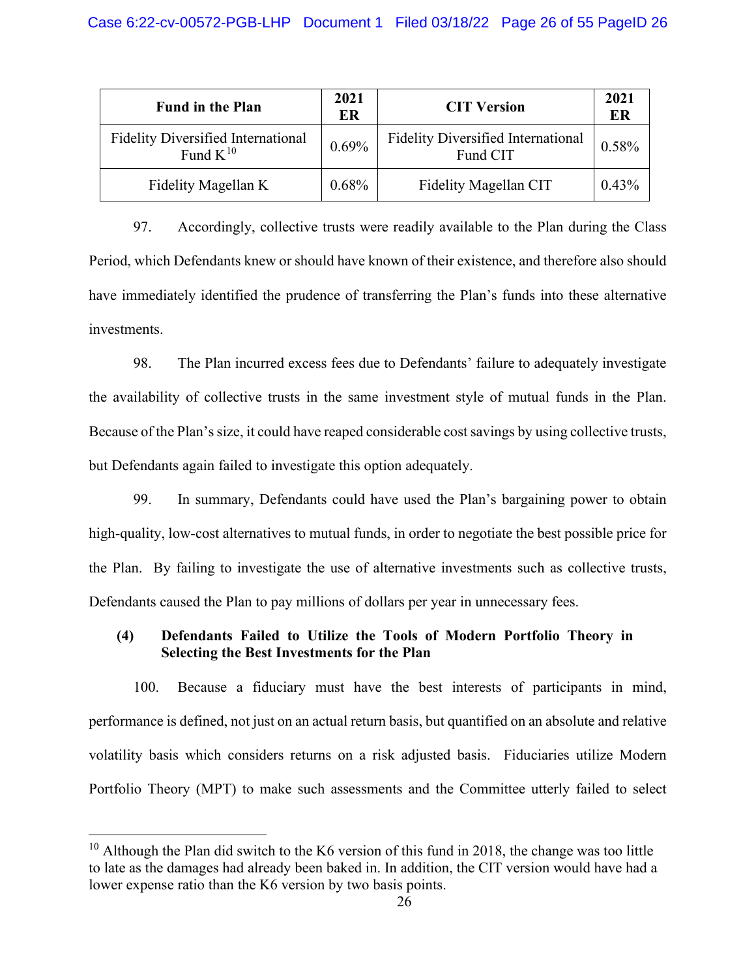| <b>Fund in the Plan</b>                                    | 2021<br>ER | <b>CIT Version</b>                                    | 2021<br>ER |
|------------------------------------------------------------|------------|-------------------------------------------------------|------------|
| <b>Fidelity Diversified International</b><br>Fund $K^{10}$ | 0.69%      | <b>Fidelity Diversified International</b><br>Fund CIT | 0.58%      |
| Fidelity Magellan K                                        | $0.68\%$   | Fidelity Magellan CIT                                 | $0.43\%$   |

97. Accordingly, collective trusts were readily available to the Plan during the Class Period, which Defendants knew or should have known of their existence, and therefore also should have immediately identified the prudence of transferring the Plan's funds into these alternative investments.

98. The Plan incurred excess fees due to Defendants' failure to adequately investigate the availability of collective trusts in the same investment style of mutual funds in the Plan. Because of the Plan's size, it could have reaped considerable cost savings by using collective trusts, but Defendants again failed to investigate this option adequately.

99. In summary, Defendants could have used the Plan's bargaining power to obtain high-quality, low-cost alternatives to mutual funds, in order to negotiate the best possible price for the Plan. By failing to investigate the use of alternative investments such as collective trusts, Defendants caused the Plan to pay millions of dollars per year in unnecessary fees.

### **(4) Defendants Failed to Utilize the Tools of Modern Portfolio Theory in Selecting the Best Investments for the Plan**

100. Because a fiduciary must have the best interests of participants in mind, performance is defined, not just on an actual return basis, but quantified on an absolute and relative volatility basis which considers returns on a risk adjusted basis. Fiduciaries utilize Modern Portfolio Theory (MPT) to make such assessments and the Committee utterly failed to select

<span id="page-25-0"></span><sup>&</sup>lt;sup>10</sup> Although the Plan did switch to the K6 version of this fund in 2018, the change was too little to late as the damages had already been baked in. In addition, the CIT version would have had a lower expense ratio than the K6 version by two basis points.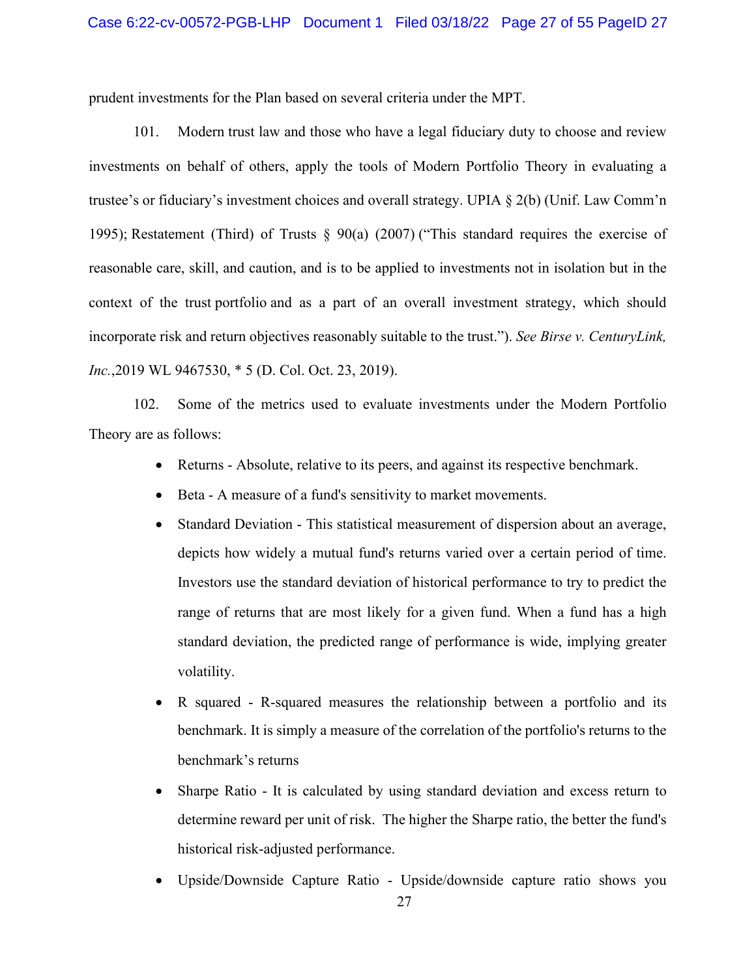prudent investments for the Plan based on several criteria under the MPT.

101. Modern trust law and those who have a legal fiduciary duty to choose and review investments on behalf of others, apply the tools of Modern Portfolio Theory in evaluating a trustee's or fiduciary's investment choices and overall strategy. UPIA § 2(b) (Unif. Law Comm'n 1995); Restatement (Third) of Trusts § 90(a) (2007) ("This standard requires the exercise of reasonable care, skill, and caution, and is to be applied to investments not in isolation but in the context of the trust portfolio and as a part of an overall investment strategy, which should incorporate risk and return objectives reasonably suitable to the trust."). *See Birse v. CenturyLink, Inc.*,2019 WL 9467530, \* 5 (D. Col. Oct. 23, 2019).

102. Some of the metrics used to evaluate investments under the Modern Portfolio Theory are as follows:

- Returns Absolute, relative to its peers, and against its respective benchmark.
- Beta A measure of a fund's sensitivity to market movements.
- Standard Deviation This statistical measurement of dispersion about an average, depicts how widely a mutual fund's returns varied over a certain period of time. Investors use the standard deviation of historical performance to try to predict the range of returns that are most likely for a given fund. When a fund has a high standard deviation, the predicted range of performance is wide, implying greater volatility.
- R squared R-squared measures the relationship between a portfolio and its benchmark. It is simply a measure of the correlation of the portfolio's returns to the benchmark's returns
- Sharpe Ratio It is calculated by using standard deviation and excess return to determine reward per unit of risk. The higher the Sharpe ratio, the better the fund's historical risk-adjusted performance.
- Upside/Downside Capture Ratio Upside/downside capture ratio shows you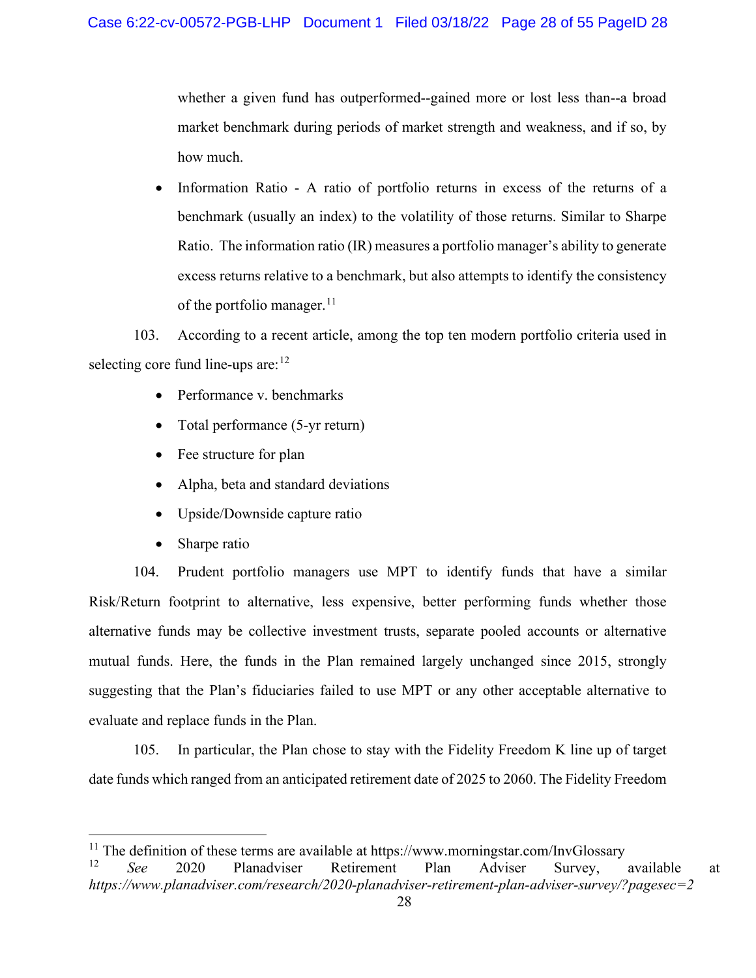whether a given fund has outperformed--gained more or lost less than--a broad market benchmark during periods of market strength and weakness, and if so, by how much.

• Information Ratio - A ratio of portfolio returns in excess of the returns of a benchmark (usually an index) to the volatility of those returns. Similar to Sharpe Ratio. The information ratio (IR) measures a portfolio manager's ability to generate excess returns relative to a benchmark, but also attempts to identify the consistency of the portfolio manager. $^{11}$  $^{11}$  $^{11}$ 

103. According to a recent article, among the top ten modern portfolio criteria used in selecting core fund line-ups are:  $12$ 

- Performance v. benchmarks
- Total performance (5-yr return)
- Fee structure for plan
- Alpha, beta and standard deviations
- Upside/Downside capture ratio
- Sharpe ratio

104. Prudent portfolio managers use MPT to identify funds that have a similar Risk/Return footprint to alternative, less expensive, better performing funds whether those alternative funds may be collective investment trusts, separate pooled accounts or alternative mutual funds. Here, the funds in the Plan remained largely unchanged since 2015, strongly suggesting that the Plan's fiduciaries failed to use MPT or any other acceptable alternative to evaluate and replace funds in the Plan.

105. In particular, the Plan chose to stay with the Fidelity Freedom K line up of target date funds which ranged from an anticipated retirement date of 2025 to 2060. The Fidelity Freedom

<span id="page-27-1"></span><span id="page-27-0"></span><sup>&</sup>lt;sup>11</sup> The definition of these terms are available at https://www.morningstar.com/InvGlossary<br><sup>12</sup> See 2020 Planadviser Retirement Plan, Adviser Survey <sup>12</sup> *See* 2020 Planadviser Retirement Plan Adviser Survey, available at *https://www.planadviser.com/research/2020-planadviser-retirement-plan-adviser-survey/?pagesec=2*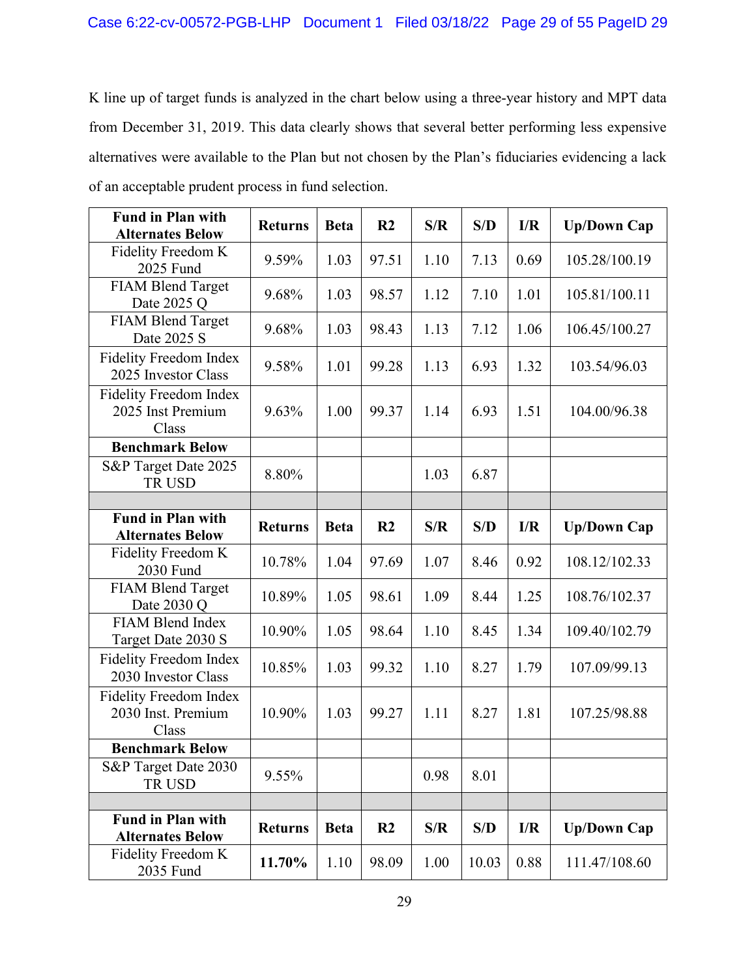K line up of target funds is analyzed in the chart below using a three-year history and MPT data from December 31, 2019. This data clearly shows that several better performing less expensive alternatives were available to the Plan but not chosen by the Plan's fiduciaries evidencing a lack of an acceptable prudent process in fund selection.

| <b>Fund in Plan with</b><br><b>Alternates Below</b>          | <b>Returns</b> | <b>Beta</b> | R <sub>2</sub> | S/R  | S/D   | I/R  | <b>Up/Down Cap</b> |
|--------------------------------------------------------------|----------------|-------------|----------------|------|-------|------|--------------------|
| Fidelity Freedom K<br>2025 Fund                              | 9.59%          | 1.03        | 97.51          | 1.10 | 7.13  | 0.69 | 105.28/100.19      |
| <b>FIAM Blend Target</b><br>Date 2025 Q                      | 9.68%          | 1.03        | 98.57          | 1.12 | 7.10  | 1.01 | 105.81/100.11      |
| <b>FIAM Blend Target</b><br>Date 2025 S                      | 9.68%          | 1.03        | 98.43          | 1.13 | 7.12  | 1.06 | 106.45/100.27      |
| Fidelity Freedom Index<br>2025 Investor Class                | 9.58%          | 1.01        | 99.28          | 1.13 | 6.93  | 1.32 | 103.54/96.03       |
| <b>Fidelity Freedom Index</b><br>2025 Inst Premium<br>Class  | 9.63%          | 1.00        | 99.37          | 1.14 | 6.93  | 1.51 | 104.00/96.38       |
| <b>Benchmark Below</b>                                       |                |             |                |      |       |      |                    |
| S&P Target Date 2025<br><b>TRUSD</b>                         | 8.80%          |             |                | 1.03 | 6.87  |      |                    |
|                                                              |                |             |                |      |       |      |                    |
| <b>Fund in Plan with</b><br><b>Alternates Below</b>          | <b>Returns</b> | <b>Beta</b> | R <sub>2</sub> | S/R  | S/D   | I/R  | <b>Up/Down Cap</b> |
| Fidelity Freedom K<br>2030 Fund                              | 10.78%         | 1.04        | 97.69          | 1.07 | 8.46  | 0.92 | 108.12/102.33      |
| <b>FIAM Blend Target</b><br>Date 2030 Q                      | 10.89%         | 1.05        | 98.61          | 1.09 | 8.44  | 1.25 | 108.76/102.37      |
| <b>FIAM Blend Index</b><br>Target Date 2030 S                | 10.90%         | 1.05        | 98.64          | 1.10 | 8.45  | 1.34 | 109.40/102.79      |
| <b>Fidelity Freedom Index</b><br>2030 Investor Class         | 10.85%         | 1.03        | 99.32          | 1.10 | 8.27  | 1.79 | 107.09/99.13       |
| <b>Fidelity Freedom Index</b><br>2030 Inst. Premium<br>Class | 10.90%         | 1.03        | 99.27          | 1.11 | 8.27  | 1.81 | 107.25/98.88       |
| <b>Benchmark Below</b>                                       |                |             |                |      |       |      |                    |
| S&P Target Date 2030<br>TR USD                               | 9.55%          |             |                | 0.98 | 8.01  |      |                    |
|                                                              |                |             |                |      |       |      |                    |
| <b>Fund in Plan with</b><br><b>Alternates Below</b>          | <b>Returns</b> | <b>Beta</b> | R <sub>2</sub> | S/R  | S/D   | I/R  | <b>Up/Down Cap</b> |
| Fidelity Freedom K<br>2035 Fund                              | 11.70%         | 1.10        | 98.09          | 1.00 | 10.03 | 0.88 | 111.47/108.60      |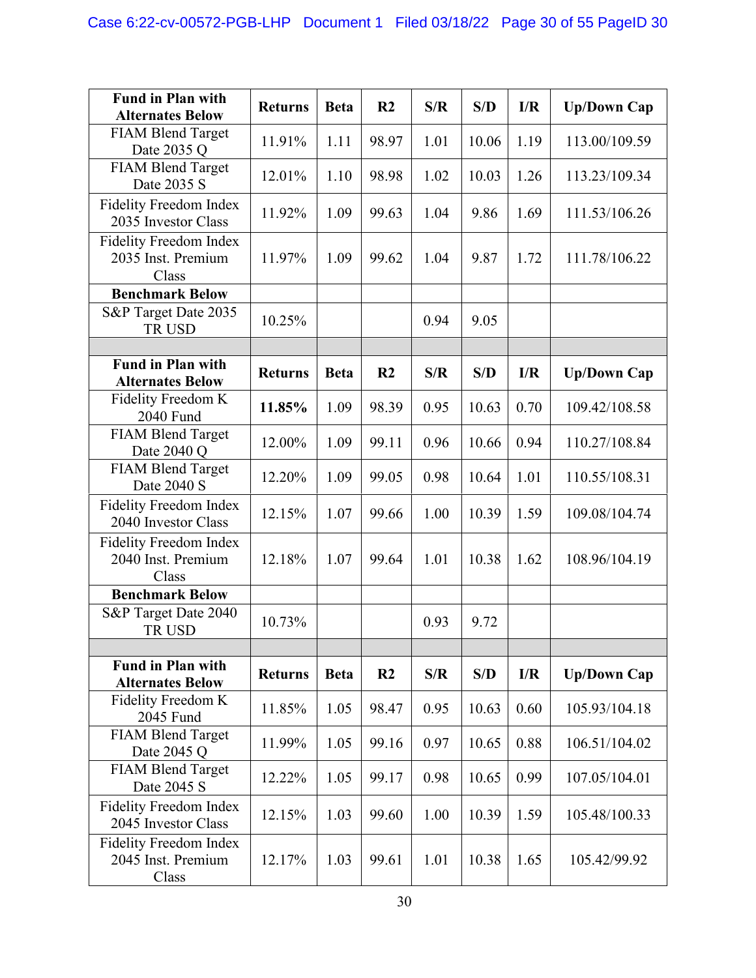| <b>Fund in Plan with</b>                                     | <b>Returns</b> | <b>Beta</b> | R <sub>2</sub> | S/R  | S/D   | I/R  | <b>Up/Down Cap</b> |
|--------------------------------------------------------------|----------------|-------------|----------------|------|-------|------|--------------------|
| <b>Alternates Below</b><br><b>FIAM Blend Target</b>          |                |             |                |      |       |      |                    |
| Date 2035 Q                                                  | 11.91%         | 1.11        | 98.97          | 1.01 | 10.06 | 1.19 | 113.00/109.59      |
| <b>FIAM Blend Target</b><br>Date 2035 S                      | 12.01%         | 1.10        | 98.98          | 1.02 | 10.03 | 1.26 | 113.23/109.34      |
| <b>Fidelity Freedom Index</b><br>2035 Investor Class         | 11.92%         | 1.09        | 99.63          | 1.04 | 9.86  | 1.69 | 111.53/106.26      |
| <b>Fidelity Freedom Index</b><br>2035 Inst. Premium<br>Class | 11.97%         | 1.09        | 99.62          | 1.04 | 9.87  | 1.72 | 111.78/106.22      |
| <b>Benchmark Below</b>                                       |                |             |                |      |       |      |                    |
| S&P Target Date 2035<br>TR USD                               | 10.25%         |             |                | 0.94 | 9.05  |      |                    |
|                                                              |                |             |                |      |       |      |                    |
| <b>Fund in Plan with</b><br><b>Alternates Below</b>          | <b>Returns</b> | <b>Beta</b> | R <sub>2</sub> | S/R  | S/D   | I/R  | <b>Up/Down Cap</b> |
| Fidelity Freedom K<br>2040 Fund                              | 11.85%         | 1.09        | 98.39          | 0.95 | 10.63 | 0.70 | 109.42/108.58      |
| <b>FIAM Blend Target</b><br>Date 2040 Q                      | 12.00%         | 1.09        | 99.11          | 0.96 | 10.66 | 0.94 | 110.27/108.84      |
| <b>FIAM Blend Target</b><br>Date 2040 S                      | 12.20%         | 1.09        | 99.05          | 0.98 | 10.64 | 1.01 | 110.55/108.31      |
| <b>Fidelity Freedom Index</b><br>2040 Investor Class         | 12.15%         | 1.07        | 99.66          | 1.00 | 10.39 | 1.59 | 109.08/104.74      |
| <b>Fidelity Freedom Index</b><br>2040 Inst. Premium<br>Class | 12.18%         | 1.07        | 99.64          | 1.01 | 10.38 | 1.62 | 108.96/104.19      |
| <b>Benchmark Below</b>                                       |                |             |                |      |       |      |                    |
| S&P Target Date 2040<br>TR USD                               | 10.73%         |             |                | 0.93 | 9.72  |      |                    |
|                                                              |                |             |                |      |       |      |                    |
| <b>Fund in Plan with</b><br><b>Alternates Below</b>          | <b>Returns</b> | <b>Beta</b> | R <sub>2</sub> | S/R  | S/D   | I/R  | <b>Up/Down Cap</b> |
| Fidelity Freedom K<br>2045 Fund                              | 11.85%         | 1.05        | 98.47          | 0.95 | 10.63 | 0.60 | 105.93/104.18      |
| <b>FIAM Blend Target</b><br>Date 2045 Q                      | 11.99%         | 1.05        | 99.16          | 0.97 | 10.65 | 0.88 | 106.51/104.02      |
| <b>FIAM Blend Target</b><br>Date 2045 S                      | 12.22%         | 1.05        | 99.17          | 0.98 | 10.65 | 0.99 | 107.05/104.01      |
| <b>Fidelity Freedom Index</b><br>2045 Investor Class         | 12.15%         | 1.03        | 99.60          | 1.00 | 10.39 | 1.59 | 105.48/100.33      |
| <b>Fidelity Freedom Index</b><br>2045 Inst. Premium<br>Class | 12.17%         | 1.03        | 99.61          | 1.01 | 10.38 | 1.65 | 105.42/99.92       |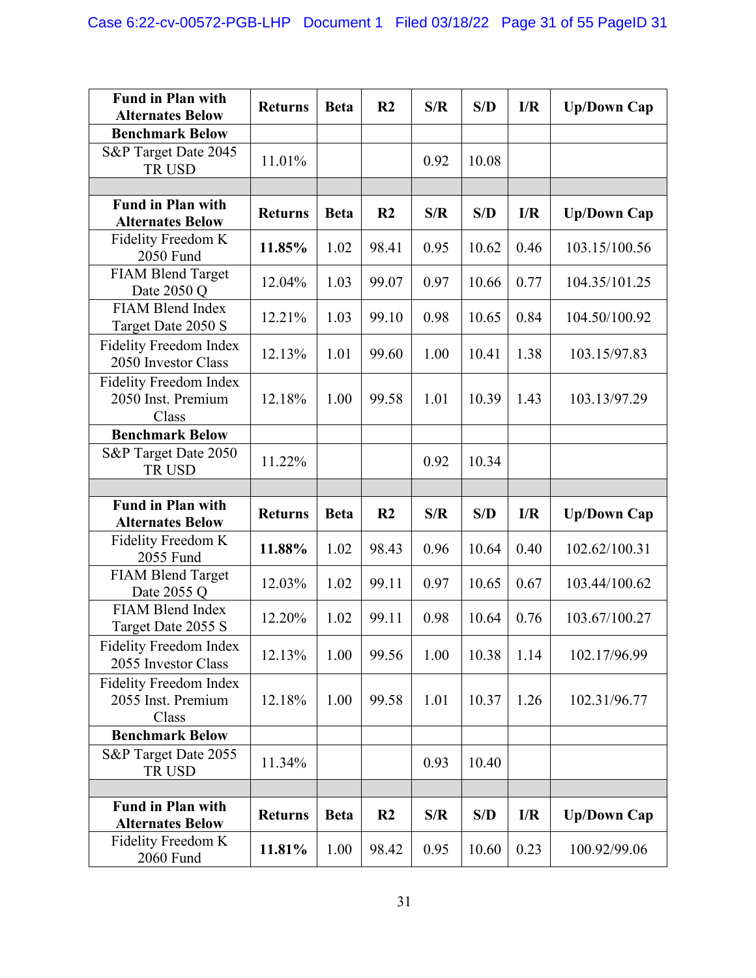| <b>Fund in Plan with</b><br><b>Alternates Below</b>          | <b>Returns</b> | <b>Beta</b> | R <sub>2</sub> | S/R  | S/D   | I/R  | <b>Up/Down Cap</b> |
|--------------------------------------------------------------|----------------|-------------|----------------|------|-------|------|--------------------|
| <b>Benchmark Below</b>                                       |                |             |                |      |       |      |                    |
| S&P Target Date 2045<br>TR USD                               | 11.01%         |             |                | 0.92 | 10.08 |      |                    |
|                                                              |                |             |                |      |       |      |                    |
| <b>Fund in Plan with</b><br><b>Alternates Below</b>          | <b>Returns</b> | <b>Beta</b> | R <sub>2</sub> | S/R  | S/D   | I/R  | <b>Up/Down Cap</b> |
| Fidelity Freedom K<br>2050 Fund                              | 11.85%         | 1.02        | 98.41          | 0.95 | 10.62 | 0.46 | 103.15/100.56      |
| <b>FIAM Blend Target</b><br>Date 2050 Q                      | 12.04%         | 1.03        | 99.07          | 0.97 | 10.66 | 0.77 | 104.35/101.25      |
| <b>FIAM Blend Index</b><br>Target Date 2050 S                | 12.21%         | 1.03        | 99.10          | 0.98 | 10.65 | 0.84 | 104.50/100.92      |
| <b>Fidelity Freedom Index</b><br>2050 Investor Class         | 12.13%         | 1.01        | 99.60          | 1.00 | 10.41 | 1.38 | 103.15/97.83       |
| <b>Fidelity Freedom Index</b><br>2050 Inst. Premium<br>Class | 12.18%         | 1.00        | 99.58          | 1.01 | 10.39 | 1.43 | 103.13/97.29       |
| <b>Benchmark Below</b>                                       |                |             |                |      |       |      |                    |
| S&P Target Date 2050<br>TR USD                               | 11.22%         |             |                | 0.92 | 10.34 |      |                    |
|                                                              |                |             |                |      |       |      |                    |
|                                                              |                |             |                |      |       |      |                    |
| <b>Fund in Plan with</b><br><b>Alternates Below</b>          | <b>Returns</b> | <b>Beta</b> | R <sub>2</sub> | S/R  | S/D   | I/R  | <b>Up/Down Cap</b> |
| Fidelity Freedom K<br>2055 Fund                              | 11.88%         | 1.02        | 98.43          | 0.96 | 10.64 | 0.40 | 102.62/100.31      |
| <b>FIAM Blend Target</b><br>Date 2055 Q                      | 12.03%         | 1.02        | 99.11          | 0.97 | 10.65 | 0.67 | 103.44/100.62      |
| FIAM Blend Index<br>Target Date 2055 S                       | 12.20%         | 1.02        | 99.11          | 0.98 | 10.64 | 0.76 | 103.67/100.27      |
| <b>Fidelity Freedom Index</b><br>2055 Investor Class         | 12.13%         | 1.00        | 99.56          | 1.00 | 10.38 | 1.14 | 102.17/96.99       |
| Fidelity Freedom Index<br>2055 Inst. Premium<br>Class        | 12.18%         | 1.00        | 99.58          | 1.01 | 10.37 | 1.26 | 102.31/96.77       |
| <b>Benchmark Below</b>                                       |                |             |                |      |       |      |                    |
| S&P Target Date 2055<br>TR USD                               | 11.34%         |             |                | 0.93 | 10.40 |      |                    |
|                                                              |                |             |                |      |       |      |                    |
| <b>Fund in Plan with</b><br><b>Alternates Below</b>          | <b>Returns</b> | <b>Beta</b> | R <sub>2</sub> | S/R  | S/D   | I/R  | <b>Up/Down Cap</b> |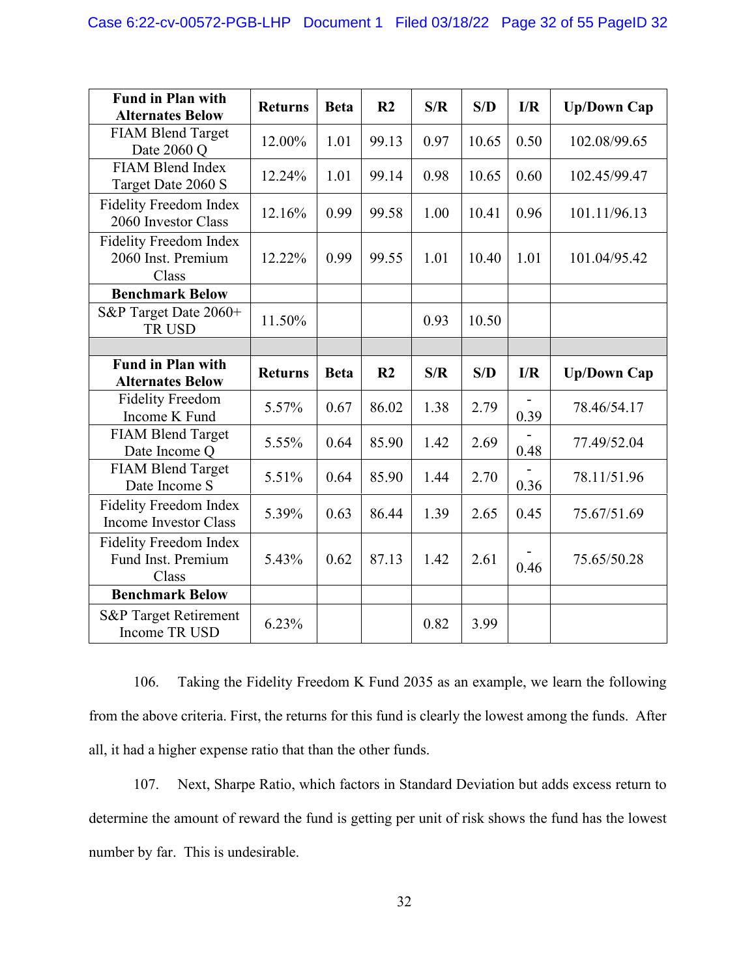| <b>Fund in Plan with</b><br><b>Alternates Below</b>           | <b>Returns</b> | <b>Beta</b> | R <sub>2</sub> | S/R  | S/D   | I/R  | <b>Up/Down Cap</b> |
|---------------------------------------------------------------|----------------|-------------|----------------|------|-------|------|--------------------|
| FIAM Blend Target<br>Date 2060 Q                              | 12.00%         | 1.01        | 99.13          | 0.97 | 10.65 | 0.50 | 102.08/99.65       |
| <b>FIAM Blend Index</b><br>Target Date 2060 S                 | 12.24%         | 1.01        | 99.14          | 0.98 | 10.65 | 0.60 | 102.45/99.47       |
| <b>Fidelity Freedom Index</b><br>2060 Investor Class          | 12.16%         | 0.99        | 99.58          | 1.00 | 10.41 | 0.96 | 101.11/96.13       |
| <b>Fidelity Freedom Index</b><br>2060 Inst. Premium<br>Class  | 12.22%         | 0.99        | 99.55          | 1.01 | 10.40 | 1.01 | 101.04/95.42       |
| <b>Benchmark Below</b>                                        |                |             |                |      |       |      |                    |
| S&P Target Date 2060+<br>TR USD                               | 11.50%         |             |                | 0.93 | 10.50 |      |                    |
|                                                               |                |             |                |      |       |      |                    |
| <b>Fund in Plan with</b><br><b>Alternates Below</b>           | <b>Returns</b> | <b>Beta</b> | R <sub>2</sub> | S/R  | S/D   | I/R  | <b>Up/Down Cap</b> |
| <b>Fidelity Freedom</b><br>Income K Fund                      | 5.57%          | 0.67        | 86.02          | 1.38 | 2.79  | 0.39 | 78.46/54.17        |
| <b>FIAM Blend Target</b><br>Date Income Q                     | 5.55%          | 0.64        | 85.90          | 1.42 | 2.69  | 0.48 | 77.49/52.04        |
| <b>FIAM Blend Target</b><br>Date Income S                     | 5.51%          | 0.64        | 85.90          | 1.44 | 2.70  | 0.36 | 78.11/51.96        |
| <b>Fidelity Freedom Index</b><br><b>Income Investor Class</b> | 5.39%          | 0.63        | 86.44          | 1.39 | 2.65  | 0.45 | 75.67/51.69        |
|                                                               |                |             |                |      |       |      |                    |
| <b>Fidelity Freedom Index</b><br>Fund Inst. Premium<br>Class  | 5.43%          | 0.62        | 87.13          | 1.42 | 2.61  | 0.46 | 75.65/50.28        |
| <b>Benchmark Below</b>                                        |                |             |                |      |       |      |                    |

106. Taking the Fidelity Freedom K Fund 2035 as an example, we learn the following from the above criteria. First, the returns for this fund is clearly the lowest among the funds. After all, it had a higher expense ratio that than the other funds.

107. Next, Sharpe Ratio, which factors in Standard Deviation but adds excess return to determine the amount of reward the fund is getting per unit of risk shows the fund has the lowest number by far. This is undesirable.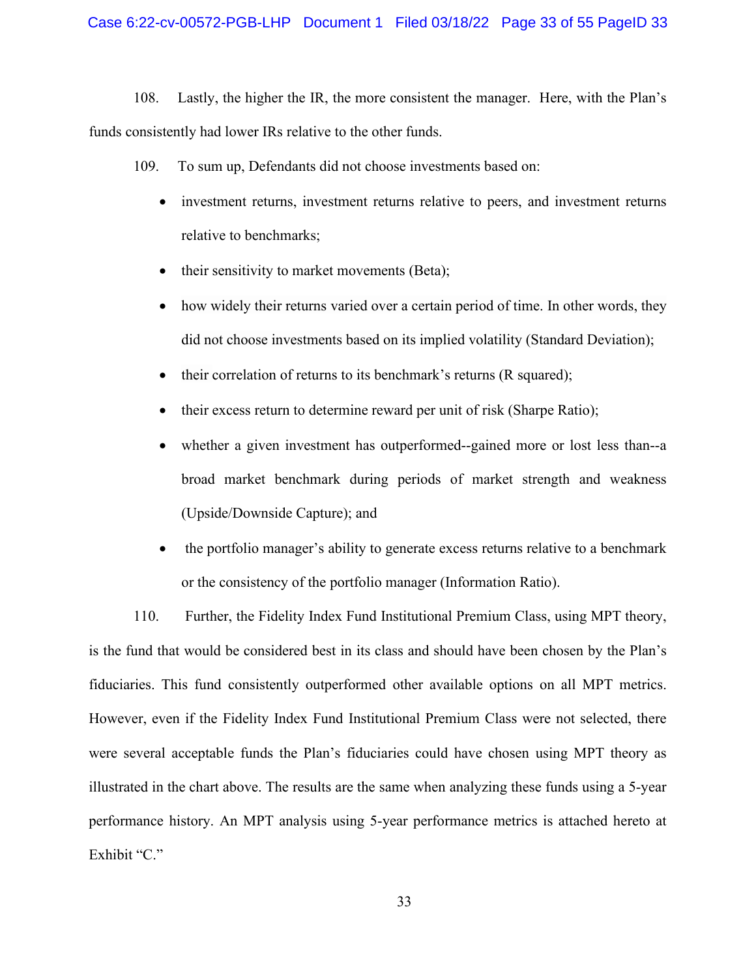#### Case 6:22-cv-00572-PGB-LHP Document 1 Filed 03/18/22 Page 33 of 55 PageID 33

108. Lastly, the higher the IR, the more consistent the manager. Here, with the Plan's funds consistently had lower IRs relative to the other funds.

109. To sum up, Defendants did not choose investments based on:

- investment returns, investment returns relative to peers, and investment returns relative to benchmarks;
- their sensitivity to market movements (Beta);
- how widely their returns varied over a certain period of time. In other words, they did not choose investments based on its implied volatility (Standard Deviation);
- their correlation of returns to its benchmark's returns (R squared);
- their excess return to determine reward per unit of risk (Sharpe Ratio);
- whether a given investment has outperformed--gained more or lost less than--a broad market benchmark during periods of market strength and weakness (Upside/Downside Capture); and
- the portfolio manager's ability to generate excess returns relative to a benchmark or the consistency of the portfolio manager (Information Ratio).

110. Further, the Fidelity Index Fund Institutional Premium Class, using MPT theory, is the fund that would be considered best in its class and should have been chosen by the Plan's fiduciaries. This fund consistently outperformed other available options on all MPT metrics. However, even if the Fidelity Index Fund Institutional Premium Class were not selected, there were several acceptable funds the Plan's fiduciaries could have chosen using MPT theory as illustrated in the chart above. The results are the same when analyzing these funds using a 5-year performance history. An MPT analysis using 5-year performance metrics is attached hereto at Exhibit "C."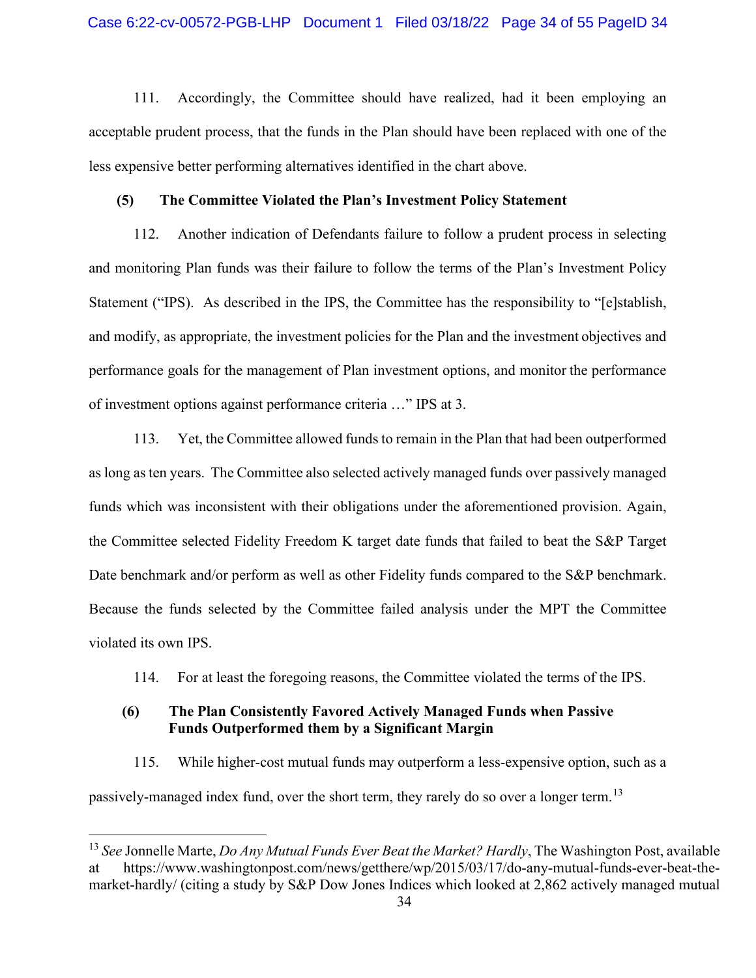111. Accordingly, the Committee should have realized, had it been employing an acceptable prudent process, that the funds in the Plan should have been replaced with one of the less expensive better performing alternatives identified in the chart above.

### **(5) The Committee Violated the Plan's Investment Policy Statement**

112. Another indication of Defendants failure to follow a prudent process in selecting and monitoring Plan funds was their failure to follow the terms of the Plan's Investment Policy Statement ("IPS). As described in the IPS, the Committee has the responsibility to "[e]stablish, and modify, as appropriate, the investment policies for the Plan and the investment objectives and performance goals for the management of Plan investment options, and monitor the performance of investment options against performance criteria …" IPS at 3.

113. Yet, the Committee allowed funds to remain in the Plan that had been outperformed as long as ten years. The Committee also selected actively managed funds over passively managed funds which was inconsistent with their obligations under the aforementioned provision. Again, the Committee selected Fidelity Freedom K target date funds that failed to beat the S&P Target Date benchmark and/or perform as well as other Fidelity funds compared to the S&P benchmark. Because the funds selected by the Committee failed analysis under the MPT the Committee violated its own IPS.

114. For at least the foregoing reasons, the Committee violated the terms of the IPS.

## **(6) The Plan Consistently Favored Actively Managed Funds when Passive Funds Outperformed them by a Significant Margin**

115. While higher-cost mutual funds may outperform a less-expensive option, such as a passively-managed index fund, over the short term, they rarely do so over a longer term.<sup>[13](#page-33-0)</sup>

<span id="page-33-0"></span><sup>13</sup> *See* Jonnelle Marte, *Do Any Mutual Funds Ever Beat the Market? Hardly*, The Washington Post, available https://www.washingtonpost.com/news/getthere/wp/2015/03/17/do-any-mutual-funds-ever-beat-themarket-hardly/ (citing a study by S&P Dow Jones Indices which looked at 2,862 actively managed mutual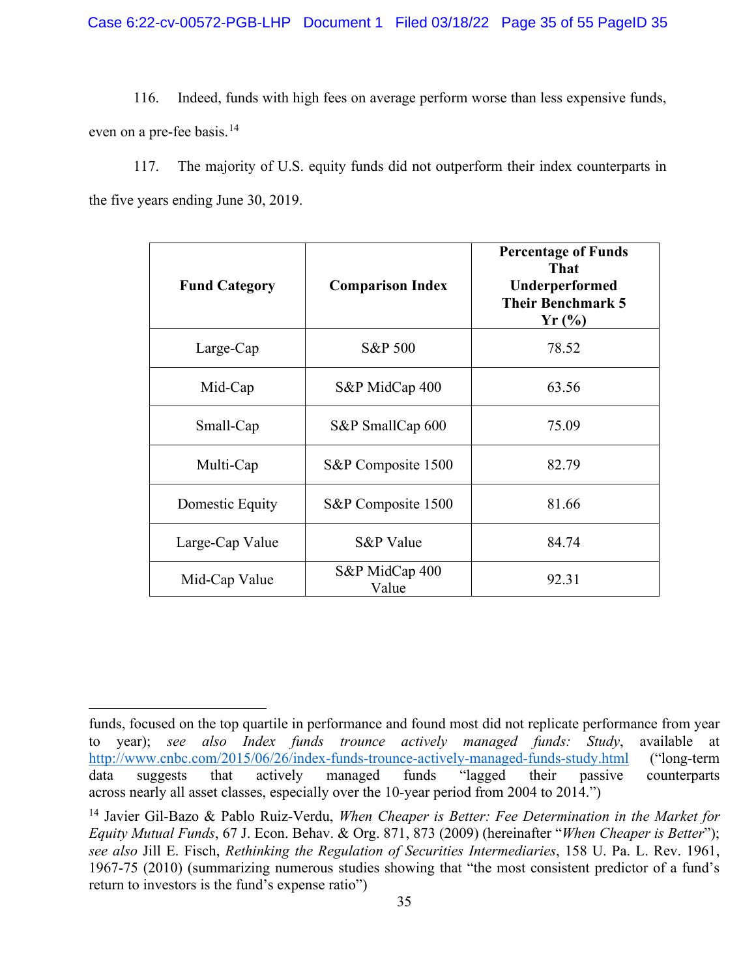116. Indeed, funds with high fees on average perform worse than less expensive funds, even on a pre-fee basis.<sup>[14](#page-34-0)</sup>

117. The majority of U.S. equity funds did not outperform their index counterparts in the five years ending June 30, 2019.

| <b>Fund Category</b> | <b>Comparison Index</b> | <b>Percentage of Funds</b><br><b>That</b><br>Underperformed<br><b>Their Benchmark 5</b><br>$Yr$ (%) |
|----------------------|-------------------------|-----------------------------------------------------------------------------------------------------|
| Large-Cap            | S&P 500                 | 78.52                                                                                               |
| Mid-Cap              | S&P MidCap 400          | 63.56                                                                                               |
| Small-Cap            | S&P SmallCap 600        | 75.09                                                                                               |
| Multi-Cap            | S&P Composite 1500      | 82.79                                                                                               |
| Domestic Equity      | S&P Composite 1500      | 81.66                                                                                               |
| Large-Cap Value      | S&P Value               | 84.74                                                                                               |
| Mid-Cap Value        | S&P MidCap 400<br>Value | 92.31                                                                                               |

funds, focused on the top quartile in performance and found most did not replicate performance from year to year); *see also Index funds trounce actively managed funds: Study*, available at <http://www.cnbc.com/2015/06/26/index-funds-trounce-actively-managed-funds-study.html>("long-term data suggests that actively managed funds "lagged their passive counterparts across nearly all asset classes, especially over the 10-year period from 2004 to 2014.")

<span id="page-34-0"></span><sup>14</sup> Javier Gil-Bazo & Pablo Ruiz-Verdu, *When Cheaper is Better: Fee Determination in the Market for Equity Mutual Funds*, 67 J. Econ. Behav. & Org. 871, 873 (2009) (hereinafter "*When Cheaper is Better*"); *see also* Jill E. Fisch, *Rethinking the Regulation of Securities Intermediaries*, 158 U. Pa. L. Rev. 1961, 1967-75 (2010) (summarizing numerous studies showing that "the most consistent predictor of a fund's return to investors is the fund's expense ratio")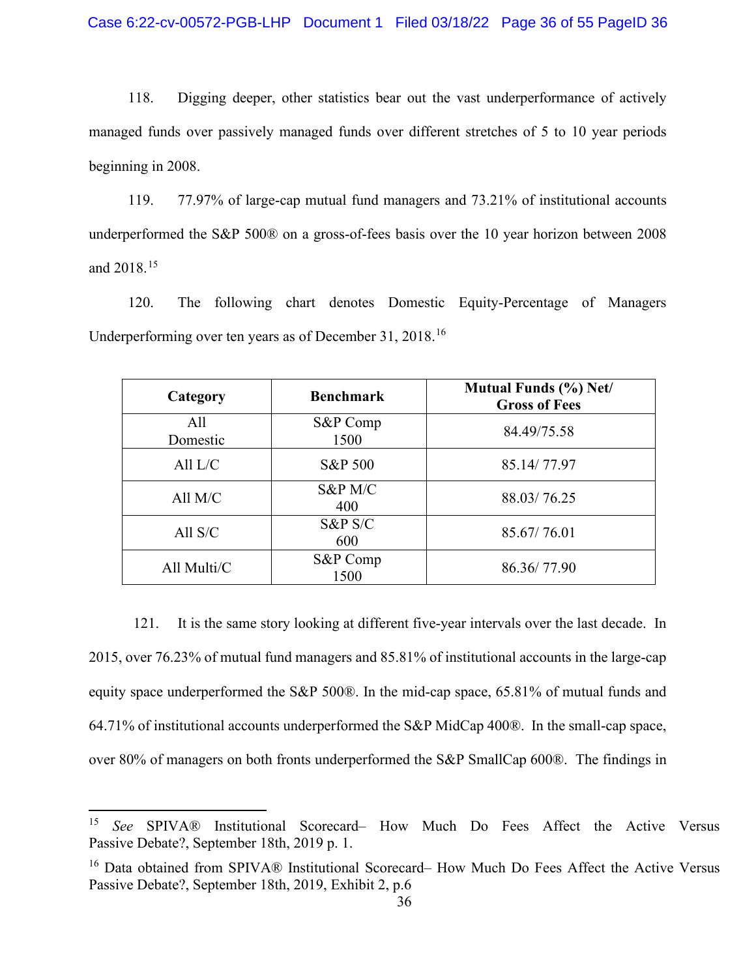118. Digging deeper, other statistics bear out the vast underperformance of actively managed funds over passively managed funds over different stretches of 5 to 10 year periods beginning in 2008.

119. 77.97% of large-cap mutual fund managers and 73.21% of institutional accounts underperformed the S&P 500® on a gross-of-fees basis over the 10 year horizon between 2008 and 2018.[15](#page-35-0)

120. The following chart denotes Domestic Equity-Percentage of Managers Underperforming over ten years as of December 31, 2018.[16](#page-35-1)

| Category        | <b>Benchmark</b>  | Mutual Funds (%) Net/<br><b>Gross of Fees</b> |
|-----------------|-------------------|-----------------------------------------------|
| All<br>Domestic | S&P Comp<br>1500  | 84.49/75.58                                   |
| All $L/C$       | S&P 500           | 85.14/77.97                                   |
| All $M/C$       | S&P M/C<br>400    | 88.03/76.25                                   |
| All $S/C$       | $S\&P S/C$<br>600 | 85.67/76.01                                   |
| All Multi/C     | S&P Comp<br>1500  | 86.36/77.90                                   |

121. It is the same story looking at different five-year intervals over the last decade. In 2015, over 76.23% of mutual fund managers and 85.81% of institutional accounts in the large-cap equity space underperformed the S&P 500®. In the mid-cap space, 65.81% of mutual funds and 64.71% of institutional accounts underperformed the S&P MidCap 400®. In the small-cap space, over 80% of managers on both fronts underperformed the S&P SmallCap 600®. The findings in

<span id="page-35-0"></span><sup>15</sup> *See* SPIVA® Institutional Scorecard– How Much Do Fees Affect the Active Versus Passive Debate?, September 18th, 2019 p. 1.

<span id="page-35-1"></span><sup>&</sup>lt;sup>16</sup> Data obtained from SPIVA® Institutional Scorecard– How Much Do Fees Affect the Active Versus Passive Debate?, September 18th, 2019, Exhibit 2, p.6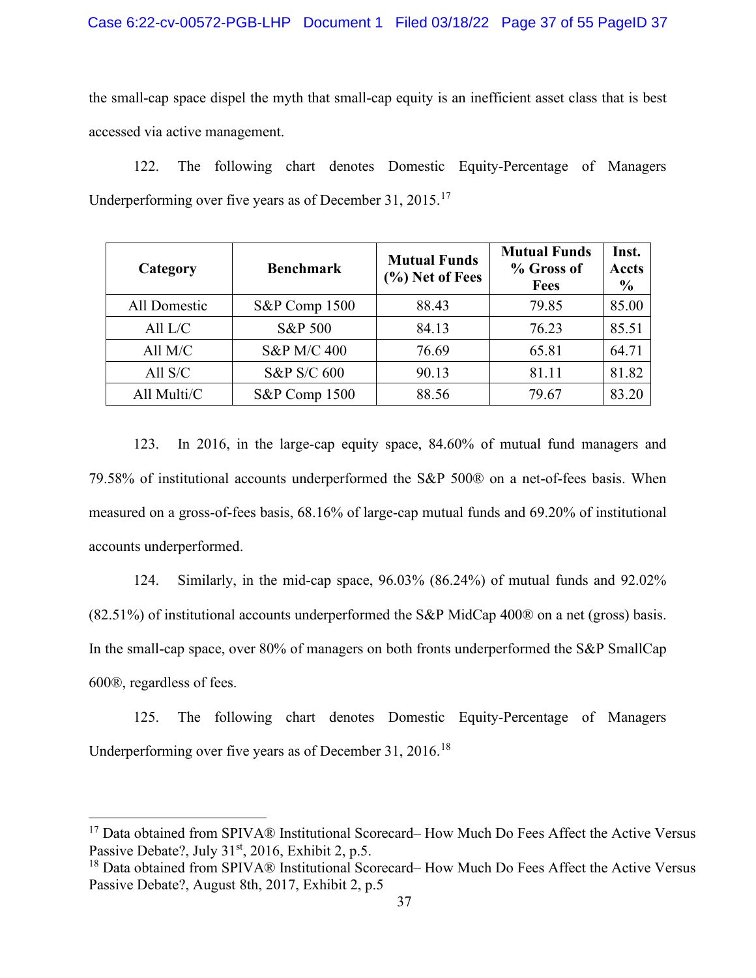the small-cap space dispel the myth that small-cap equity is an inefficient asset class that is best accessed via active management.

122. The following chart denotes Domestic Equity-Percentage of Managers Underperforming over five years as of December 31,  $2015$ .<sup>[17](#page-36-0)</sup>

| Category     | <b>Benchmark</b> | <b>Mutual Funds</b><br>(%) Net of Fees | <b>Mutual Funds</b><br>% Gross of<br><b>Fees</b> | Inst.<br><b>Accts</b><br>$\frac{6}{9}$ |
|--------------|------------------|----------------------------------------|--------------------------------------------------|----------------------------------------|
| All Domestic | S&P Comp 1500    | 88.43                                  | 79.85                                            | 85.00                                  |
| All $L/C$    | S&P 500          | 84.13                                  | 76.23                                            | 85.51                                  |
| All $M/C$    | S&P M/C 400      | 76.69                                  | 65.81                                            | 64.71                                  |
| All $S/C$    | S&P S/C 600      | 90.13                                  | 81.11                                            | 81.82                                  |
| All Multi/C  | S&P Comp 1500    | 88.56                                  | 79.67                                            | 83.20                                  |

123. In 2016, in the large-cap equity space, 84.60% of mutual fund managers and 79.58% of institutional accounts underperformed the S&P 500® on a net-of-fees basis. When measured on a gross-of-fees basis, 68.16% of large-cap mutual funds and 69.20% of institutional accounts underperformed.

124. Similarly, in the mid-cap space, 96.03% (86.24%) of mutual funds and 92.02% (82.51%) of institutional accounts underperformed the S&P MidCap 400® on a net (gross) basis. In the small-cap space, over 80% of managers on both fronts underperformed the S&P SmallCap 600®, regardless of fees.

125. The following chart denotes Domestic Equity-Percentage of Managers Underperforming over five years as of December 31, 2016.[18](#page-36-1)

<span id="page-36-0"></span><sup>&</sup>lt;sup>17</sup> Data obtained from SPIVA® Institutional Scorecard– How Much Do Fees Affect the Active Versus Passive Debate?, July  $31<sup>st</sup>$ , 2016, Exhibit 2, p.5.

<span id="page-36-1"></span><sup>&</sup>lt;sup>18</sup> Data obtained from SPIVA® Institutional Scorecard– How Much Do Fees Affect the Active Versus Passive Debate?, August 8th, 2017, Exhibit 2, p.5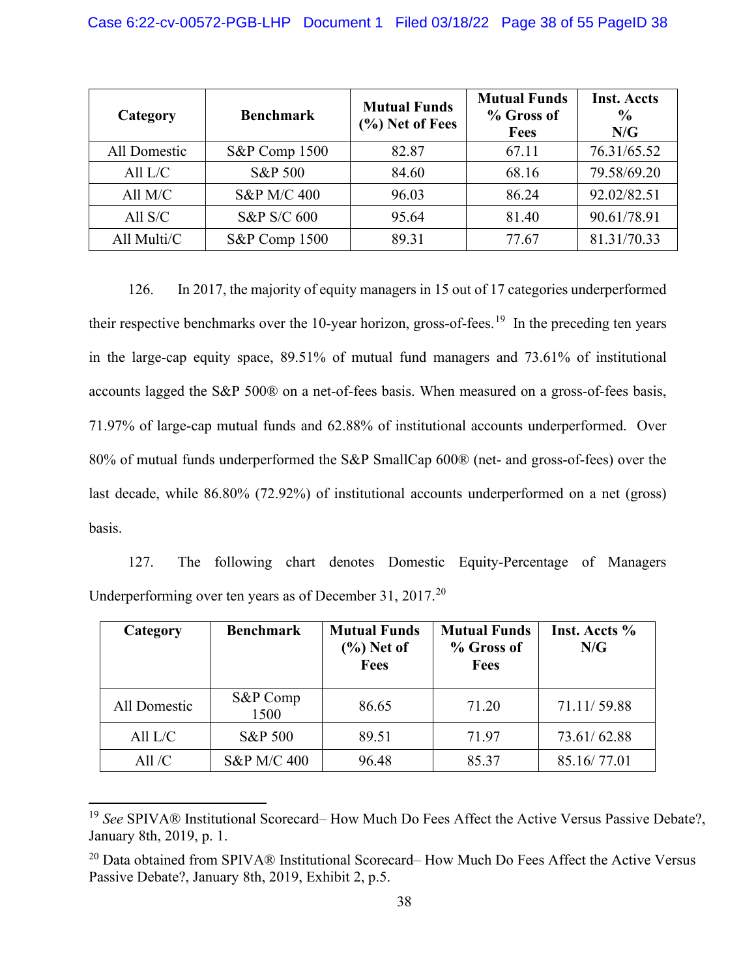| Category     | <b>Benchmark</b>       | <b>Mutual Funds</b><br>$(\%)$ Net of Fees | <b>Mutual Funds</b><br>% Gross of<br><b>Fees</b> | <b>Inst. Accts</b><br>$\frac{0}{0}$<br>N/G |
|--------------|------------------------|-------------------------------------------|--------------------------------------------------|--------------------------------------------|
| All Domestic | S&P Comp 1500          | 82.87                                     | 67.11                                            | 76.31/65.52                                |
| All $L/C$    | <b>S&amp;P 500</b>     | 84.60                                     | 68.16                                            | 79.58/69.20                                |
| All $M/C$    | S&P M/C 400            | 96.03                                     | 86.24                                            | 92.02/82.51                                |
| All $S/C$    | <b>S&amp;P S/C 600</b> | 95.64                                     | 81.40                                            | 90.61/78.91                                |
| All Multi/C  | S&P Comp 1500          | 89.31                                     | 77.67                                            | 81.31/70.33                                |

126. In 2017, the majority of equity managers in 15 out of 17 categories underperformed their respective benchmarks over the 10-year horizon, gross-of-fees.<sup>[19](#page-37-0)</sup> In the preceding ten years in the large-cap equity space, 89.51% of mutual fund managers and 73.61% of institutional accounts lagged the S&P 500® on a net-of-fees basis. When measured on a gross-of-fees basis, 71.97% of large-cap mutual funds and 62.88% of institutional accounts underperformed. Over 80% of mutual funds underperformed the S&P SmallCap 600® (net- and gross-of-fees) over the last decade, while 86.80% (72.92%) of institutional accounts underperformed on a net (gross) basis.

127. The following chart denotes Domestic Equity-Percentage of Managers Underperforming over ten years as of December 31, [20](#page-37-1)17.<sup>20</sup>

| Category     | <b>Benchmark</b>   | <b>Mutual Funds</b><br>$(\%)$ Net of<br><b>Fees</b> | <b>Mutual Funds</b><br>% Gross of<br><b>Fees</b> | Inst. Accts %<br>N/G |
|--------------|--------------------|-----------------------------------------------------|--------------------------------------------------|----------------------|
| All Domestic | S&P Comp<br>1500   | 86.65                                               | 71.20                                            | 71.11/59.88          |
| All $L/C$    | <b>S&amp;P 500</b> | 89.51                                               | 71.97                                            | 73.61/62.88          |
| All $/C$     | S&P M/C 400        | 96.48                                               | 85.37                                            | 85.16/77.01          |

<span id="page-37-0"></span><sup>19</sup> *See* SPIVA® Institutional Scorecard– How Much Do Fees Affect the Active Versus Passive Debate?, January 8th, 2019, p. 1.

<span id="page-37-1"></span><sup>&</sup>lt;sup>20</sup> Data obtained from SPIVA® Institutional Scorecard– How Much Do Fees Affect the Active Versus Passive Debate?, January 8th, 2019, Exhibit 2, p.5.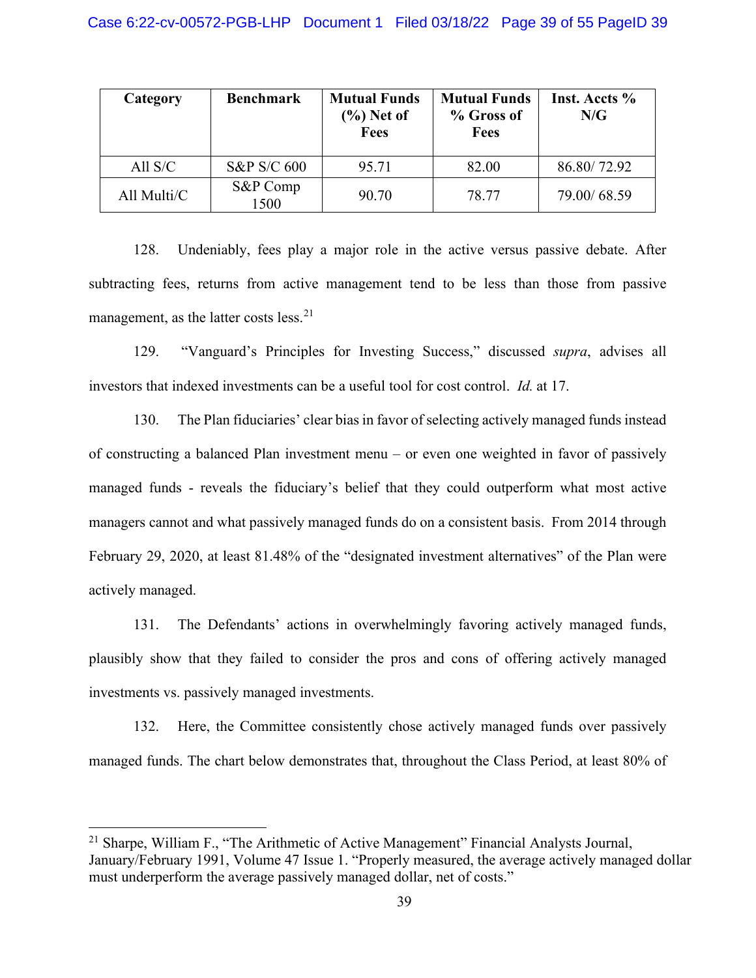| Category    | <b>Benchmark</b>       | <b>Mutual Funds</b><br>$(\%)$ Net of<br>Fees | <b>Mutual Funds</b><br>% Gross of<br><b>Fees</b> | Inst. Accts %<br>N/G |
|-------------|------------------------|----------------------------------------------|--------------------------------------------------|----------------------|
| All $S/C$   | <b>S&amp;P S/C 600</b> | 95.71                                        | 82.00                                            | 86.80/72.92          |
| All Multi/C | S&P Comp<br>1500       | 90.70                                        | 78.77                                            | 79.00/68.59          |

128. Undeniably, fees play a major role in the active versus passive debate. After subtracting fees, returns from active management tend to be less than those from passive management, as the latter costs less.<sup>[21](#page-38-0)</sup>

129. "Vanguard's Principles for Investing Success," discussed *supra*, advises all investors that indexed investments can be a useful tool for cost control. *Id.* at 17.

130. The Plan fiduciaries' clear bias in favor of selecting actively managed funds instead of constructing a balanced Plan investment menu – or even one weighted in favor of passively managed funds - reveals the fiduciary's belief that they could outperform what most active managers cannot and what passively managed funds do on a consistent basis. From 2014 through February 29, 2020, at least 81.48% of the "designated investment alternatives" of the Plan were actively managed.

131. The Defendants' actions in overwhelmingly favoring actively managed funds, plausibly show that they failed to consider the pros and cons of offering actively managed investments vs. passively managed investments.

132. Here, the Committee consistently chose actively managed funds over passively managed funds. The chart below demonstrates that, throughout the Class Period, at least 80% of

<span id="page-38-0"></span><sup>&</sup>lt;sup>21</sup> Sharpe, William F., "The Arithmetic of Active Management" Financial Analysts Journal, January/February 1991, Volume 47 Issue 1. "Properly measured, the average actively managed dollar must underperform the average passively managed dollar, net of costs."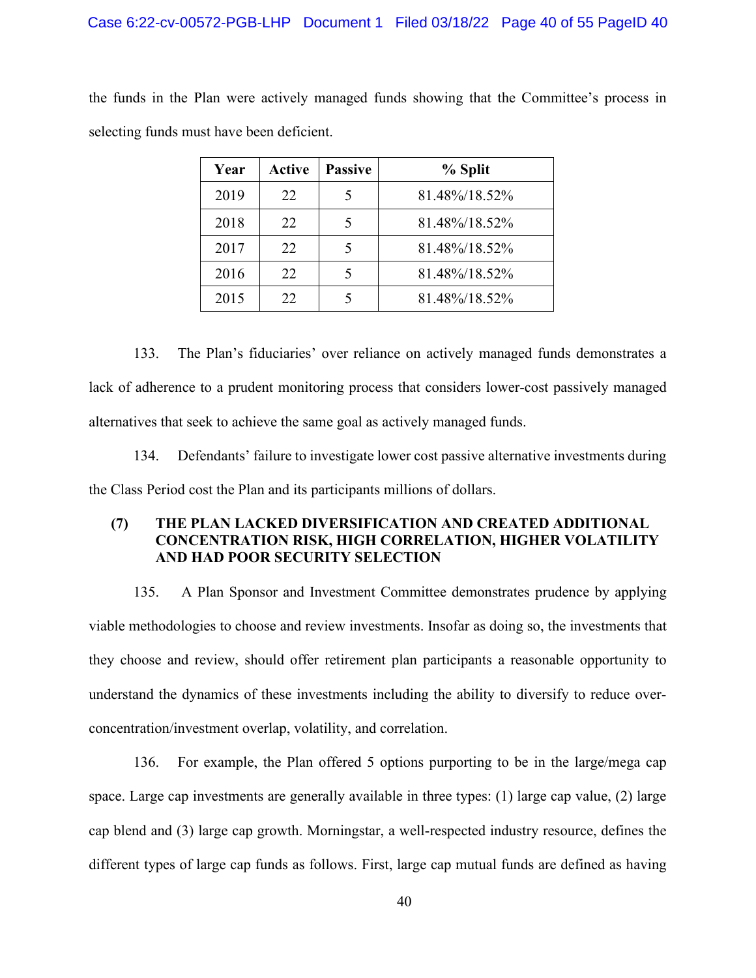the funds in the Plan were actively managed funds showing that the Committee's process in selecting funds must have been deficient.

| Year | <b>Active</b> | <b>Passive</b> | % Split       |
|------|---------------|----------------|---------------|
| 2019 | 22            |                | 81.48%/18.52% |
| 2018 | 22            |                | 81.48%/18.52% |
| 2017 | 22            |                | 81.48%/18.52% |
| 2016 | 22            |                | 81.48%/18.52% |
| 2015 | 22            |                | 81.48%/18.52% |

133. The Plan's fiduciaries' over reliance on actively managed funds demonstrates a lack of adherence to a prudent monitoring process that considers lower-cost passively managed alternatives that seek to achieve the same goal as actively managed funds.

134. Defendants' failure to investigate lower cost passive alternative investments during the Class Period cost the Plan and its participants millions of dollars.

# **(7) THE PLAN LACKED DIVERSIFICATION AND CREATED ADDITIONAL CONCENTRATION RISK, HIGH CORRELATION, HIGHER VOLATILITY AND HAD POOR SECURITY SELECTION**

135. A Plan Sponsor and Investment Committee demonstrates prudence by applying viable methodologies to choose and review investments. Insofar as doing so, the investments that they choose and review, should offer retirement plan participants a reasonable opportunity to understand the dynamics of these investments including the ability to diversify to reduce overconcentration/investment overlap, volatility, and correlation.

136. For example, the Plan offered 5 options purporting to be in the large/mega cap space. Large cap investments are generally available in three types: (1) large cap value, (2) large cap blend and (3) large cap growth. Morningstar, a well-respected industry resource, defines the different types of large cap funds as follows. First, large cap mutual funds are defined as having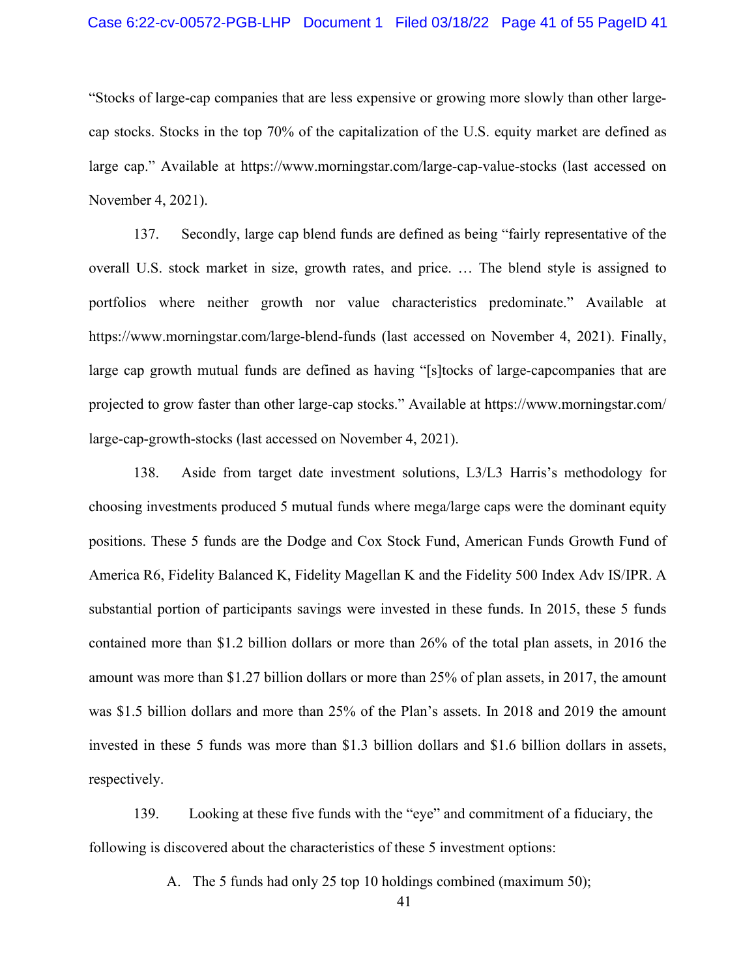#### Case 6:22-cv-00572-PGB-LHP Document 1 Filed 03/18/22 Page 41 of 55 PageID 41

"Stocks of large-cap companies that are less expensive or growing more slowly than other largecap stocks. Stocks in the top 70% of the capitalization of the U.S. equity market are defined as large cap." Available at https://www.morningstar.com/large-cap-value-stocks (last accessed on November 4, 2021).

137. Secondly, large cap blend funds are defined as being "fairly representative of the overall U.S. stock market in size, growth rates, and price. … The blend style is assigned to portfolios where neither growth nor value characteristics predominate." Available at https://www.morningstar.com/large-blend-funds (last accessed on November 4, 2021). Finally, large cap growth mutual funds are defined as having "[s]tocks of large-capcompanies that are projected to grow faster than other large-cap stocks." Available at https://www.morningstar.com/ large-cap-growth-stocks (last accessed on November 4, 2021).

138. Aside from target date investment solutions, L3/L3 Harris's methodology for choosing investments produced 5 mutual funds where mega/large caps were the dominant equity positions. These 5 funds are the Dodge and Cox Stock Fund, American Funds Growth Fund of America R6, Fidelity Balanced K, Fidelity Magellan K and the Fidelity 500 Index Adv IS/IPR. A substantial portion of participants savings were invested in these funds. In 2015, these 5 funds contained more than \$1.2 billion dollars or more than 26% of the total plan assets, in 2016 the amount was more than \$1.27 billion dollars or more than 25% of plan assets, in 2017, the amount was \$1.5 billion dollars and more than 25% of the Plan's assets. In 2018 and 2019 the amount invested in these 5 funds was more than \$1.3 billion dollars and \$1.6 billion dollars in assets, respectively.

139. Looking at these five funds with the "eye" and commitment of a fiduciary, the following is discovered about the characteristics of these 5 investment options:

A. The 5 funds had only 25 top 10 holdings combined (maximum 50);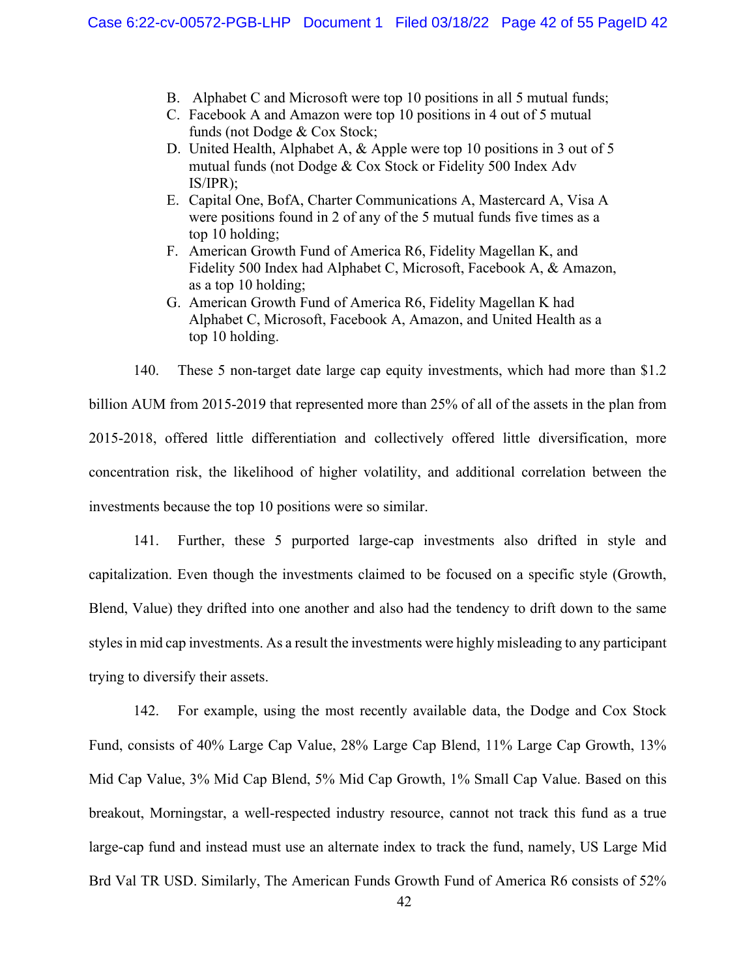- B. Alphabet C and Microsoft were top 10 positions in all 5 mutual funds;
- C. Facebook A and Amazon were top 10 positions in 4 out of 5 mutual funds (not Dodge & Cox Stock;
- D. United Health, Alphabet A, & Apple were top 10 positions in 3 out of 5 mutual funds (not Dodge & Cox Stock or Fidelity 500 Index Adv IS/IPR);
- E. Capital One, BofA, Charter Communications A, Mastercard A, Visa A were positions found in 2 of any of the 5 mutual funds five times as a top 10 holding;
- F. American Growth Fund of America R6, Fidelity Magellan K, and Fidelity 500 Index had Alphabet C, Microsoft, Facebook A, & Amazon, as a top 10 holding;
- G. American Growth Fund of America R6, Fidelity Magellan K had Alphabet C, Microsoft, Facebook A, Amazon, and United Health as a top 10 holding.

140. These 5 non-target date large cap equity investments, which had more than \$1.2

billion AUM from 2015-2019 that represented more than 25% of all of the assets in the plan from 2015-2018, offered little differentiation and collectively offered little diversification, more concentration risk, the likelihood of higher volatility, and additional correlation between the investments because the top 10 positions were so similar.

141. Further, these 5 purported large-cap investments also drifted in style and capitalization. Even though the investments claimed to be focused on a specific style (Growth, Blend, Value) they drifted into one another and also had the tendency to drift down to the same styles in mid cap investments. As a result the investments were highly misleading to any participant trying to diversify their assets.

142. For example, using the most recently available data, the Dodge and Cox Stock Fund, consists of 40% Large Cap Value, 28% Large Cap Blend, 11% Large Cap Growth, 13% Mid Cap Value, 3% Mid Cap Blend, 5% Mid Cap Growth, 1% Small Cap Value. Based on this breakout, Morningstar, a well-respected industry resource, cannot not track this fund as a true large-cap fund and instead must use an alternate index to track the fund, namely, US Large Mid Brd Val TR USD. Similarly, The American Funds Growth Fund of America R6 consists of 52%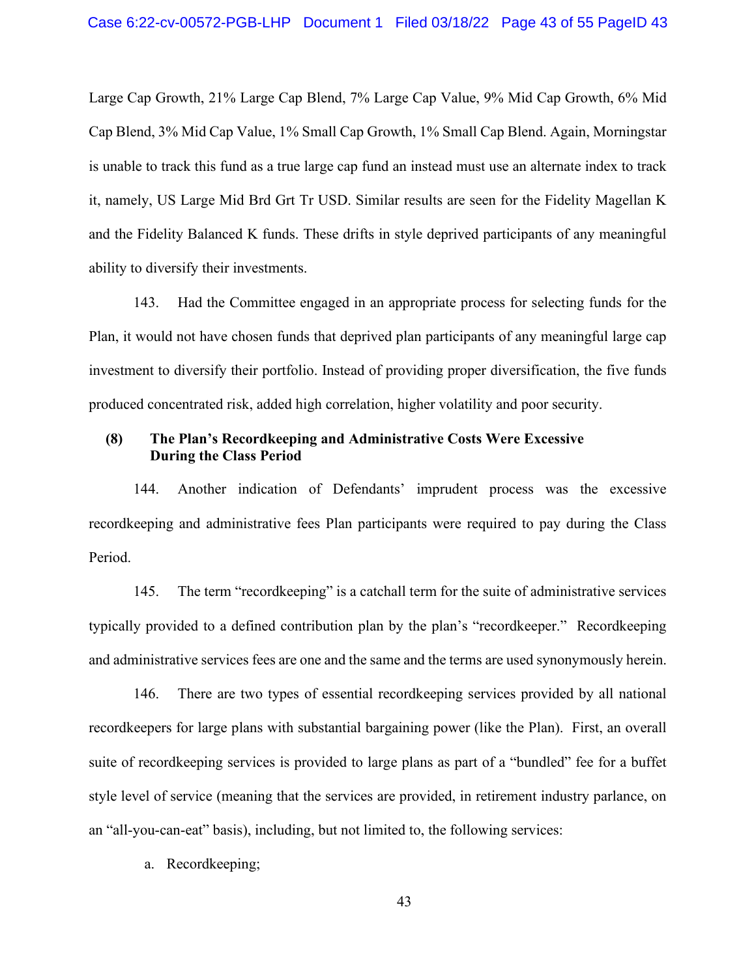Large Cap Growth, 21% Large Cap Blend, 7% Large Cap Value, 9% Mid Cap Growth, 6% Mid Cap Blend, 3% Mid Cap Value, 1% Small Cap Growth, 1% Small Cap Blend. Again, Morningstar is unable to track this fund as a true large cap fund an instead must use an alternate index to track it, namely, US Large Mid Brd Grt Tr USD. Similar results are seen for the Fidelity Magellan K and the Fidelity Balanced K funds. These drifts in style deprived participants of any meaningful ability to diversify their investments.

143. Had the Committee engaged in an appropriate process for selecting funds for the Plan, it would not have chosen funds that deprived plan participants of any meaningful large cap investment to diversify their portfolio. Instead of providing proper diversification, the five funds produced concentrated risk, added high correlation, higher volatility and poor security.

### **(8) The Plan's Recordkeeping and Administrative Costs Were Excessive During the Class Period**

144. Another indication of Defendants' imprudent process was the excessive recordkeeping and administrative fees Plan participants were required to pay during the Class Period.

145. The term "recordkeeping" is a catchall term for the suite of administrative services typically provided to a defined contribution plan by the plan's "recordkeeper." Recordkeeping and administrative services fees are one and the same and the terms are used synonymously herein.

146. There are two types of essential recordkeeping services provided by all national recordkeepers for large plans with substantial bargaining power (like the Plan). First, an overall suite of recordkeeping services is provided to large plans as part of a "bundled" fee for a buffet style level of service (meaning that the services are provided, in retirement industry parlance, on an "all-you-can-eat" basis), including, but not limited to, the following services:

a. Recordkeeping;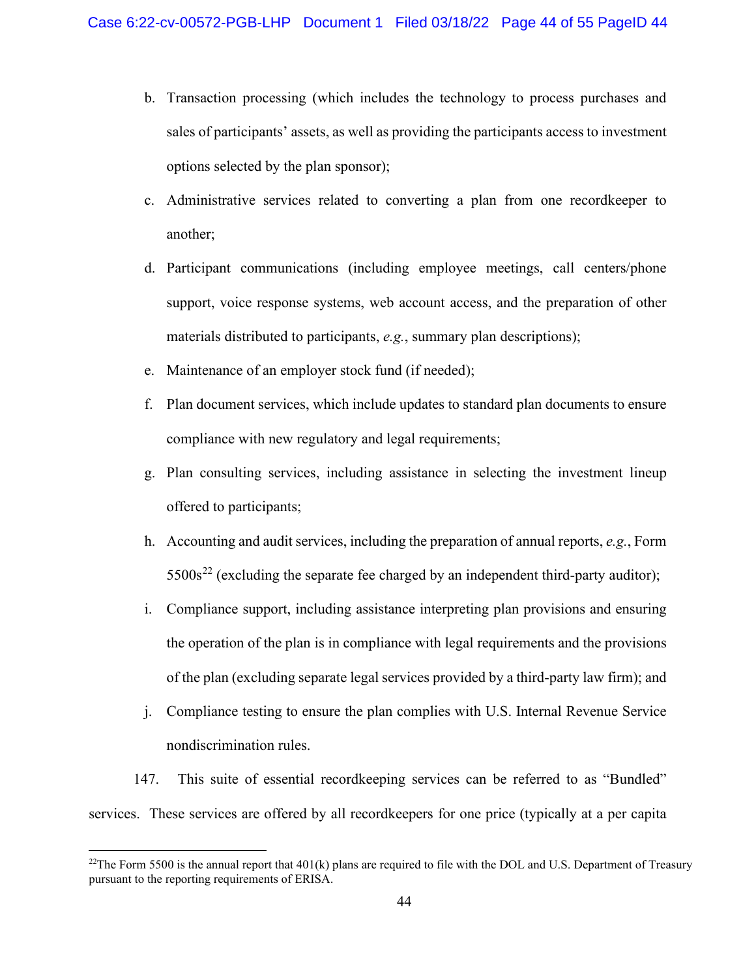- b. Transaction processing (which includes the technology to process purchases and sales of participants' assets, as well as providing the participants access to investment options selected by the plan sponsor);
- c. Administrative services related to converting a plan from one recordkeeper to another;
- d. Participant communications (including employee meetings, call centers/phone support, voice response systems, web account access, and the preparation of other materials distributed to participants, *e.g.*, summary plan descriptions);
- e. Maintenance of an employer stock fund (if needed);
- f. Plan document services, which include updates to standard plan documents to ensure compliance with new regulatory and legal requirements;
- g. Plan consulting services, including assistance in selecting the investment lineup offered to participants;
- h. Accounting and audit services, including the preparation of annual reports, *e.g.*, Form  $5500s^{22}$  $5500s^{22}$  $5500s^{22}$  (excluding the separate fee charged by an independent third-party auditor);
- i. Compliance support, including assistance interpreting plan provisions and ensuring the operation of the plan is in compliance with legal requirements and the provisions of the plan (excluding separate legal services provided by a third-party law firm); and
- j. Compliance testing to ensure the plan complies with U.S. Internal Revenue Service nondiscrimination rules.

147. This suite of essential recordkeeping services can be referred to as "Bundled" services. These services are offered by all recordkeepers for one price (typically at a per capita

<span id="page-43-0"></span><sup>&</sup>lt;sup>22</sup>The Form 5500 is the annual report that  $401(k)$  plans are required to file with the DOL and U.S. Department of Treasury pursuant to the reporting requirements of ERISA.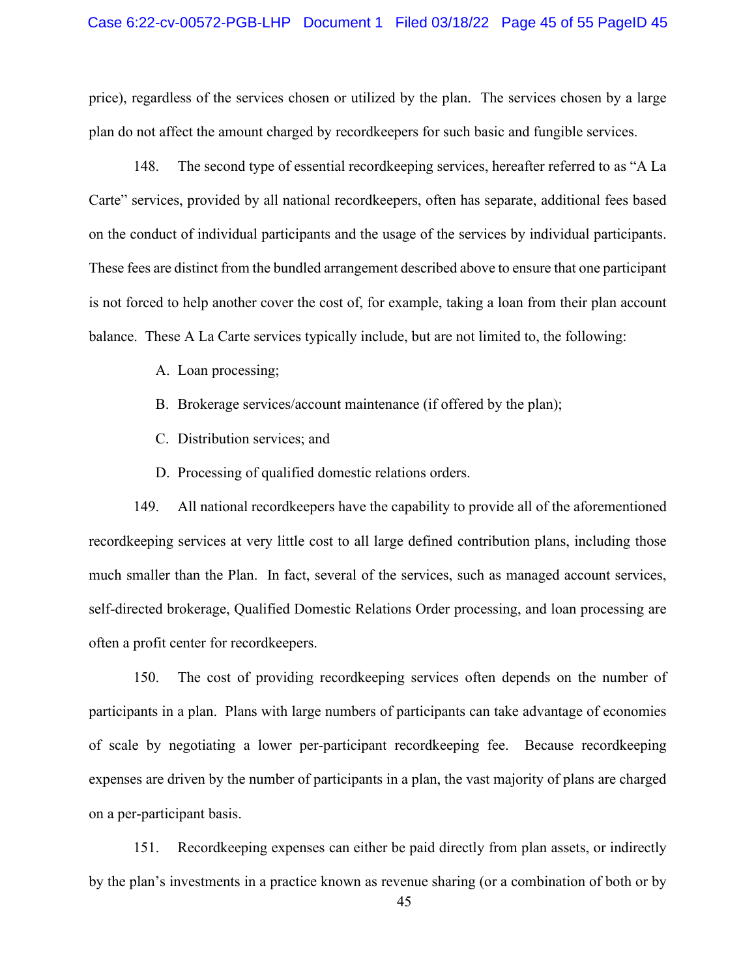price), regardless of the services chosen or utilized by the plan. The services chosen by a large plan do not affect the amount charged by recordkeepers for such basic and fungible services.

148. The second type of essential recordkeeping services, hereafter referred to as "A La Carte" services, provided by all national recordkeepers, often has separate, additional fees based on the conduct of individual participants and the usage of the services by individual participants. These fees are distinct from the bundled arrangement described above to ensure that one participant is not forced to help another cover the cost of, for example, taking a loan from their plan account balance. These A La Carte services typically include, but are not limited to, the following:

A. Loan processing;

- B. Brokerage services/account maintenance (if offered by the plan);
- C. Distribution services; and
- D. Processing of qualified domestic relations orders.

149. All national recordkeepers have the capability to provide all of the aforementioned recordkeeping services at very little cost to all large defined contribution plans, including those much smaller than the Plan. In fact, several of the services, such as managed account services, self-directed brokerage, Qualified Domestic Relations Order processing, and loan processing are often a profit center for recordkeepers.

150. The cost of providing recordkeeping services often depends on the number of participants in a plan. Plans with large numbers of participants can take advantage of economies of scale by negotiating a lower per-participant recordkeeping fee. Because recordkeeping expenses are driven by the number of participants in a plan, the vast majority of plans are charged on a per-participant basis.

151. Recordkeeping expenses can either be paid directly from plan assets, or indirectly by the plan's investments in a practice known as revenue sharing (or a combination of both or by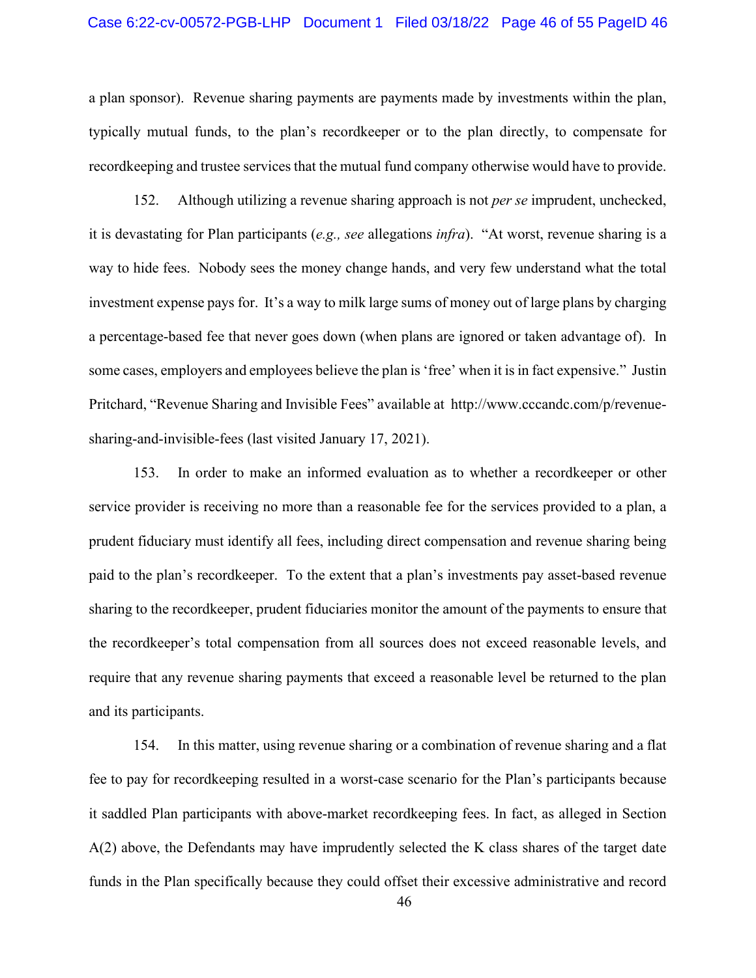a plan sponsor). Revenue sharing payments are payments made by investments within the plan, typically mutual funds, to the plan's recordkeeper or to the plan directly, to compensate for recordkeeping and trustee services that the mutual fund company otherwise would have to provide.

152. Although utilizing a revenue sharing approach is not *per se* imprudent, unchecked, it is devastating for Plan participants (*e.g., see* allegations *infra*). "At worst, revenue sharing is a way to hide fees. Nobody sees the money change hands, and very few understand what the total investment expense pays for. It's a way to milk large sums of money out of large plans by charging a percentage-based fee that never goes down (when plans are ignored or taken advantage of). In some cases, employers and employees believe the plan is 'free' when it is in fact expensive." Justin Pritchard, "Revenue Sharing and Invisible Fees" available at http://www.cccandc.com/p/revenuesharing-and-invisible-fees (last visited January 17, 2021).

153. In order to make an informed evaluation as to whether a recordkeeper or other service provider is receiving no more than a reasonable fee for the services provided to a plan, a prudent fiduciary must identify all fees, including direct compensation and revenue sharing being paid to the plan's recordkeeper. To the extent that a plan's investments pay asset-based revenue sharing to the recordkeeper, prudent fiduciaries monitor the amount of the payments to ensure that the recordkeeper's total compensation from all sources does not exceed reasonable levels, and require that any revenue sharing payments that exceed a reasonable level be returned to the plan and its participants.

154. In this matter, using revenue sharing or a combination of revenue sharing and a flat fee to pay for recordkeeping resulted in a worst-case scenario for the Plan's participants because it saddled Plan participants with above-market recordkeeping fees. In fact, as alleged in Section A(2) above, the Defendants may have imprudently selected the K class shares of the target date funds in the Plan specifically because they could offset their excessive administrative and record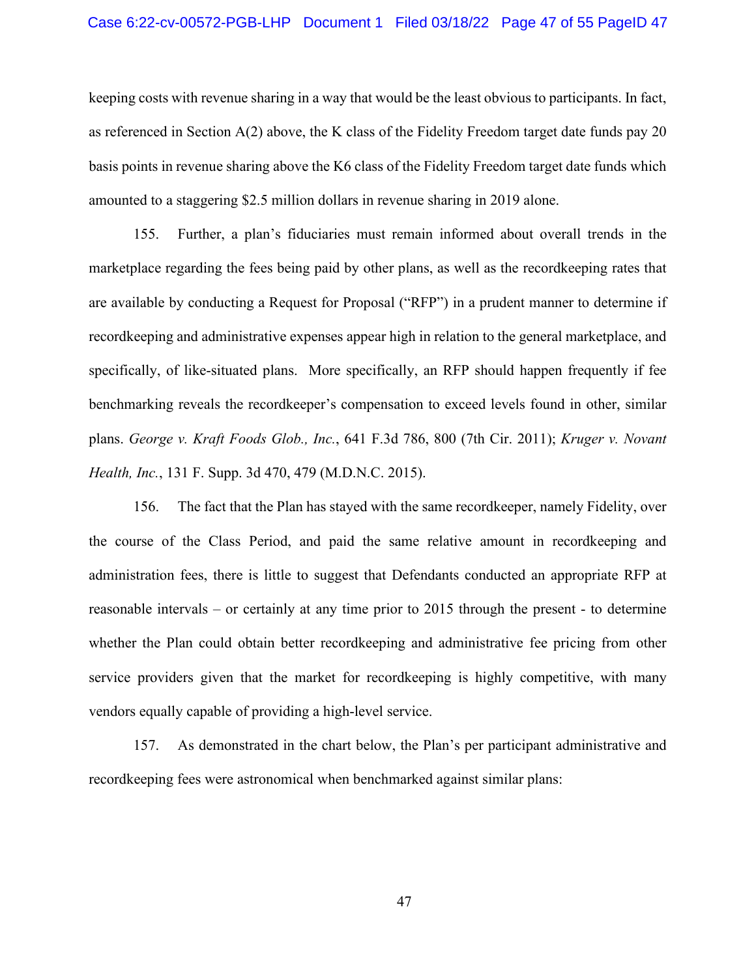#### Case 6:22-cv-00572-PGB-LHP Document 1 Filed 03/18/22 Page 47 of 55 PageID 47

keeping costs with revenue sharing in a way that would be the least obvious to participants. In fact, as referenced in Section A(2) above, the K class of the Fidelity Freedom target date funds pay 20 basis points in revenue sharing above the K6 class of the Fidelity Freedom target date funds which amounted to a staggering \$2.5 million dollars in revenue sharing in 2019 alone.

155. Further, a plan's fiduciaries must remain informed about overall trends in the marketplace regarding the fees being paid by other plans, as well as the recordkeeping rates that are available by conducting a Request for Proposal ("RFP") in a prudent manner to determine if recordkeeping and administrative expenses appear high in relation to the general marketplace, and specifically, of like-situated plans. More specifically, an RFP should happen frequently if fee benchmarking reveals the recordkeeper's compensation to exceed levels found in other, similar plans. *George v. Kraft Foods Glob., Inc.*, 641 F.3d 786, 800 (7th Cir. 2011); *Kruger v. Novant Health, Inc.*, 131 F. Supp. 3d 470, 479 (M.D.N.C. 2015).

156. The fact that the Plan has stayed with the same recordkeeper, namely Fidelity, over the course of the Class Period, and paid the same relative amount in recordkeeping and administration fees, there is little to suggest that Defendants conducted an appropriate RFP at reasonable intervals – or certainly at any time prior to 2015 through the present - to determine whether the Plan could obtain better recordkeeping and administrative fee pricing from other service providers given that the market for recordkeeping is highly competitive, with many vendors equally capable of providing a high-level service.

157. As demonstrated in the chart below, the Plan's per participant administrative and recordkeeping fees were astronomical when benchmarked against similar plans:

47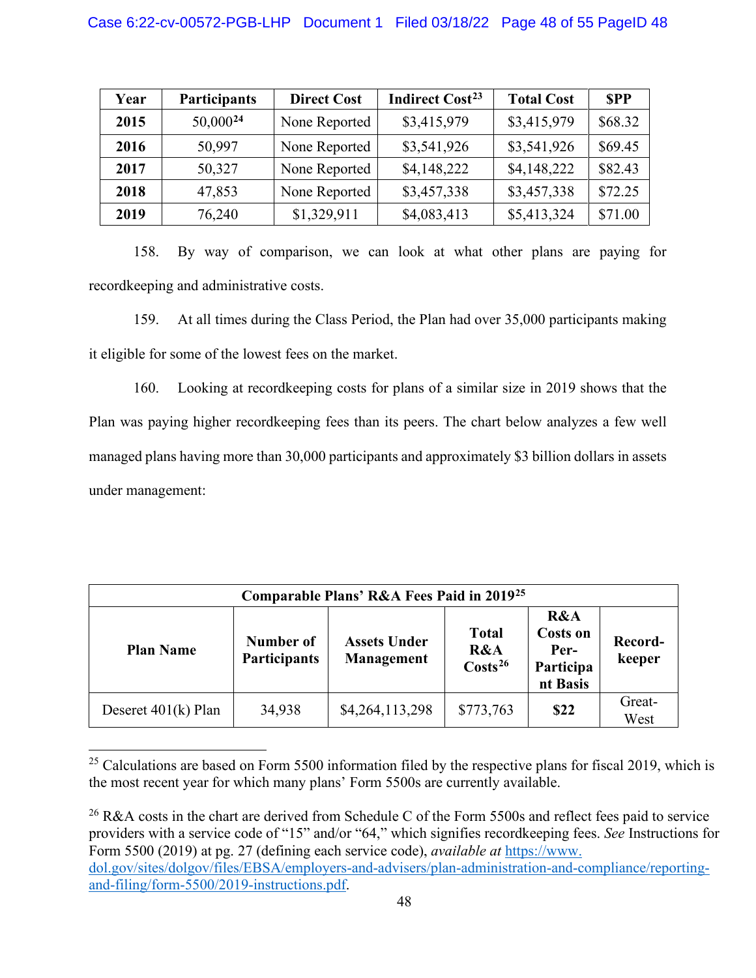<span id="page-47-0"></span>

| Year | <b>Participants</b> | <b>Direct Cost</b> | <b>Indirect Cost<sup>23</sup></b> | <b>Total Cost</b> | <b>SPP</b> |
|------|---------------------|--------------------|-----------------------------------|-------------------|------------|
| 2015 | $50,000^{24}$       | None Reported      | \$3,415,979                       | \$3,415,979       | \$68.32    |
| 2016 | 50,997              | None Reported      | \$3,541,926                       | \$3,541,926       | \$69.45    |
| 2017 | 50,327              | None Reported      | \$4,148,222                       | \$4,148,222       | \$82.43    |
| 2018 | 47,853              | None Reported      | \$3,457,338                       | \$3,457,338       | \$72.25    |
| 2019 | 76,240              | \$1,329,911        | \$4,083,413                       | \$5,413,324       | \$71.00    |

158. By way of comparison, we can look at what other plans are paying for recordkeeping and administrative costs.

159. At all times during the Class Period, the Plan had over 35,000 participants making it eligible for some of the lowest fees on the market.

160. Looking at recordkeeping costs for plans of a similar size in 2019 shows that the Plan was paying higher recordkeeping fees than its peers. The chart below analyzes a few well managed plans having more than 30,000 participants and approximately \$3 billion dollars in assets under management:

| Comparable Plans' R&A Fees Paid in 2019 <sup>25</sup> |                                  |                                   |                                            |                                                         |                   |
|-------------------------------------------------------|----------------------------------|-----------------------------------|--------------------------------------------|---------------------------------------------------------|-------------------|
| <b>Plan Name</b>                                      | Number of<br><b>Participants</b> | <b>Assets Under</b><br>Management | <b>Total</b><br>R&A<br>$\text{Costs}^{26}$ | R&A<br><b>Costs on</b><br>Per-<br>Participa<br>nt Basis | Record-<br>keeper |
| Deseret $401(k)$ Plan                                 | 34,938                           | \$4,264,113,298                   | \$773,763                                  | \$22                                                    | Great-<br>West    |

<span id="page-47-1"></span><sup>&</sup>lt;sup>25</sup> Calculations are based on Form 5500 information filed by the respective plans for fiscal 2019, which is the most recent year for which many plans' Form 5500s are currently available.

<span id="page-47-2"></span><sup>26</sup> R&A costs in the chart are derived from Schedule C of the Form 5500s and reflect fees paid to service providers with a service code of "15" and/or "64," which signifies recordkeeping fees. *See* Instructions for Form 5500 (2019) at pg. 27 (defining each service code), *available at* [https://www.](https://www.dol.gov/sites/dolgov/files/EBSA/employers-and-advisers/plan-administration-and-compliance%E2%80%8C/%E2%80%8Creporting-and-filing/form-5500/2019-instructions.pdf) [dol.gov/sites/dolgov/files/EBSA/employers-and-advisers/plan-administration-and-compliance/reporting](https://www.dol.gov/sites/dolgov/files/EBSA/employers-and-advisers/plan-administration-and-compliance%E2%80%8C/%E2%80%8Creporting-and-filing/form-5500/2019-instructions.pdf)[and-filing/form-5500/2019-instructions.pdf.](https://www.dol.gov/sites/dolgov/files/EBSA/employers-and-advisers/plan-administration-and-compliance%E2%80%8C/%E2%80%8Creporting-and-filing/form-5500/2019-instructions.pdf)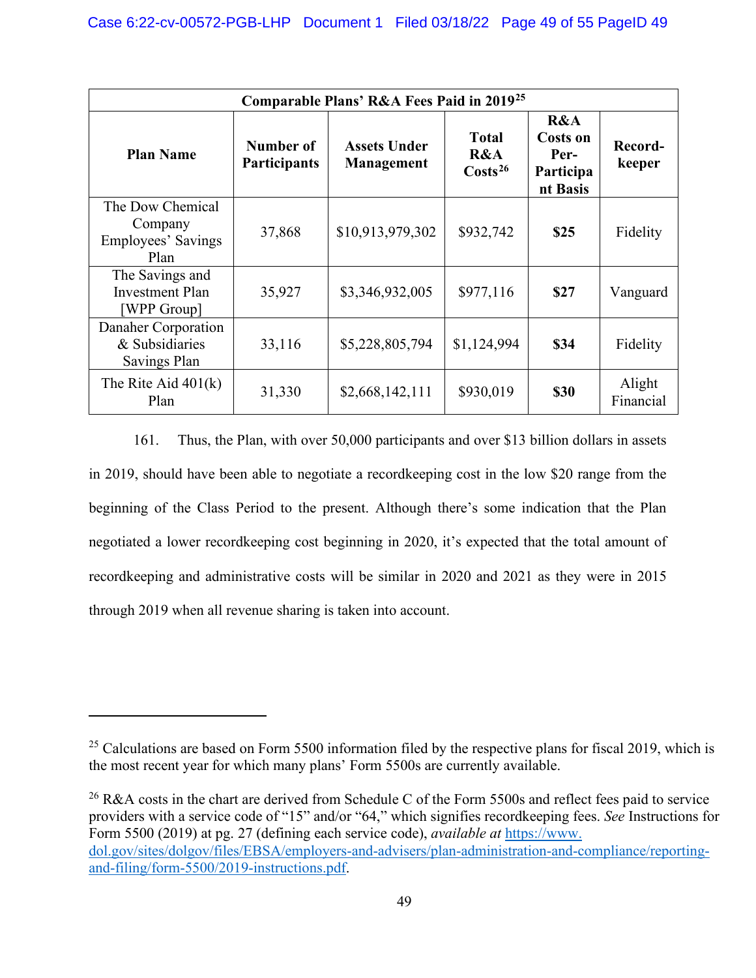| Comparable Plans' R&A Fees Paid in 2019 <sup>25</sup>          |                                  |                                   |                                            |                                                         |                     |  |
|----------------------------------------------------------------|----------------------------------|-----------------------------------|--------------------------------------------|---------------------------------------------------------|---------------------|--|
| <b>Plan Name</b>                                               | Number of<br><b>Participants</b> | <b>Assets Under</b><br>Management | <b>Total</b><br>R&A<br>Costs <sup>26</sup> | R&A<br><b>Costs on</b><br>Per-<br>Participa<br>nt Basis | Record-<br>keeper   |  |
| The Dow Chemical<br>Company<br>Employees' Savings<br>Plan      | 37,868                           | \$10,913,979,302                  | \$932,742                                  | \$25                                                    | Fidelity            |  |
| The Savings and<br><b>Investment Plan</b><br><b>WPP Group]</b> | 35,927                           | \$3,346,932,005                   | \$977,116                                  | \$27                                                    | Vanguard            |  |
| Danaher Corporation<br>& Subsidiaries<br>Savings Plan          | 33,116                           | \$5,228,805,794                   | \$1,124,994                                | \$34                                                    | Fidelity            |  |
| The Rite Aid $401(k)$<br>Plan                                  | 31,330                           | \$2,668,142,111                   | \$930,019                                  | <b>\$30</b>                                             | Alight<br>Financial |  |

161. Thus, the Plan, with over 50,000 participants and over \$13 billion dollars in assets in 2019, should have been able to negotiate a recordkeeping cost in the low \$20 range from the beginning of the Class Period to the present. Although there's some indication that the Plan negotiated a lower recordkeeping cost beginning in 2020, it's expected that the total amount of recordkeeping and administrative costs will be similar in 2020 and 2021 as they were in 2015 through 2019 when all revenue sharing is taken into account.

<sup>&</sup>lt;sup>25</sup> Calculations are based on Form 5500 information filed by the respective plans for fiscal 2019, which is the most recent year for which many plans' Form 5500s are currently available.

<sup>&</sup>lt;sup>26</sup> R&A costs in the chart are derived from Schedule C of the Form 5500s and reflect fees paid to service providers with a service code of "15" and/or "64," which signifies recordkeeping fees. *See* Instructions for Form 5500 (2019) at pg. 27 (defining each service code), *available at* [https://www.](https://www.dol.gov/sites/dolgov/files/EBSA/employers-and-advisers/plan-administration-and-compliance%E2%80%8C/%E2%80%8Creporting-and-filing/form-5500/2019-instructions.pdf) [dol.gov/sites/dolgov/files/EBSA/employers-and-advisers/plan-administration-and-compliance/reporting](https://www.dol.gov/sites/dolgov/files/EBSA/employers-and-advisers/plan-administration-and-compliance%E2%80%8C/%E2%80%8Creporting-and-filing/form-5500/2019-instructions.pdf)[and-filing/form-5500/2019-instructions.pdf.](https://www.dol.gov/sites/dolgov/files/EBSA/employers-and-advisers/plan-administration-and-compliance%E2%80%8C/%E2%80%8Creporting-and-filing/form-5500/2019-instructions.pdf)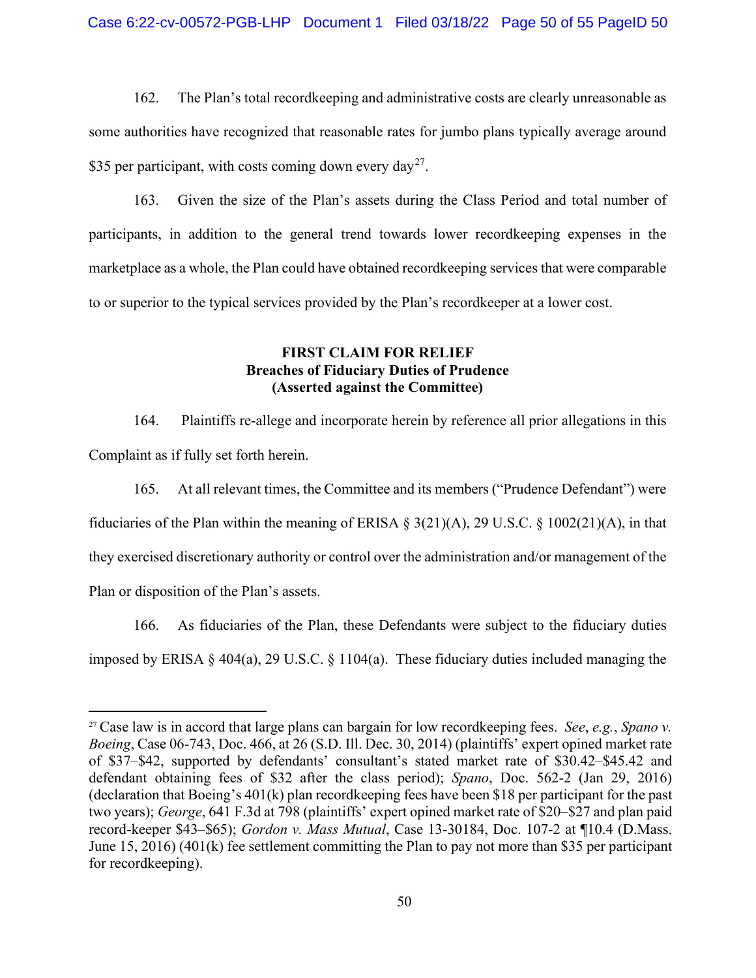162. The Plan's total recordkeeping and administrative costs are clearly unreasonable as some authorities have recognized that reasonable rates for jumbo plans typically average around \$35 per participant, with costs coming down every day<sup>[27](#page-49-0)</sup>.

163. Given the size of the Plan's assets during the Class Period and total number of participants, in addition to the general trend towards lower recordkeeping expenses in the marketplace as a whole, the Plan could have obtained recordkeeping services that were comparable to or superior to the typical services provided by the Plan's recordkeeper at a lower cost.

### **FIRST CLAIM FOR RELIEF Breaches of Fiduciary Duties of Prudence (Asserted against the Committee)**

164. Plaintiffs re-allege and incorporate herein by reference all prior allegations in this Complaint as if fully set forth herein.

165. At all relevant times, the Committee and its members ("Prudence Defendant") were fiduciaries of the Plan within the meaning of ERISA § 3(21)(A), 29 U.S.C. § 1002(21)(A), in that they exercised discretionary authority or control over the administration and/or management of the Plan or disposition of the Plan's assets.

166. As fiduciaries of the Plan, these Defendants were subject to the fiduciary duties imposed by ERISA § 404(a), 29 U.S.C. § 1104(a). These fiduciary duties included managing the

<span id="page-49-0"></span><sup>27</sup> Case law is in accord that large plans can bargain for low recordkeeping fees. *See*, *e.g.*, *Spano v. Boeing*, Case 06-743, Doc. 466, at 26 (S.D. Ill. Dec. 30, 2014) (plaintiffs' expert opined market rate of \$37–\$42, supported by defendants' consultant's stated market rate of \$30.42–\$45.42 and defendant obtaining fees of \$32 after the class period); *Spano*, Doc. 562-2 (Jan 29, 2016) (declaration that Boeing's 401(k) plan recordkeeping fees have been \$18 per participant for the past two years); *George*, 641 F.3d at 798 (plaintiffs' expert opined market rate of \$20–\$27 and plan paid record-keeper \$43–\$65); *Gordon v. Mass Mutual*, Case 13-30184, Doc. 107-2 at ¶10.4 (D.Mass. June 15, 2016) (401(k) fee settlement committing the Plan to pay not more than \$35 per participant for recordkeeping).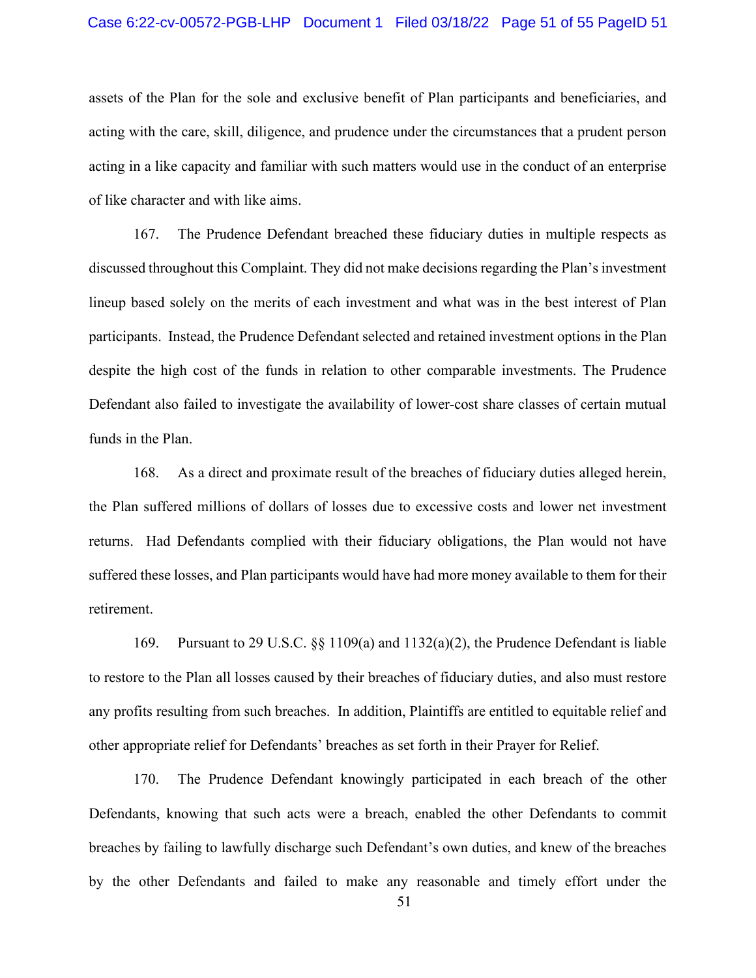#### Case 6:22-cv-00572-PGB-LHP Document 1 Filed 03/18/22 Page 51 of 55 PageID 51

assets of the Plan for the sole and exclusive benefit of Plan participants and beneficiaries, and acting with the care, skill, diligence, and prudence under the circumstances that a prudent person acting in a like capacity and familiar with such matters would use in the conduct of an enterprise of like character and with like aims.

167. The Prudence Defendant breached these fiduciary duties in multiple respects as discussed throughout this Complaint. They did not make decisions regarding the Plan's investment lineup based solely on the merits of each investment and what was in the best interest of Plan participants. Instead, the Prudence Defendant selected and retained investment options in the Plan despite the high cost of the funds in relation to other comparable investments. The Prudence Defendant also failed to investigate the availability of lower-cost share classes of certain mutual funds in the Plan.

168. As a direct and proximate result of the breaches of fiduciary duties alleged herein, the Plan suffered millions of dollars of losses due to excessive costs and lower net investment returns. Had Defendants complied with their fiduciary obligations, the Plan would not have suffered these losses, and Plan participants would have had more money available to them for their retirement.

169. Pursuant to 29 U.S.C. §§ 1109(a) and 1132(a)(2), the Prudence Defendant is liable to restore to the Plan all losses caused by their breaches of fiduciary duties, and also must restore any profits resulting from such breaches. In addition, Plaintiffs are entitled to equitable relief and other appropriate relief for Defendants' breaches as set forth in their Prayer for Relief.

170. The Prudence Defendant knowingly participated in each breach of the other Defendants, knowing that such acts were a breach, enabled the other Defendants to commit breaches by failing to lawfully discharge such Defendant's own duties, and knew of the breaches by the other Defendants and failed to make any reasonable and timely effort under the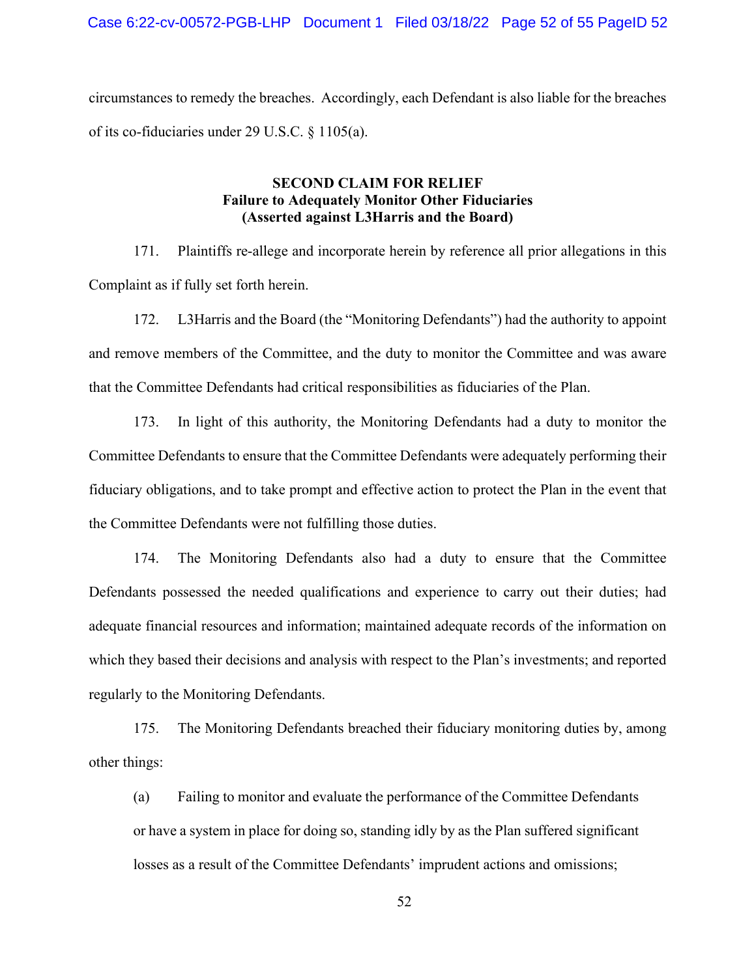circumstances to remedy the breaches. Accordingly, each Defendant is also liable for the breaches of its co-fiduciaries under 29 U.S.C. § 1105(a).

## **SECOND CLAIM FOR RELIEF Failure to Adequately Monitor Other Fiduciaries (Asserted against L3Harris and the Board)**

171. Plaintiffs re-allege and incorporate herein by reference all prior allegations in this Complaint as if fully set forth herein.

172. L3Harris and the Board (the "Monitoring Defendants") had the authority to appoint and remove members of the Committee, and the duty to monitor the Committee and was aware that the Committee Defendants had critical responsibilities as fiduciaries of the Plan.

173. In light of this authority, the Monitoring Defendants had a duty to monitor the Committee Defendants to ensure that the Committee Defendants were adequately performing their fiduciary obligations, and to take prompt and effective action to protect the Plan in the event that the Committee Defendants were not fulfilling those duties.

174. The Monitoring Defendants also had a duty to ensure that the Committee Defendants possessed the needed qualifications and experience to carry out their duties; had adequate financial resources and information; maintained adequate records of the information on which they based their decisions and analysis with respect to the Plan's investments; and reported regularly to the Monitoring Defendants.

175. The Monitoring Defendants breached their fiduciary monitoring duties by, among other things:

(a) Failing to monitor and evaluate the performance of the Committee Defendants or have a system in place for doing so, standing idly by as the Plan suffered significant losses as a result of the Committee Defendants' imprudent actions and omissions;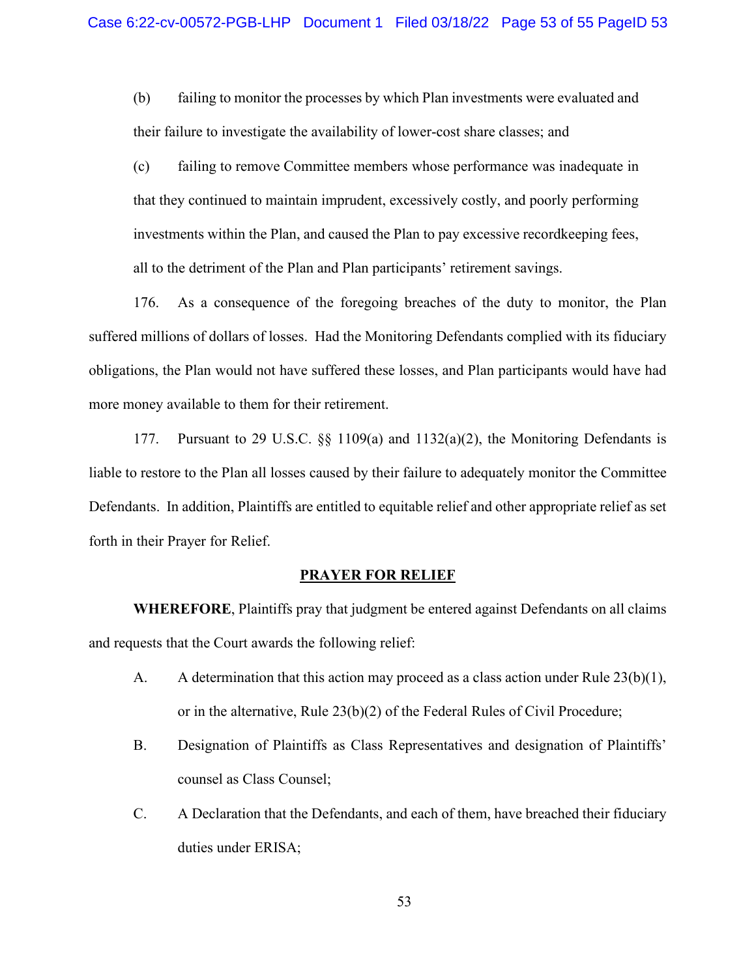(b) failing to monitor the processes by which Plan investments were evaluated and their failure to investigate the availability of lower-cost share classes; and

(c) failing to remove Committee members whose performance was inadequate in that they continued to maintain imprudent, excessively costly, and poorly performing investments within the Plan, and caused the Plan to pay excessive recordkeeping fees, all to the detriment of the Plan and Plan participants' retirement savings.

176. As a consequence of the foregoing breaches of the duty to monitor, the Plan suffered millions of dollars of losses. Had the Monitoring Defendants complied with its fiduciary obligations, the Plan would not have suffered these losses, and Plan participants would have had more money available to them for their retirement.

177. Pursuant to 29 U.S.C.  $\S$  1109(a) and 1132(a)(2), the Monitoring Defendants is liable to restore to the Plan all losses caused by their failure to adequately monitor the Committee Defendants. In addition, Plaintiffs are entitled to equitable relief and other appropriate relief as set forth in their Prayer for Relief.

#### **PRAYER FOR RELIEF**

**WHEREFORE**, Plaintiffs pray that judgment be entered against Defendants on all claims and requests that the Court awards the following relief:

- A. A determination that this action may proceed as a class action under Rule 23(b)(1), or in the alternative, Rule 23(b)(2) of the Federal Rules of Civil Procedure;
- B. Designation of Plaintiffs as Class Representatives and designation of Plaintiffs' counsel as Class Counsel;
- C. A Declaration that the Defendants, and each of them, have breached their fiduciary duties under ERISA;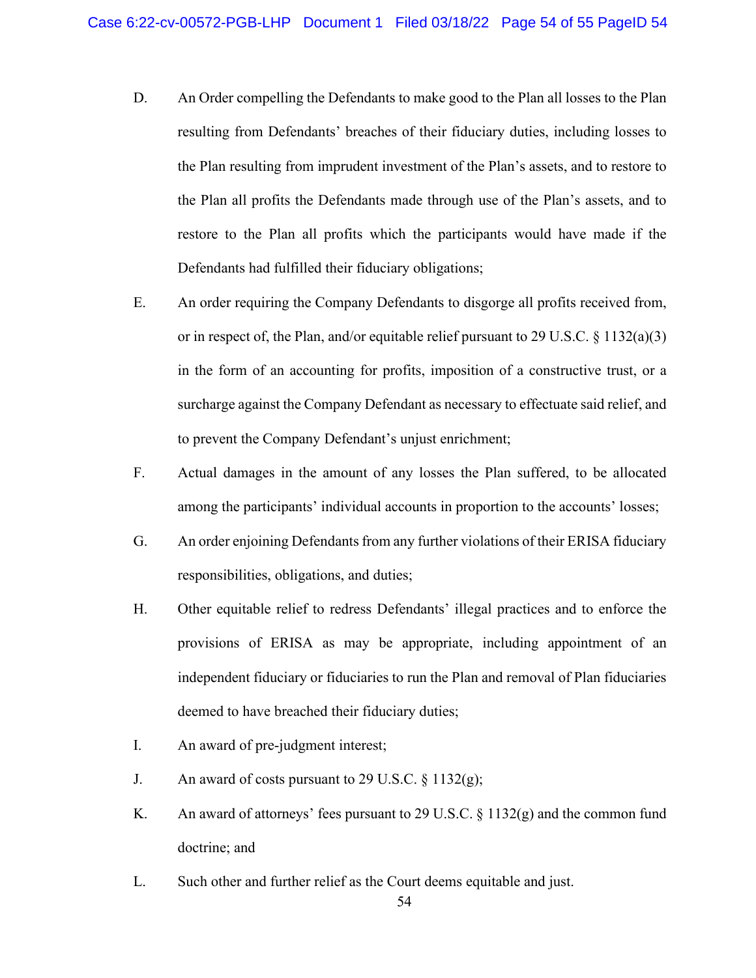- D. An Order compelling the Defendants to make good to the Plan all losses to the Plan resulting from Defendants' breaches of their fiduciary duties, including losses to the Plan resulting from imprudent investment of the Plan's assets, and to restore to the Plan all profits the Defendants made through use of the Plan's assets, and to restore to the Plan all profits which the participants would have made if the Defendants had fulfilled their fiduciary obligations;
- E. An order requiring the Company Defendants to disgorge all profits received from, or in respect of, the Plan, and/or equitable relief pursuant to 29 U.S.C. § 1132(a)(3) in the form of an accounting for profits, imposition of a constructive trust, or a surcharge against the Company Defendant as necessary to effectuate said relief, and to prevent the Company Defendant's unjust enrichment;
- F. Actual damages in the amount of any losses the Plan suffered, to be allocated among the participants' individual accounts in proportion to the accounts' losses;
- G. An order enjoining Defendants from any further violations of their ERISA fiduciary responsibilities, obligations, and duties;
- H. Other equitable relief to redress Defendants' illegal practices and to enforce the provisions of ERISA as may be appropriate, including appointment of an independent fiduciary or fiduciaries to run the Plan and removal of Plan fiduciaries deemed to have breached their fiduciary duties;
- I. An award of pre-judgment interest;
- J. An award of costs pursuant to 29 U.S.C.  $\S 1132(g)$ ;
- K. An award of attorneys' fees pursuant to 29 U.S.C.  $\S 1132(g)$  and the common fund doctrine; and
- L. Such other and further relief as the Court deems equitable and just.